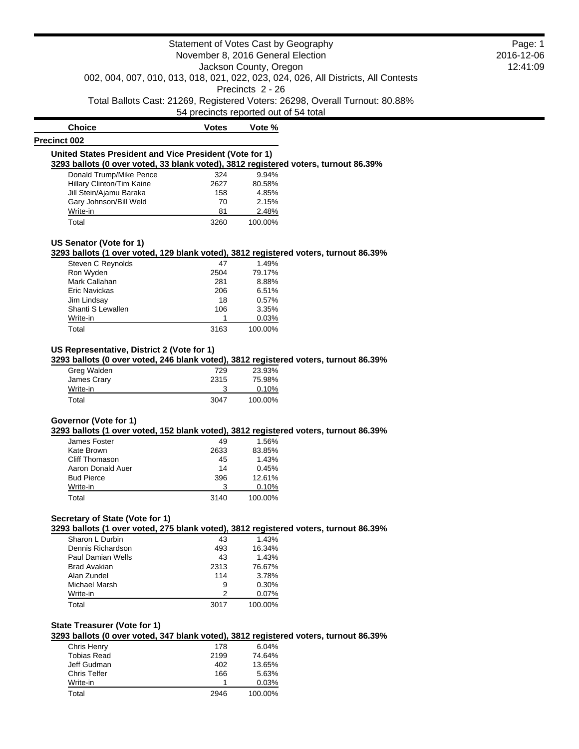| <b>Choice</b>                                                                       | Votes | Vote %  |  |
|-------------------------------------------------------------------------------------|-------|---------|--|
| <b>Precinct 002</b>                                                                 |       |         |  |
| United States President and Vice President (Vote for 1)                             |       |         |  |
| 3293 ballots (0 over voted, 33 blank voted), 3812 registered voters, turnout 86.39% |       |         |  |
| Donald Trump/Mike Pence                                                             | 324   | 9.94%   |  |
| Hillary Clinton/Tim Kaine                                                           | 2627  | 80.58%  |  |
| Jill Stein/Ajamu Baraka                                                             | 158   | 4.85%   |  |
| Gary Johnson/Bill Weld                                                              | 70    | 2.15%   |  |
| Write-in                                                                            | 81    | 2.48%   |  |
| Total                                                                               | 3260  | 100.00% |  |

#### **US Senator (Vote for 1)**

**3293 ballots (1 over voted, 129 blank voted), 3812 registered voters, turnout 86.39%**

| Steven C Reynolds | 47   | 1.49%   |
|-------------------|------|---------|
| Ron Wyden         | 2504 | 79.17%  |
| Mark Callahan     | 281  | 8.88%   |
| Eric Navickas     | 206  | 6.51%   |
| Jim Lindsay       | 18   | 0.57%   |
| Shanti S Lewallen | 106  | 3.35%   |
| Write-in          |      | 0.03%   |
| Total             | 3163 | 100.00% |

## **US Representative, District 2 (Vote for 1)**

**3293 ballots (0 over voted, 246 blank voted), 3812 registered voters, turnout 86.39%**

| Greg Walden | 729  | 23.93%  |
|-------------|------|---------|
| James Crary | 2315 | 75.98%  |
| Write-in    |      | 0.10%   |
| Total       | 3047 | 100.00% |

## **Governor (Vote for 1)**

**3293 ballots (1 over voted, 152 blank voted), 3812 registered voters, turnout 86.39%**

| James Foster      | 49   | 1.56%   |
|-------------------|------|---------|
| Kate Brown        | 2633 | 83.85%  |
| Cliff Thomason    | 45   | 1.43%   |
| Aaron Donald Auer | 14   | 0.45%   |
| <b>Bud Pierce</b> | 396  | 12.61%  |
| Write-in          | 3    | 0.10%   |
| Total             | 3140 | 100.00% |

## **Secretary of State (Vote for 1)**

**3293 ballots (1 over voted, 275 blank voted), 3812 registered voters, turnout 86.39%**

| Sharon L Durbin   | 43   | 1.43%   |
|-------------------|------|---------|
| Dennis Richardson | 493  | 16.34%  |
| Paul Damian Wells | 43   | 1.43%   |
| Brad Avakian      | 2313 | 76.67%  |
| Alan Zundel       | 114  | 3.78%   |
| Michael Marsh     | 9    | 0.30%   |
| Write-in          | 2    | 0.07%   |
| Total             | 3017 | 100.00% |

## **State Treasurer (Vote for 1)**

**3293 ballots (0 over voted, 347 blank voted), 3812 registered voters, turnout 86.39%**

| Chris Henry  | 178  | 6.04%   |
|--------------|------|---------|
| Tobias Read  | 2199 | 74.64%  |
| Jeff Gudman  | 402  | 13.65%  |
| Chris Telfer | 166  | 5.63%   |
| Write-in     |      | 0.03%   |
| Total        | 2946 | 100.00% |

Page: 1 2016-12-06 12:41:09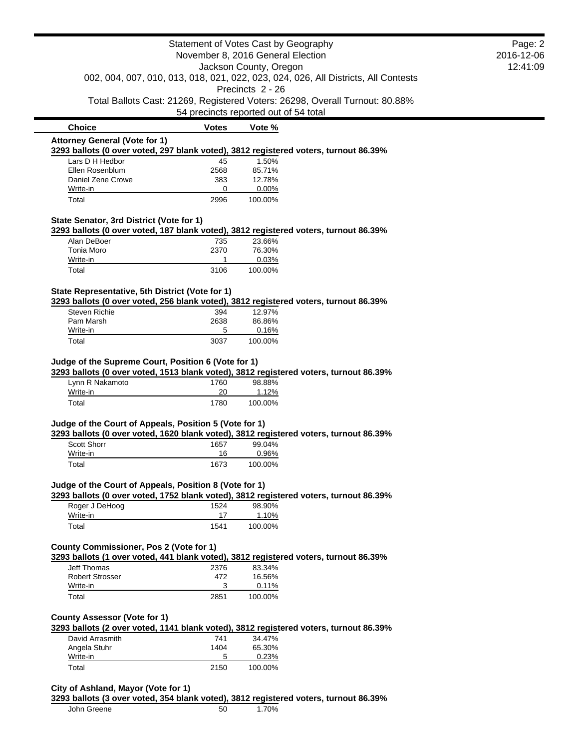|                                                                                                             |                                       | Statement of Votes Cast by Geography |                                                                                    | Page: 2    |
|-------------------------------------------------------------------------------------------------------------|---------------------------------------|--------------------------------------|------------------------------------------------------------------------------------|------------|
|                                                                                                             | November 8, 2016 General Election     |                                      |                                                                                    | 2016-12-06 |
|                                                                                                             |                                       | Jackson County, Oregon               |                                                                                    | 12:41:09   |
|                                                                                                             |                                       |                                      | 002, 004, 007, 010, 013, 018, 021, 022, 023, 024, 026, All Districts, All Contests |            |
|                                                                                                             |                                       | Precincts 2 - 26                     |                                                                                    |            |
|                                                                                                             |                                       |                                      | Total Ballots Cast: 21269, Registered Voters: 26298, Overall Turnout: 80.88%       |            |
|                                                                                                             | 54 precincts reported out of 54 total |                                      |                                                                                    |            |
| <b>Choice</b>                                                                                               | <b>Votes</b>                          | Vote %                               |                                                                                    |            |
| <b>Attorney General (Vote for 1)</b>                                                                        |                                       |                                      |                                                                                    |            |
| 3293 ballots (0 over voted, 297 blank voted), 3812 registered voters, turnout 86.39%                        |                                       |                                      |                                                                                    |            |
| Lars D H Hedbor                                                                                             | 45                                    | 1.50%                                |                                                                                    |            |
| Ellen Rosenblum                                                                                             | 2568                                  | 85.71%                               |                                                                                    |            |
| Daniel Zene Crowe                                                                                           | 383<br>0                              | 12.78%                               |                                                                                    |            |
| Write-in<br>Total                                                                                           | 2996                                  | 0.00%<br>100.00%                     |                                                                                    |            |
|                                                                                                             |                                       |                                      |                                                                                    |            |
| State Senator, 3rd District (Vote for 1)                                                                    |                                       |                                      |                                                                                    |            |
| 3293 ballots (0 over voted, 187 blank voted), 3812 registered voters, turnout 86.39%                        |                                       |                                      |                                                                                    |            |
| Alan DeBoer                                                                                                 | 735                                   | 23.66%                               |                                                                                    |            |
| Tonia Moro                                                                                                  | 2370                                  | 76.30%                               |                                                                                    |            |
| Write-in                                                                                                    | 1                                     | 0.03%                                |                                                                                    |            |
| Total                                                                                                       | 3106                                  | 100.00%                              |                                                                                    |            |
|                                                                                                             |                                       |                                      |                                                                                    |            |
| State Representative, 5th District (Vote for 1)                                                             |                                       |                                      |                                                                                    |            |
| 3293 ballots (0 over voted, 256 blank voted), 3812 registered voters, turnout 86.39%                        |                                       |                                      |                                                                                    |            |
| Steven Richie                                                                                               | 394                                   | 12.97%                               |                                                                                    |            |
| Pam Marsh<br>Write-in                                                                                       | 2638<br>5                             | 86.86%<br>0.16%                      |                                                                                    |            |
| Total                                                                                                       | 3037                                  | 100.00%                              |                                                                                    |            |
|                                                                                                             |                                       |                                      |                                                                                    |            |
|                                                                                                             |                                       |                                      |                                                                                    |            |
|                                                                                                             |                                       |                                      |                                                                                    |            |
| Judge of the Supreme Court, Position 6 (Vote for 1)                                                         |                                       |                                      |                                                                                    |            |
| 3293 ballots (0 over voted, 1513 blank voted), 3812 registered voters, turnout 86.39%                       |                                       |                                      |                                                                                    |            |
| Lynn R Nakamoto                                                                                             | 1760                                  | 98.88%                               |                                                                                    |            |
| Write-in                                                                                                    | 20                                    | 1.12%                                |                                                                                    |            |
| Total                                                                                                       | 1780                                  | 100.00%                              |                                                                                    |            |
|                                                                                                             |                                       |                                      |                                                                                    |            |
| Judge of the Court of Appeals, Position 5 (Vote for 1)                                                      |                                       |                                      |                                                                                    |            |
| 3293 ballots (0 over voted, 1620 blank voted), 3812 registered voters, turnout 86.39%<br><b>Scott Shorr</b> | 1657                                  | 99.04%                               |                                                                                    |            |
| Write-in                                                                                                    | 16                                    | 0.96%                                |                                                                                    |            |
| Total                                                                                                       | 1673                                  | 100.00%                              |                                                                                    |            |
|                                                                                                             |                                       |                                      |                                                                                    |            |
| Judge of the Court of Appeals, Position 8 (Vote for 1)                                                      |                                       |                                      |                                                                                    |            |
| 3293 ballots (0 over voted, 1752 blank voted), 3812 registered voters, turnout 86.39%                       |                                       |                                      |                                                                                    |            |
| Roger J DeHoog                                                                                              | 1524                                  | 98.90%                               |                                                                                    |            |
| Write-in                                                                                                    | 17                                    | 1.10%                                |                                                                                    |            |
| Total                                                                                                       | 1541                                  | 100.00%                              |                                                                                    |            |
|                                                                                                             |                                       |                                      |                                                                                    |            |
| County Commissioner, Pos 2 (Vote for 1)                                                                     |                                       |                                      |                                                                                    |            |
| 3293 ballots (1 over voted, 441 blank voted), 3812 registered voters, turnout 86.39%                        |                                       |                                      |                                                                                    |            |
| <b>Jeff Thomas</b>                                                                                          | 2376                                  | 83.34%                               |                                                                                    |            |
| <b>Robert Strosser</b>                                                                                      | 472                                   | 16.56%                               |                                                                                    |            |
| Write-in                                                                                                    | 3                                     | 0.11%                                |                                                                                    |            |
| Total                                                                                                       | 2851                                  | 100.00%                              |                                                                                    |            |
|                                                                                                             |                                       |                                      |                                                                                    |            |
| <b>County Assessor (Vote for 1)</b>                                                                         |                                       |                                      |                                                                                    |            |
| 3293 ballots (2 over voted, 1141 blank voted), 3812 registered voters, turnout 86.39%                       |                                       |                                      |                                                                                    |            |
| David Arrasmith                                                                                             | 741                                   | 34.47%                               |                                                                                    |            |
| Angela Stuhr                                                                                                | 1404                                  | 65.30%                               |                                                                                    |            |
| Write-in<br>Total                                                                                           | 5<br>2150                             | 0.23%<br>100.00%                     |                                                                                    |            |

John Greene 50 1.70%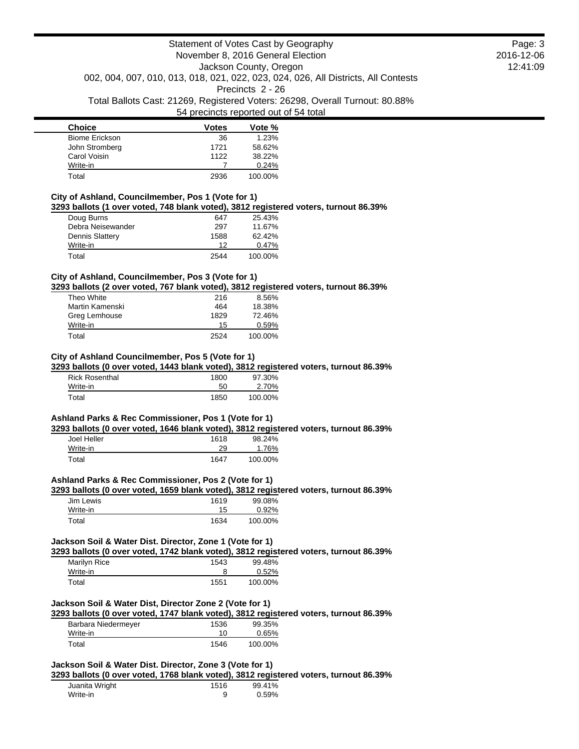| <b>Choice</b>         | <b>Votes</b> | Vote %  |
|-----------------------|--------------|---------|
| <b>Biome Erickson</b> | 36           | 1.23%   |
| John Stromberg        | 1721         | 58.62%  |
| Carol Voisin          | 1122         | 38.22%  |
| Write-in              |              | 0.24%   |
| Total                 | 2936         | 100.00% |

|  | City of Ashland, Councilmember, Pos 1 (Vote for 1) |                                                                                      |  |  |
|--|----------------------------------------------------|--------------------------------------------------------------------------------------|--|--|
|  |                                                    | 3293 ballots (1 over voted, 748 blank voted), 3812 registered voters, turnout 86.39% |  |  |

| Doug Burns             | 647  | 25.43%  |
|------------------------|------|---------|
| Debra Neisewander      | 297  | 11.67%  |
| <b>Dennis Slattery</b> | 1588 | 62.42%  |
| Write-in               | 12   | 0.47%   |
| Total                  | 2544 | 100.00% |

#### **City of Ashland, Councilmember, Pos 3 (Vote for 1)**

**3293 ballots (2 over voted, 767 blank voted), 3812 registered voters, turnout 86.39%**

| Theo White      | 216  | 8.56%   |
|-----------------|------|---------|
| Martin Kamenski | 464  | 18.38%  |
| Greg Lemhouse   | 1829 | 72.46%  |
| Write-in        | 15   | 0.59%   |
| Total           | 2524 | 100.00% |

## **City of Ashland Councilmember, Pos 5 (Vote for 1)**

**3293 ballots (0 over voted, 1443 blank voted), 3812 registered voters, turnout 86.39%**

| <b>Rick Rosenthal</b> | 1800 | 97.30%  |
|-----------------------|------|---------|
| Write-in              | 50   | 2.70%   |
| Total                 | 1850 | 100.00% |

## **Ashland Parks & Rec Commissioner, Pos 1 (Vote for 1)**

**3293 ballots (0 over voted, 1646 blank voted), 3812 registered voters, turnout 86.39%**

| Joel Heller | 1618 | 98.24%  |
|-------------|------|---------|
| Write-in    | 29   | 1.76%   |
| Total       | 1647 | 100.00% |

### **Ashland Parks & Rec Commissioner, Pos 2 (Vote for 1)**

**3293 ballots (0 over voted, 1659 blank voted), 3812 registered voters, turnout 86.39%**

| Jim Lewis | 1619 | 99.08%  |
|-----------|------|---------|
| Write-in  | 15   | 0.92%   |
| Total     | 1634 | 100.00% |

### **Jackson Soil & Water Dist. Director, Zone 1 (Vote for 1)**

**3293 ballots (0 over voted, 1742 blank voted), 3812 registered voters, turnout 86.39%**

| Marilyn Rice | 1543 | 99.48%  |
|--------------|------|---------|
| Write-in     |      | 0.52%   |
| Total        | 1551 | 100.00% |

### **Jackson Soil & Water Dist, Director Zone 2 (Vote for 1)**

**3293 ballots (0 over voted, 1747 blank voted), 3812 registered voters, turnout 86.39%**

| Barbara Niedermeyer | 1536 | 99.35%  |
|---------------------|------|---------|
| Write-in            | 10   | 0.65%   |
| Total               | 1546 | 100.00% |

## **Jackson Soil & Water Dist. Director, Zone 3 (Vote for 1)**

**3293 ballots (0 over voted, 1768 blank voted), 3812 registered voters, turnout 86.39%**

| Juanita Wright | 1516 | 99.41% |
|----------------|------|--------|
| Write-in       |      | 0.59%  |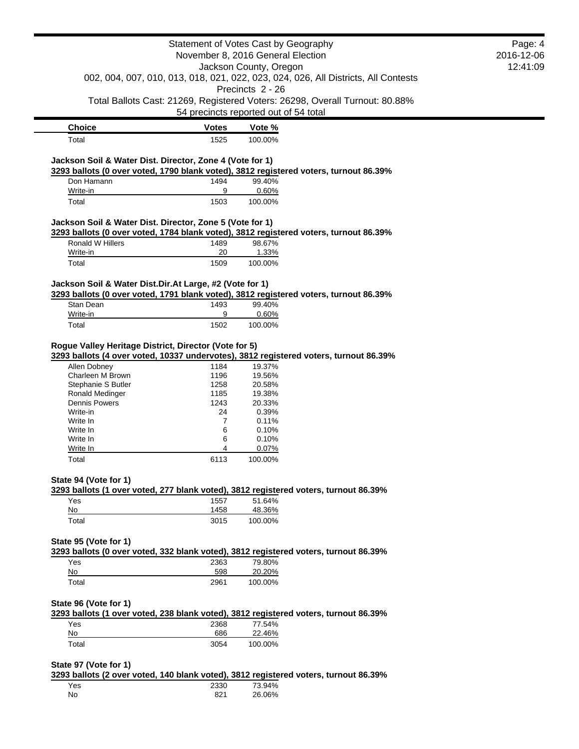|                                                          |              | Statement of Votes Cast by Geography                                                  | Page: 4    |
|----------------------------------------------------------|--------------|---------------------------------------------------------------------------------------|------------|
|                                                          |              | November 8, 2016 General Election                                                     | 2016-12-06 |
|                                                          |              | Jackson County, Oregon                                                                | 12:41:09   |
|                                                          |              | 002, 004, 007, 010, 013, 018, 021, 022, 023, 024, 026, All Districts, All Contests    |            |
|                                                          |              | Precincts 2 - 26                                                                      |            |
|                                                          |              | Total Ballots Cast: 21269, Registered Voters: 26298, Overall Turnout: 80.88%          |            |
|                                                          |              | 54 precincts reported out of 54 total                                                 |            |
| <b>Choice</b>                                            | <b>Votes</b> | Vote %                                                                                |            |
| Total                                                    | 1525         | 100.00%                                                                               |            |
|                                                          |              |                                                                                       |            |
| Jackson Soil & Water Dist. Director, Zone 4 (Vote for 1) |              |                                                                                       |            |
|                                                          |              | 3293 ballots (0 over voted, 1790 blank voted), 3812 registered voters, turnout 86.39% |            |
| Don Hamann                                               | 1494         | 99.40%                                                                                |            |
| Write-in<br>Total                                        | 9<br>1503    | 0.60%<br>100.00%                                                                      |            |
|                                                          |              |                                                                                       |            |
| Jackson Soil & Water Dist. Director, Zone 5 (Vote for 1) |              |                                                                                       |            |
|                                                          |              | 3293 ballots (0 over voted, 1784 blank voted), 3812 registered voters, turnout 86.39% |            |
| Ronald W Hillers                                         | 1489         | 98.67%                                                                                |            |
| Write-in                                                 | 20           | 1.33%                                                                                 |            |
| Total                                                    | 1509         | 100.00%                                                                               |            |
|                                                          |              |                                                                                       |            |
| Jackson Soil & Water Dist.Dir.At Large, #2 (Vote for 1)  |              | 3293 ballots (0 over voted, 1791 blank voted), 3812 registered voters, turnout 86.39% |            |
| Stan Dean                                                | 1493         | 99.40%                                                                                |            |
| Write-in                                                 | 9            | 0.60%                                                                                 |            |
| Total                                                    | 1502         | 100.00%                                                                               |            |
|                                                          |              |                                                                                       |            |
| Allen Dobney<br>Charleen M Brown                         | 1184<br>1196 | 19.37%<br>19.56%                                                                      |            |
| Stephanie S Butler                                       | 1258         | 20.58%                                                                                |            |
| Ronald Medinger                                          | 1185         | 19.38%                                                                                |            |
| <b>Dennis Powers</b>                                     | 1243         | 20.33%                                                                                |            |
| Write-in                                                 | 24           | 0.39%                                                                                 |            |
| Write In                                                 | 7            | 0.11%                                                                                 |            |
| Write In<br>Write In                                     | 6<br>6       | 0.10%<br>0.10%                                                                        |            |
| Write In                                                 | 4            | 0.07%                                                                                 |            |
| Total                                                    | 6113         | 100.00%                                                                               |            |
|                                                          |              |                                                                                       |            |
| State 94 (Vote for 1)                                    |              |                                                                                       |            |
|                                                          |              | 3293 ballots (1 over voted, 277 blank voted), 3812 registered voters, turnout 86.39%  |            |
| Yes<br>No                                                | 1557<br>1458 | 51.64%<br>48.36%                                                                      |            |
| Total                                                    | 3015         | 100.00%                                                                               |            |
|                                                          |              |                                                                                       |            |
| State 95 (Vote for 1)                                    |              |                                                                                       |            |
|                                                          |              | 3293 ballots (0 over voted, 332 blank voted), 3812 registered voters, turnout 86.39%  |            |
| Yes                                                      | 2363         | 79.80%                                                                                |            |
| No                                                       | 598          | 20.20%                                                                                |            |
| Total                                                    | 2961         | 100.00%                                                                               |            |
|                                                          |              |                                                                                       |            |
| State 96 (Vote for 1)                                    |              |                                                                                       |            |
|                                                          |              | 3293 ballots (1 over voted, 238 blank voted), 3812 registered voters, turnout 86.39%  |            |
| Yes                                                      | 2368         | 77.54%                                                                                |            |
| No                                                       | 686          | 22.46%                                                                                |            |
| Total                                                    | 3054         | 100.00%                                                                               |            |
| State 97 (Vote for 1)                                    |              |                                                                                       |            |
|                                                          |              | 3293 ballots (2 over voted, 140 blank voted), 3812 registered voters, turnout 86.39%  |            |
| Yes                                                      | 2330         | 73.94%                                                                                |            |
|                                                          |              |                                                                                       |            |

| Yes | 2330 | 73.94% |
|-----|------|--------|
| No  | 821  | 26.06% |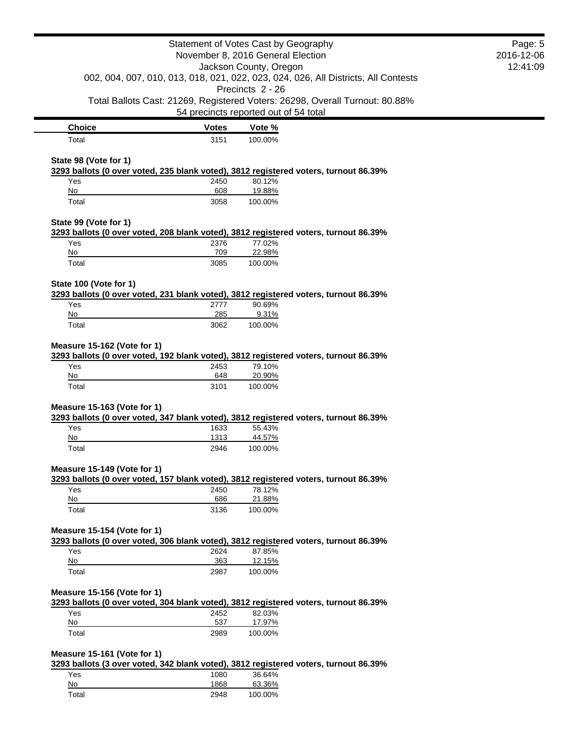|                             |              | Statement of Votes Cast by Geography<br>November 8, 2016 General Election                              | Page: 5<br>2016-12-06 |
|-----------------------------|--------------|--------------------------------------------------------------------------------------------------------|-----------------------|
| Jackson County, Oregon      |              | 12:41:09                                                                                               |                       |
|                             |              | 002, 004, 007, 010, 013, 018, 021, 022, 023, 024, 026, All Districts, All Contests<br>Precincts 2 - 26 |                       |
|                             |              | Total Ballots Cast: 21269, Registered Voters: 26298, Overall Turnout: 80.88%                           |                       |
|                             |              | 54 precincts reported out of 54 total                                                                  |                       |
| <b>Choice</b>               | <b>Votes</b> | Vote %                                                                                                 |                       |
| Total                       | 3151         | 100.00%                                                                                                |                       |
| State 98 (Vote for 1)       |              |                                                                                                        |                       |
|                             |              | 3293 ballots (0 over voted, 235 blank voted), 3812 registered voters, turnout 86.39%                   |                       |
| Yes                         | 2450         | 80.12%                                                                                                 |                       |
| No                          | 608          | 19.88%                                                                                                 |                       |
| Total                       | 3058         | 100.00%                                                                                                |                       |
| State 99 (Vote for 1)       |              |                                                                                                        |                       |
| Yes                         |              | 3293 ballots (0 over voted, 208 blank voted), 3812 registered voters, turnout 86.39%<br>77.02%         |                       |
| No                          | 2376<br>709  | 22.98%                                                                                                 |                       |
| Total                       | 3085         | 100.00%                                                                                                |                       |
|                             |              |                                                                                                        |                       |
| State 100 (Vote for 1)      |              |                                                                                                        |                       |
|                             |              | 3293 ballots (0 over voted, 231 blank voted), 3812 registered voters, turnout 86.39%                   |                       |
| Yes                         | 2777         | 90.69%                                                                                                 |                       |
| No                          | 285          | 9.31%                                                                                                  |                       |
| Total                       | 3062         | 100.00%                                                                                                |                       |
| Measure 15-162 (Vote for 1) |              |                                                                                                        |                       |
|                             |              | 3293 ballots (0 over voted, 192 blank voted), 3812 registered voters, turnout 86.39%                   |                       |
| Yes                         | 2453         | 79.10%                                                                                                 |                       |
| No                          | 648          | 20.90%                                                                                                 |                       |
| Total                       | 3101         | 100.00%                                                                                                |                       |
| Measure 15-163 (Vote for 1) |              |                                                                                                        |                       |
|                             |              | 3293 ballots (0 over voted, 347 blank voted), 3812 registered voters, turnout 86.39%                   |                       |
| Yes                         | 1633         | 55.43%                                                                                                 |                       |
| No                          | 1313         | 44.57%                                                                                                 |                       |
| Total                       | 2946         | 100.00%                                                                                                |                       |
|                             |              |                                                                                                        |                       |
| Measure 15-149 (Vote for 1) |              | 3293 ballots (0 over voted, 157 blank voted), 3812 registered voters, turnout 86.39%                   |                       |
| Yes                         | 2450         | 78.12%                                                                                                 |                       |
| No                          | 686          | 21.88%                                                                                                 |                       |
| Total                       | 3136         | 100.00%                                                                                                |                       |
|                             |              |                                                                                                        |                       |
| Measure 15-154 (Vote for 1) |              |                                                                                                        |                       |
|                             |              | 3293 ballots (0 over voted, 306 blank voted), 3812 registered voters, turnout 86.39%                   |                       |
| Yes<br>No                   | 2624<br>363  | 87.85%<br>12.15%                                                                                       |                       |
| Total                       | 2987         | 100.00%                                                                                                |                       |
|                             |              |                                                                                                        |                       |
| Measure 15-156 (Vote for 1) |              |                                                                                                        |                       |
|                             |              | 3293 ballots (0 over voted, 304 blank voted), 3812 registered voters, turnout 86.39%                   |                       |
| Yes                         | 2452         | 82.03%                                                                                                 |                       |
| No<br>Total                 | 537          | 17.97%                                                                                                 |                       |
|                             | 2989         | 100.00%                                                                                                |                       |
| Measure 15-161 (Vote for 1) |              |                                                                                                        |                       |
|                             |              | 3293 ballots (3 over voted, 342 blank voted), 3812 registered voters, turnout 86.39%                   |                       |
| Yes                         | 1080         | 36.64%                                                                                                 |                       |
| $\underline{\mathsf{No}}$   | 1868         | 63.36%                                                                                                 |                       |
| Total                       | 2948         | 100.00%                                                                                                |                       |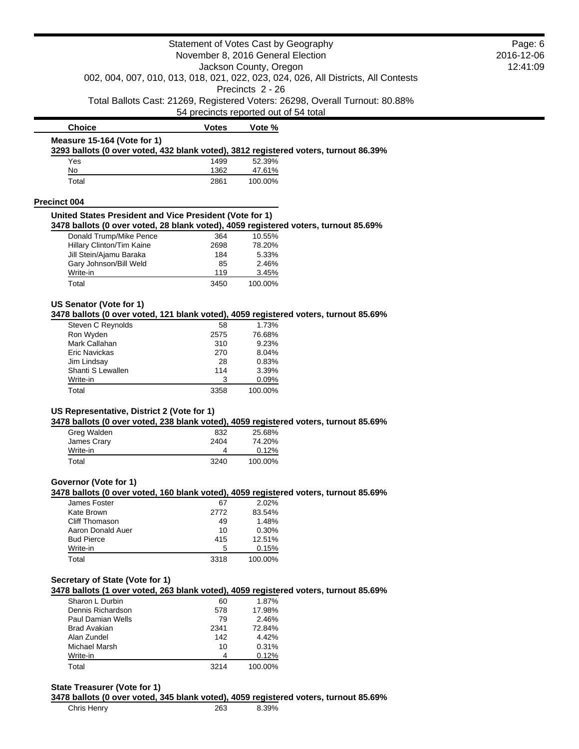|                                                                                                      | Statement of Votes Cast by Geography  |                  | Page: 6                                                                            |  |
|------------------------------------------------------------------------------------------------------|---------------------------------------|------------------|------------------------------------------------------------------------------------|--|
| November 8, 2016 General Election<br>Jackson County, Oregon                                          |                                       |                  | 2016-12-06                                                                         |  |
|                                                                                                      |                                       |                  | 12:41:09                                                                           |  |
|                                                                                                      |                                       |                  | 002, 004, 007, 010, 013, 018, 021, 022, 023, 024, 026, All Districts, All Contests |  |
|                                                                                                      |                                       | Precincts 2 - 26 |                                                                                    |  |
|                                                                                                      |                                       |                  | Total Ballots Cast: 21269, Registered Voters: 26298, Overall Turnout: 80.88%       |  |
|                                                                                                      | 54 precincts reported out of 54 total |                  |                                                                                    |  |
| <b>Choice</b>                                                                                        | <b>Votes</b>                          | Vote %           |                                                                                    |  |
| Measure 15-164 (Vote for 1)                                                                          |                                       |                  |                                                                                    |  |
| 3293 ballots (0 over voted, 432 blank voted), 3812 registered voters, turnout 86.39%                 |                                       |                  |                                                                                    |  |
| Yes<br>No                                                                                            | 1499<br>1362                          | 52.39%<br>47.61% |                                                                                    |  |
| Total                                                                                                | 2861                                  | 100.00%          |                                                                                    |  |
|                                                                                                      |                                       |                  |                                                                                    |  |
| <b>Precinct 004</b>                                                                                  |                                       |                  |                                                                                    |  |
| United States President and Vice President (Vote for 1)                                              |                                       |                  |                                                                                    |  |
| 3478 ballots (0 over voted, 28 blank voted), 4059 registered voters, turnout 85.69%                  |                                       |                  |                                                                                    |  |
| Donald Trump/Mike Pence                                                                              | 364                                   | 10.55%           |                                                                                    |  |
| Hillary Clinton/Tim Kaine                                                                            | 2698                                  | 78.20%           |                                                                                    |  |
| Jill Stein/Ajamu Baraka                                                                              | 184<br>85                             | 5.33%<br>2.46%   |                                                                                    |  |
| Gary Johnson/Bill Weld<br>Write-in                                                                   | 119                                   | 3.45%            |                                                                                    |  |
| Total                                                                                                | 3450                                  | 100.00%          |                                                                                    |  |
|                                                                                                      |                                       |                  |                                                                                    |  |
| US Senator (Vote for 1)                                                                              |                                       |                  |                                                                                    |  |
| 3478 ballots (0 over voted, 121 blank voted), 4059 registered voters, turnout 85.69%                 |                                       |                  |                                                                                    |  |
| Steven C Reynolds                                                                                    | 58                                    | 1.73%            |                                                                                    |  |
| Ron Wyden                                                                                            | 2575                                  | 76.68%           |                                                                                    |  |
| Mark Callahan                                                                                        | 310                                   | 9.23%            |                                                                                    |  |
| Eric Navickas                                                                                        | 270                                   | 8.04%            |                                                                                    |  |
| Jim Lindsay                                                                                          | 28                                    | 0.83%            |                                                                                    |  |
| Shanti S Lewallen                                                                                    | 114                                   | 3.39%            |                                                                                    |  |
|                                                                                                      |                                       |                  |                                                                                    |  |
| Write-in                                                                                             | 3                                     | 0.09%            |                                                                                    |  |
| Total                                                                                                | 3358                                  | 100.00%          |                                                                                    |  |
|                                                                                                      |                                       |                  |                                                                                    |  |
| US Representative, District 2 (Vote for 1)                                                           |                                       |                  |                                                                                    |  |
| 3478 ballots (0 over voted, 238 blank voted), 4059 registered voters, turnout 85.69%                 |                                       |                  |                                                                                    |  |
| Greg Walden                                                                                          | 832<br>2404                           | 25.68%<br>74.20% |                                                                                    |  |
| James Crary<br>Write-in                                                                              | 4                                     | 0.12%            |                                                                                    |  |
| Total                                                                                                | 3240                                  | 100.00%          |                                                                                    |  |
|                                                                                                      |                                       |                  |                                                                                    |  |
| Governor (Vote for 1)                                                                                |                                       |                  |                                                                                    |  |
| 3478 ballots (0 over voted, 160 blank voted), 4059 registered voters, turnout 85.69%<br>James Foster | 67                                    | 2.02%            |                                                                                    |  |
| Kate Brown                                                                                           | 2772                                  | 83.54%           |                                                                                    |  |
| <b>Cliff Thomason</b>                                                                                | 49                                    | 1.48%            |                                                                                    |  |
| Aaron Donald Auer                                                                                    | 10                                    | 0.30%            |                                                                                    |  |
| <b>Bud Pierce</b>                                                                                    | 415                                   | 12.51%           |                                                                                    |  |
| Write-in                                                                                             | 5                                     | 0.15%            |                                                                                    |  |
| Total                                                                                                | 3318                                  | 100.00%          |                                                                                    |  |
|                                                                                                      |                                       |                  |                                                                                    |  |
| Secretary of State (Vote for 1)                                                                      |                                       |                  |                                                                                    |  |
| 3478 ballots (1 over voted, 263 blank voted), 4059 registered voters, turnout 85.69%                 |                                       |                  |                                                                                    |  |
| Sharon L Durbin                                                                                      | 60                                    | 1.87%            |                                                                                    |  |
| Dennis Richardson                                                                                    | 578                                   | 17.98%           |                                                                                    |  |
| Paul Damian Wells                                                                                    | 79                                    | 2.46%            |                                                                                    |  |
| <b>Brad Avakian</b>                                                                                  | 2341                                  | 72.84%           |                                                                                    |  |
| Alan Zundel                                                                                          | 142                                   | 4.42%            |                                                                                    |  |
| Michael Marsh                                                                                        | 10                                    | 0.31%            |                                                                                    |  |
| Write-in<br>Total                                                                                    | 4<br>3214                             | 0.12%<br>100.00% |                                                                                    |  |

Chris Henry 263 8.39%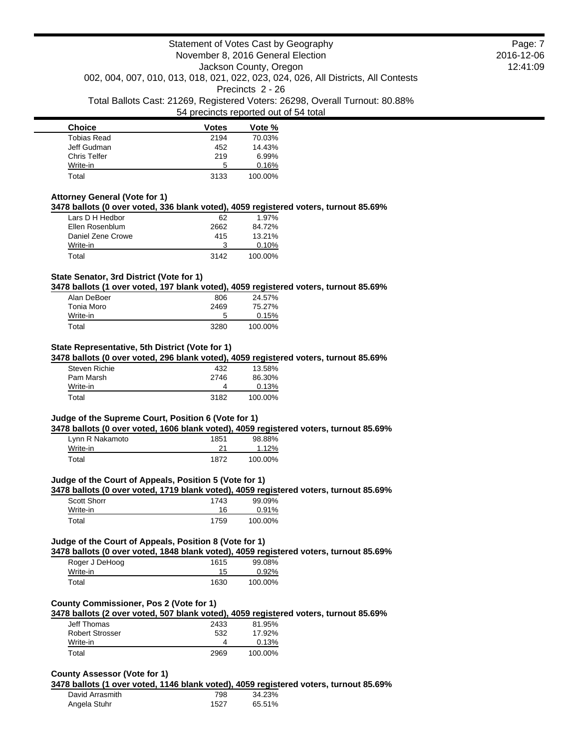| <b>Choice</b> | <b>Votes</b> | Vote %  |
|---------------|--------------|---------|
| Tobias Read   | 2194         | 70.03%  |
| Jeff Gudman   | 452          | 14.43%  |
| Chris Telfer  | 219          | 6.99%   |
| Write-in      | 5            | 0.16%   |
| Total         | 3133         | 100.00% |

#### **Attorney General (Vote for 1)**

**3478 ballots (0 over voted, 336 blank voted), 4059 registered voters, turnout 85.69%**

| Lars D H Hedbor   | 62   | 1.97%   |
|-------------------|------|---------|
| Ellen Rosenblum   | 2662 | 84.72%  |
| Daniel Zene Crowe | 415  | 13.21%  |
| Write-in          | 3    | 0.10%   |
| Total             | 3142 | 100.00% |

#### **State Senator, 3rd District (Vote for 1)**

**3478 ballots (1 over voted, 197 blank voted), 4059 registered voters, turnout 85.69%**

| Alan DeBoer | 806  | 24.57%  |
|-------------|------|---------|
| Tonia Moro  | 2469 | 75.27%  |
| Write-in    | 5    | 0.15%   |
| Total       | 3280 | 100.00% |

## **State Representative, 5th District (Vote for 1)**

**3478 ballots (0 over voted, 296 blank voted), 4059 registered voters, turnout 85.69%**

| Steven Richie | 432  | 13.58%  |
|---------------|------|---------|
| Pam Marsh     | 2746 | 86.30%  |
| Write-in      |      | 0.13%   |
| Total         | 3182 | 100.00% |

## **Judge of the Supreme Court, Position 6 (Vote for 1)**

**3478 ballots (0 over voted, 1606 blank voted), 4059 registered voters, turnout 85.69%**

| Lynn R Nakamoto | 1851 | 98.88%   |
|-----------------|------|----------|
| Write-in        | 21   | $1.12\%$ |
| Total           | 1872 | 100.00%  |

#### **Judge of the Court of Appeals, Position 5 (Vote for 1)**

**3478 ballots (0 over voted, 1719 blank voted), 4059 registered voters, turnout 85.69%**

| Scott Shorr | 1743 | 99.09%  |
|-------------|------|---------|
| Write-in    | 16   | 0.91%   |
| Total       | 1759 | 100.00% |

### **Judge of the Court of Appeals, Position 8 (Vote for 1)**

**3478 ballots (0 over voted, 1848 blank voted), 4059 registered voters, turnout 85.69%**

| Roger J DeHoog | 1615 | 99.08%  |
|----------------|------|---------|
| Write-in       | 15   | 0.92%   |
| Total          | 1630 | 100.00% |

## **County Commissioner, Pos 2 (Vote for 1)**

**3478 ballots (2 over voted, 507 blank voted), 4059 registered voters, turnout 85.69%**

| Jeff Thomas     | 2433 | 81.95%  |
|-----------------|------|---------|
| Robert Strosser | 532  | 17.92%  |
| Write-in        |      | 0.13%   |
| Total           | 2969 | 100.00% |

#### **County Assessor (Vote for 1)**

**3478 ballots (1 over voted, 1146 blank voted), 4059 registered voters, turnout 85.69%** David Arrasmith 798 34.23% Angela Stuhr 1527 65.51%

Page: 7 2016-12-06 12:41:09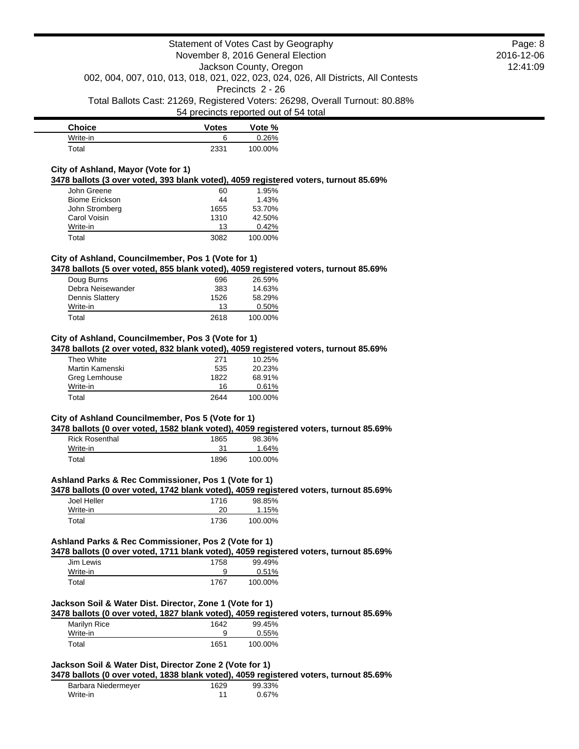| <b>Choice</b> | Votes | Vote %  |
|---------------|-------|---------|
| Write-in      |       | 0.26%   |
| Total         | 2331  | 100.00% |

### **City of Ashland, Mayor (Vote for 1)**

**3478 ballots (3 over voted, 393 blank voted), 4059 registered voters, turnout 85.69%**

| John Greene           | 60   | 1.95%   |
|-----------------------|------|---------|
| <b>Biome Erickson</b> | 44   | 1.43%   |
| John Stromberg        | 1655 | 53.70%  |
| Carol Voisin          | 1310 | 42.50%  |
| Write-in              | 13   | 0.42%   |
| Total                 | 3082 | 100.00% |

## **City of Ashland, Councilmember, Pos 1 (Vote for 1)**

**3478 ballots (5 over voted, 855 blank voted), 4059 registered voters, turnout 85.69%**

| Doug Burns             | 696  | 26.59%   |
|------------------------|------|----------|
| Debra Neisewander      | 383  | 14.63%   |
| <b>Dennis Slattery</b> | 1526 | 58.29%   |
| Write-in               | 13   | $0.50\%$ |
| Total                  | 2618 | 100.00%  |

## **City of Ashland, Councilmember, Pos 3 (Vote for 1)**

**3478 ballots (2 over voted, 832 blank voted), 4059 registered voters, turnout 85.69%**

| Theo White      | 271  | 10.25%  |
|-----------------|------|---------|
| Martin Kamenski | 535  | 20.23%  |
| Greg Lemhouse   | 1822 | 68.91%  |
| Write-in        | 16   | 0.61%   |
| Total           | 2644 | 100.00% |

# **City of Ashland Councilmember, Pos 5 (Vote for 1)**

**3478 ballots (0 over voted, 1582 blank voted), 4059 registered voters, turnout 85.69%**

| <b>Rick Rosenthal</b> | 1865 | 98.36%  |
|-----------------------|------|---------|
| Write-in              | 31   | 1.64%   |
| Total                 | 1896 | 100.00% |

### **Ashland Parks & Rec Commissioner, Pos 1 (Vote for 1)**

**3478 ballots (0 over voted, 1742 blank voted), 4059 registered voters, turnout 85.69%**

| Joel Heller | 1716 | 98.85%  |
|-------------|------|---------|
| Write-in    | 20   | 1.15%   |
| Total       | 1736 | 100.00% |

## **Ashland Parks & Rec Commissioner, Pos 2 (Vote for 1)**

**3478 ballots (0 over voted, 1711 blank voted), 4059 registered voters, turnout 85.69%**

| Jim Lewis | 1758 | 99.49%  |
|-----------|------|---------|
| Write-in  |      | 0.51%   |
| Total     | 1767 | 100.00% |

### **Jackson Soil & Water Dist. Director, Zone 1 (Vote for 1)**

**3478 ballots (0 over voted, 1827 blank voted), 4059 registered voters, turnout 85.69%**

| Marilyn Rice | 1642 | 99.45%   |
|--------------|------|----------|
| Write-in     |      | $0.55\%$ |
| Total        | 1651 | 100.00%  |

# **Jackson Soil & Water Dist, Director Zone 2 (Vote for 1)**

**3478 ballots (0 over voted, 1838 blank voted), 4059 registered voters, turnout 85.69%**

| Barbara Niedermeyer | 1629 | 99.33% |
|---------------------|------|--------|
| Write-in            |      | 0.67%  |

Page: 8 2016-12-06 12:41:09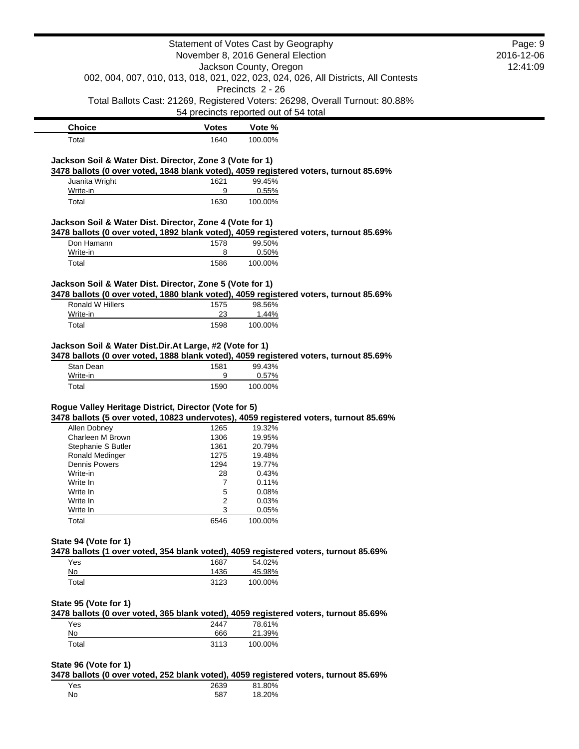|                                                                              |              | Statement of Votes Cast by Geography                                                                                  | Page: 9    |
|------------------------------------------------------------------------------|--------------|-----------------------------------------------------------------------------------------------------------------------|------------|
|                                                                              |              | November 8, 2016 General Election                                                                                     | 2016-12-06 |
|                                                                              |              | Jackson County, Oregon                                                                                                | 12:41:09   |
|                                                                              |              | 002, 004, 007, 010, 013, 018, 021, 022, 023, 024, 026, All Districts, All Contests                                    |            |
|                                                                              |              | Precincts 2 - 26                                                                                                      |            |
|                                                                              |              | Total Ballots Cast: 21269, Registered Voters: 26298, Overall Turnout: 80.88%<br>54 precincts reported out of 54 total |            |
|                                                                              |              |                                                                                                                       |            |
| <b>Choice</b>                                                                | <b>Votes</b> | Vote %                                                                                                                |            |
| Total                                                                        | 1640         | 100.00%                                                                                                               |            |
| Jackson Soil & Water Dist. Director, Zone 3 (Vote for 1)                     |              |                                                                                                                       |            |
|                                                                              |              | 3478 ballots (0 over voted, 1848 blank voted), 4059 registered voters, turnout 85.69%                                 |            |
| Juanita Wright                                                               | 1621         | 99.45%                                                                                                                |            |
| Write-in                                                                     | 9            | 0.55%                                                                                                                 |            |
| Total                                                                        | 1630         | 100.00%                                                                                                               |            |
|                                                                              |              |                                                                                                                       |            |
| Jackson Soil & Water Dist. Director, Zone 4 (Vote for 1)                     |              | 3478 ballots (0 over voted, 1892 blank voted), 4059 registered voters, turnout 85.69%                                 |            |
| Don Hamann                                                                   | 1578         | 99.50%                                                                                                                |            |
| Write-in                                                                     | 8            | 0.50%                                                                                                                 |            |
| Total                                                                        | 1586         | 100.00%                                                                                                               |            |
|                                                                              |              |                                                                                                                       |            |
| Jackson Soil & Water Dist. Director, Zone 5 (Vote for 1)                     |              | 3478 ballots (0 over voted, 1880 blank voted), 4059 registered voters, turnout 85.69%                                 |            |
| Ronald W Hillers                                                             | 1575         | 98.56%                                                                                                                |            |
|                                                                              |              | 1.44%                                                                                                                 |            |
|                                                                              |              |                                                                                                                       |            |
| Write-in<br>Total<br>Jackson Soil & Water Dist.Dir.At Large, #2 (Vote for 1) | 23<br>1598   | 100.00%<br>3478 ballots (0 over voted, 1888 blank voted), 4059 registered voters, turnout 85.69%                      |            |
| Stan Dean<br>Write-in                                                        | 1581<br>9    | 99.43%<br>0.57%                                                                                                       |            |
| Total                                                                        | 1590         | 100.00%                                                                                                               |            |
|                                                                              |              |                                                                                                                       |            |
| Rogue Valley Heritage District, Director (Vote for 5)                        |              |                                                                                                                       |            |
| Allen Dobney                                                                 | 1265         | 3478 ballots (5 over voted, 10823 undervotes), 4059 registered voters, turnout 85.69%<br>19.32%                       |            |
| Charleen M Brown                                                             | 1306         | 19.95%                                                                                                                |            |
| Stephanie S Butler                                                           | 1361         | 20.79%                                                                                                                |            |
| Ronald Medinger                                                              | 1275         | 19.48%                                                                                                                |            |
| Dennis Powers                                                                | 1294         | 19.77%                                                                                                                |            |
| Write-in                                                                     | 28           | 0.43%                                                                                                                 |            |
| Write In                                                                     | 7            | 0.11%                                                                                                                 |            |
| Write In                                                                     | 5            | 0.08%                                                                                                                 |            |
| Write In<br>Write In                                                         | 2<br>3       | 0.03%                                                                                                                 |            |
| Total                                                                        | 6546         | 0.05%<br>100.00%                                                                                                      |            |
|                                                                              |              |                                                                                                                       |            |
| State 94 (Vote for 1)                                                        |              |                                                                                                                       |            |
|                                                                              |              | 3478 ballots (1 over voted, 354 blank voted), 4059 registered voters, turnout 85.69%                                  |            |
| Yes                                                                          | 1687         | 54.02%                                                                                                                |            |
| No<br>Total                                                                  | 1436<br>3123 | 45.98%<br>100.00%                                                                                                     |            |
|                                                                              |              |                                                                                                                       |            |
| State 95 (Vote for 1)                                                        |              |                                                                                                                       |            |
|                                                                              |              | 3478 ballots (0 over voted, 365 blank voted), 4059 registered voters, turnout 85.69%                                  |            |
| Yes                                                                          | 2447         | 78.61%                                                                                                                |            |
| No<br>Total                                                                  | 666<br>3113  | 21.39%<br>100.00%                                                                                                     |            |

Yes 2639 81.80% No 587 18.20%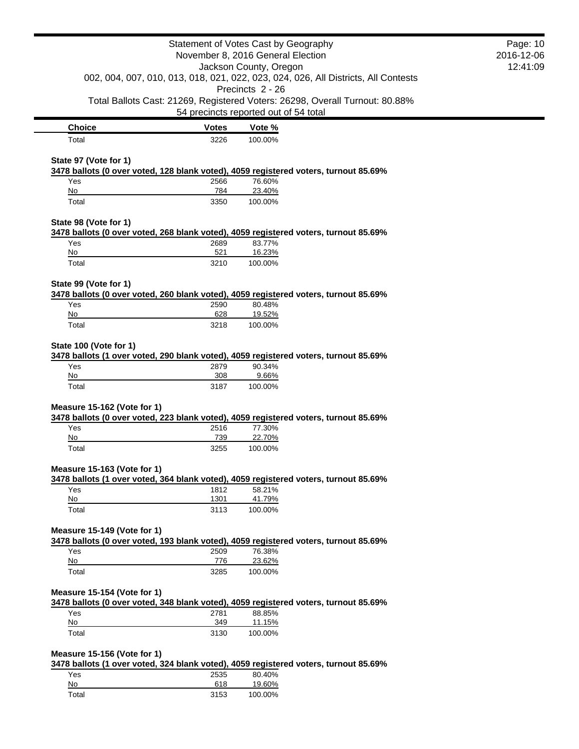|                             |              | Statement of Votes Cast by Geography<br>November 8, 2016 General Election                                             | Page: 10<br>2016-12-06 |
|-----------------------------|--------------|-----------------------------------------------------------------------------------------------------------------------|------------------------|
|                             |              | Jackson County, Oregon<br>002, 004, 007, 010, 013, 018, 021, 022, 023, 024, 026, All Districts, All Contests          | 12:41:09               |
|                             |              | Precincts 2 - 26                                                                                                      |                        |
|                             |              | Total Ballots Cast: 21269, Registered Voters: 26298, Overall Turnout: 80.88%<br>54 precincts reported out of 54 total |                        |
| <b>Choice</b>               | <b>Votes</b> | Vote %                                                                                                                |                        |
| Total                       | 3226         | 100.00%                                                                                                               |                        |
| State 97 (Vote for 1)       |              | 3478 ballots (0 over voted, 128 blank voted), 4059 registered voters, turnout 85.69%                                  |                        |
| Yes                         | 2566         | 76.60%                                                                                                                |                        |
| No                          | 784          | 23.40%                                                                                                                |                        |
| Total                       | 3350         | 100.00%                                                                                                               |                        |
| State 98 (Vote for 1)       |              | 3478 ballots (0 over voted, 268 blank voted), 4059 registered voters, turnout 85.69%                                  |                        |
| Yes                         | 2689         | 83.77%                                                                                                                |                        |
| No<br>Total                 | 521<br>3210  | 16.23%<br>100.00%                                                                                                     |                        |
|                             |              |                                                                                                                       |                        |
| State 99 (Vote for 1)       |              | 3478 ballots (0 over voted, 260 blank voted), 4059 registered voters, turnout 85.69%                                  |                        |
| Yes                         | 2590         | 80.48%                                                                                                                |                        |
| No                          | 628          | 19.52%                                                                                                                |                        |
| Total                       | 3218         | 100.00%                                                                                                               |                        |
| State 100 (Vote for 1)      |              | 3478 ballots (1 over voted, 290 blank voted), 4059 registered voters, turnout 85.69%                                  |                        |
| Yes                         | 2879         | 90.34%                                                                                                                |                        |
| No                          | 308          | 9.66%                                                                                                                 |                        |
| Total                       | 3187         | 100.00%                                                                                                               |                        |
| Measure 15-162 (Vote for 1) |              |                                                                                                                       |                        |
|                             |              | 3478 ballots (0 over voted, 223 blank voted), 4059 registered voters, turnout 85.69%                                  |                        |
| Yes<br>No                   | 2516<br>739  | 77.30%<br>22.70%                                                                                                      |                        |
| Total                       | 3255         | 100.00%                                                                                                               |                        |
| Measure 15-163 (Vote for 1) |              |                                                                                                                       |                        |
|                             |              | 3478 ballots (1 over voted, 364 blank voted), 4059 registered voters, turnout 85.69%                                  |                        |
| Yes                         | 1812         | 58.21%                                                                                                                |                        |
| No<br>Total                 | 1301<br>3113 | 41.79%<br>100.00%                                                                                                     |                        |
|                             |              |                                                                                                                       |                        |
| Measure 15-149 (Vote for 1) |              | 3478 ballots (0 over voted, 193 blank voted), 4059 registered voters, turnout 85.69%                                  |                        |
| Yes                         | 2509         | 76.38%                                                                                                                |                        |
| No<br>Total                 | 776<br>3285  | 23.62%<br>100.00%                                                                                                     |                        |
|                             |              |                                                                                                                       |                        |
| Measure 15-154 (Vote for 1) |              | 3478 ballots (0 over voted, 348 blank voted), 4059 registered voters, turnout 85.69%                                  |                        |
| Yes                         | 2781         | 88.85%                                                                                                                |                        |
| No<br>Total                 | 349<br>3130  | 11.15%<br>100.00%                                                                                                     |                        |
|                             |              |                                                                                                                       |                        |
| Measure 15-156 (Vote for 1) |              | 3478 ballots (1 over voted, 324 blank voted), 4059 registered voters, turnout 85.69%                                  |                        |
| Yes                         | 2535         | 80.40%                                                                                                                |                        |
| No                          | 618          | 19.60%                                                                                                                |                        |
| Total                       | 3153         | 100.00%                                                                                                               |                        |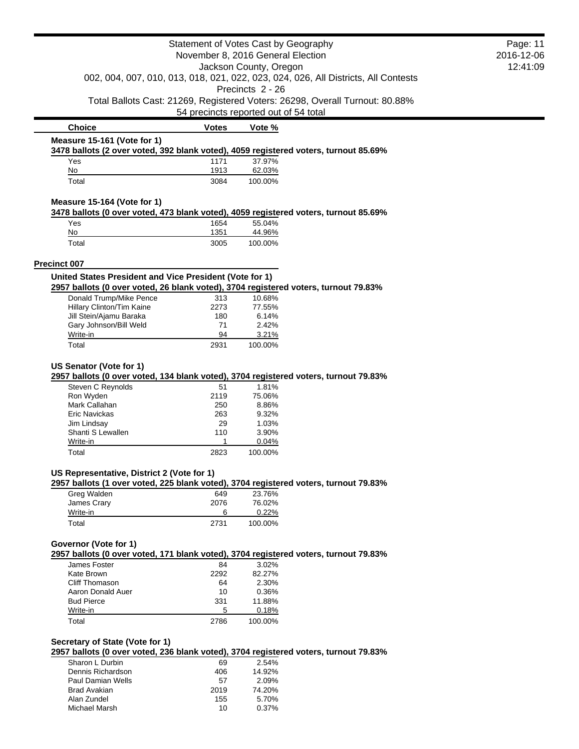|                                                                                                                         |              | Statement of Votes Cast by Geography  |                                                                                    | Page: 11 |
|-------------------------------------------------------------------------------------------------------------------------|--------------|---------------------------------------|------------------------------------------------------------------------------------|----------|
| November 8, 2016 General Election                                                                                       |              | 2016-12-06                            |                                                                                    |          |
|                                                                                                                         |              | Jackson County, Oregon                |                                                                                    | 12:41:09 |
|                                                                                                                         |              |                                       | 002, 004, 007, 010, 013, 018, 021, 022, 023, 024, 026, All Districts, All Contests |          |
|                                                                                                                         |              | Precincts 2 - 26                      |                                                                                    |          |
|                                                                                                                         |              |                                       | Total Ballots Cast: 21269, Registered Voters: 26298, Overall Turnout: 80.88%       |          |
|                                                                                                                         |              | 54 precincts reported out of 54 total |                                                                                    |          |
| <b>Choice</b>                                                                                                           | <b>Votes</b> | Vote %                                |                                                                                    |          |
| Measure 15-161 (Vote for 1)                                                                                             |              |                                       |                                                                                    |          |
| 3478 ballots (2 over voted, 392 blank voted), 4059 registered voters, turnout 85.69%                                    |              |                                       |                                                                                    |          |
| Yes<br>No                                                                                                               | 1171<br>1913 | 37.97%<br>62.03%                      |                                                                                    |          |
| Total                                                                                                                   | 3084         | 100.00%                               |                                                                                    |          |
|                                                                                                                         |              |                                       |                                                                                    |          |
| Measure 15-164 (Vote for 1)                                                                                             |              |                                       |                                                                                    |          |
| 3478 ballots (0 over voted, 473 blank voted), 4059 registered voters, turnout 85.69%                                    |              |                                       |                                                                                    |          |
| Yes<br>No                                                                                                               | 1654<br>1351 | 55.04%<br>44.96%                      |                                                                                    |          |
| Total                                                                                                                   | 3005         | 100.00%                               |                                                                                    |          |
|                                                                                                                         |              |                                       |                                                                                    |          |
| <b>Precinct 007</b>                                                                                                     |              |                                       |                                                                                    |          |
| United States President and Vice President (Vote for 1)                                                                 |              |                                       |                                                                                    |          |
| 2957 ballots (0 over voted, 26 blank voted), 3704 registered voters, turnout 79.83%                                     |              |                                       |                                                                                    |          |
| Donald Trump/Mike Pence                                                                                                 | 313          | 10.68%                                |                                                                                    |          |
| Hillary Clinton/Tim Kaine                                                                                               | 2273         | 77.55%                                |                                                                                    |          |
| Jill Stein/Ajamu Baraka<br>Gary Johnson/Bill Weld                                                                       | 180<br>71    | 6.14%<br>2.42%                        |                                                                                    |          |
| Write-in                                                                                                                | 94           | 3.21%                                 |                                                                                    |          |
| Total                                                                                                                   | 2931         | 100.00%                               |                                                                                    |          |
| Steven C Reynolds<br>Ron Wyden                                                                                          | 51<br>2119   | 1.81%<br>75.06%                       |                                                                                    |          |
| Mark Callahan                                                                                                           | 250          | 8.86%                                 |                                                                                    |          |
| Eric Navickas                                                                                                           | 263          | 9.32%                                 |                                                                                    |          |
| Jim Lindsay                                                                                                             | 29           | 1.03%                                 |                                                                                    |          |
| Shanti S Lewallen<br>Write-in                                                                                           | 110<br>1     | 3.90%<br>0.04%                        |                                                                                    |          |
| Total                                                                                                                   | 2823         | 100.00%                               |                                                                                    |          |
|                                                                                                                         |              |                                       |                                                                                    |          |
| US Representative, District 2 (Vote for 1)                                                                              |              |                                       |                                                                                    |          |
| 2957 ballots (1 over voted, 225 blank voted), 3704 registered voters, turnout 79.83%                                    |              |                                       |                                                                                    |          |
| Greg Walden<br>James Crary                                                                                              | 649<br>2076  | 23.76%<br>76.02%                      |                                                                                    |          |
| Write-in                                                                                                                | 6            | 0.22%                                 |                                                                                    |          |
| Total                                                                                                                   | 2731         | 100.00%                               |                                                                                    |          |
|                                                                                                                         |              |                                       |                                                                                    |          |
| Governor (Vote for 1)                                                                                                   |              |                                       |                                                                                    |          |
| 2957 ballots (0 over voted, 171 blank voted), 3704 registered voters, turnout 79.83%<br>James Foster                    |              | 3.02%                                 |                                                                                    |          |
| Kate Brown                                                                                                              | 84<br>2292   | 82.27%                                |                                                                                    |          |
| <b>Cliff Thomason</b>                                                                                                   | 64           | 2.30%                                 |                                                                                    |          |
| Aaron Donald Auer                                                                                                       | 10           | 0.36%                                 |                                                                                    |          |
| <b>Bud Pierce</b>                                                                                                       | 331          | 11.88%                                |                                                                                    |          |
| Write-in                                                                                                                | 5            | 0.18%                                 |                                                                                    |          |
| Total                                                                                                                   | 2786         | 100.00%                               |                                                                                    |          |
|                                                                                                                         |              |                                       |                                                                                    |          |
| Secretary of State (Vote for 1)<br>2957 ballots (0 over voted, 236 blank voted), 3704 registered voters, turnout 79.83% |              |                                       |                                                                                    |          |
| Sharon L Durbin                                                                                                         | 69           | 2.54%                                 |                                                                                    |          |
| Dennis Richardson                                                                                                       | 406          | 14.92%                                |                                                                                    |          |
|                                                                                                                         | 57           | 2.09%                                 |                                                                                    |          |
| Paul Damian Wells                                                                                                       |              |                                       |                                                                                    |          |

Paul Damian Wells 57 2.09% Brad Avakian 2019 74.20% Alan Zundel 155 5.70%

Michael Marsh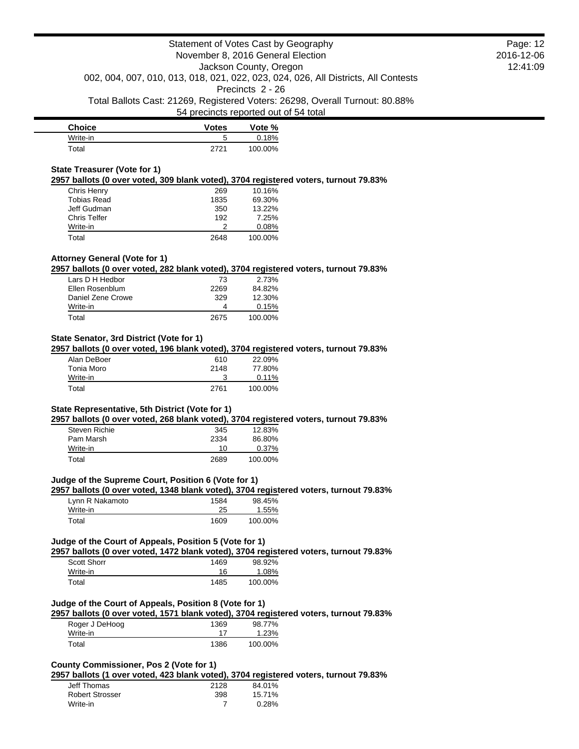| <b>Choice</b> | <b>Votes</b> | Vote %  |
|---------------|--------------|---------|
| Write-in      |              | 0.18%   |
| ™otal         | 2721         | 100.00% |

#### **State Treasurer (Vote for 1)**

**2957 ballots (0 over voted, 309 blank voted), 3704 registered voters, turnout 79.83%**

| Chris Henry        | 269  | 10.16%  |
|--------------------|------|---------|
| <b>Tobias Read</b> | 1835 | 69.30%  |
| Jeff Gudman        | 350  | 13.22%  |
| Chris Telfer       | 192  | 7.25%   |
| Write-in           |      | 0.08%   |
| Total              | 2648 | 100.00% |

## **Attorney General (Vote for 1)**

**2957 ballots (0 over voted, 282 blank voted), 3704 registered voters, turnout 79.83%**

| 73   | 2.73%   |
|------|---------|
| 2269 | 84.82%  |
| 329  | 12.30%  |
|      | 0.15%   |
| 2675 | 100.00% |
|      |         |

## **State Senator, 3rd District (Vote for 1)**

**2957 ballots (0 over voted, 196 blank voted), 3704 registered voters, turnout 79.83%**

| Alan DeBoer | 610  | 22.09%   |
|-------------|------|----------|
| Tonia Moro  | 2148 | 77.80%   |
| Write-in    |      | $0.11\%$ |
| Total       | 2761 | 100.00%  |

#### **State Representative, 5th District (Vote for 1)**

**2957 ballots (0 over voted, 268 blank voted), 3704 registered voters, turnout 79.83%**

| Steven Richie | 345  | 12.83%   |
|---------------|------|----------|
| Pam Marsh     | 2334 | 86.80%   |
| Write-in      | 10   | $0.37\%$ |
| Total         | 2689 | 100.00%  |

### **Judge of the Supreme Court, Position 6 (Vote for 1)**

**2957 ballots (0 over voted, 1348 blank voted), 3704 registered voters, turnout 79.83%**

| Lynn R Nakamoto | 1584 | 98.45%  |
|-----------------|------|---------|
| Write-in        | 25   | 1.55%   |
| Total           | 1609 | 100.00% |

### **Judge of the Court of Appeals, Position 5 (Vote for 1)**

**2957 ballots (0 over voted, 1472 blank voted), 3704 registered voters, turnout 79.83%**

| Scott Shorr | 1469 | 98.92%  |
|-------------|------|---------|
| Write-in    | 16   | 1.08%   |
| Total       | 1485 | 100.00% |

### **Judge of the Court of Appeals, Position 8 (Vote for 1)**

**2957 ballots (0 over voted, 1571 blank voted), 3704 registered voters, turnout 79.83%**

| Roger J DeHoog | 1369 | 98.77%  |
|----------------|------|---------|
| Write-in       |      | 1.23%   |
| Total          | 1386 | 100.00% |

## **County Commissioner, Pos 2 (Vote for 1)**

**2957 ballots (1 over voted, 423 blank voted), 3704 registered voters, turnout 79.83%**

| Jeff Thomas            | 2128 | 84.01% |
|------------------------|------|--------|
| <b>Robert Strosser</b> | 398  | 15.71% |
| Write-in               |      | 0.28%  |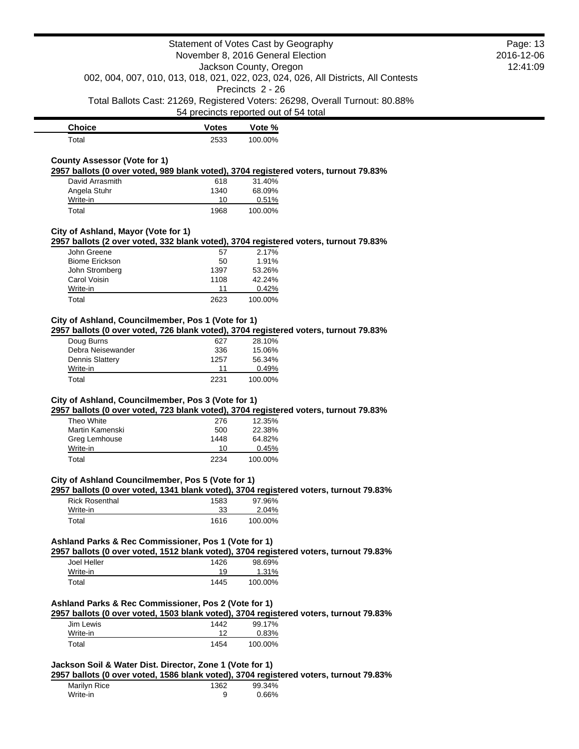**Choice Votes Votes Vote** % Total 2533 100.00%

## **County Assessor (Vote for 1)**

**2957 ballots (0 over voted, 989 blank voted), 3704 registered voters, turnout 79.83%**

| David Arrasmith | 618  | 31.40%  |
|-----------------|------|---------|
| Angela Stuhr    | 1340 | 68.09%  |
| Write-in        | 10   | 0.51%   |
| Total           | 1968 | 100.00% |

#### **City of Ashland, Mayor (Vote for 1)**

**2957 ballots (2 over voted, 332 blank voted), 3704 registered voters, turnout 79.83%**

| John Greene           | 57   | 2.17%     |
|-----------------------|------|-----------|
| <b>Biome Erickson</b> | 50   | 1.91%     |
| John Stromberg        | 1397 | 53.26%    |
| Carol Voisin          | 1108 | $42.24\%$ |
| Write-in              | 11   | 0.42%     |
| Total                 | 2623 | 100.00%   |

# **City of Ashland, Councilmember, Pos 1 (Vote for 1)**

**2957 ballots (0 over voted, 726 blank voted), 3704 registered voters, turnout 79.83%**

| Doug Burns             | 627  | 28.10%  |
|------------------------|------|---------|
| Debra Neisewander      | 336  | 15.06%  |
| <b>Dennis Slattery</b> | 1257 | 56.34%  |
| Write-in               | 11   | 0.49%   |
| Total                  | 2231 | 100.00% |

## **City of Ashland, Councilmember, Pos 3 (Vote for 1)**

**2957 ballots (0 over voted, 723 blank voted), 3704 registered voters, turnout 79.83%**

| Theo White      | 276  | 12.35%  |
|-----------------|------|---------|
| Martin Kamenski | 500  | 22.38%  |
| Greg Lemhouse   | 1448 | 64.82%  |
| Write-in        | 10   | 0.45%   |
| Total           | 2234 | 100.00% |

## **City of Ashland Councilmember, Pos 5 (Vote for 1)**

**2957 ballots (0 over voted, 1341 blank voted), 3704 registered voters, turnout 79.83%**

| <b>Rick Rosenthal</b> | 1583 | 97.96%  |
|-----------------------|------|---------|
| Write-in              | 33   | 2.04%   |
| Total                 | 1616 | 100.00% |

### **Ashland Parks & Rec Commissioner, Pos 1 (Vote for 1)**

**2957 ballots (0 over voted, 1512 blank voted), 3704 registered voters, turnout 79.83%**

| Joel Heller | 1426 | 98.69%  |
|-------------|------|---------|
| Write-in    | 19   | 1.31%   |
| Total       | 1445 | 100.00% |

#### **Ashland Parks & Rec Commissioner, Pos 2 (Vote for 1)**

**2957 ballots (0 over voted, 1503 blank voted), 3704 registered voters, turnout 79.83%**

| Jim Lewis | 1442 | 99.17%  |
|-----------|------|---------|
| Write-in  | ィっ   | 0.83%   |
| Total     | 1454 | 100.00% |

# **Jackson Soil & Water Dist. Director, Zone 1 (Vote for 1)**

**2957 ballots (0 over voted, 1586 blank voted), 3704 registered voters, turnout 79.83%**

| Marilyn Rice | 1362 | 99.34% |
|--------------|------|--------|
| Write-in     |      | 0.66%  |

Page: 13 2016-12-06 12:41:09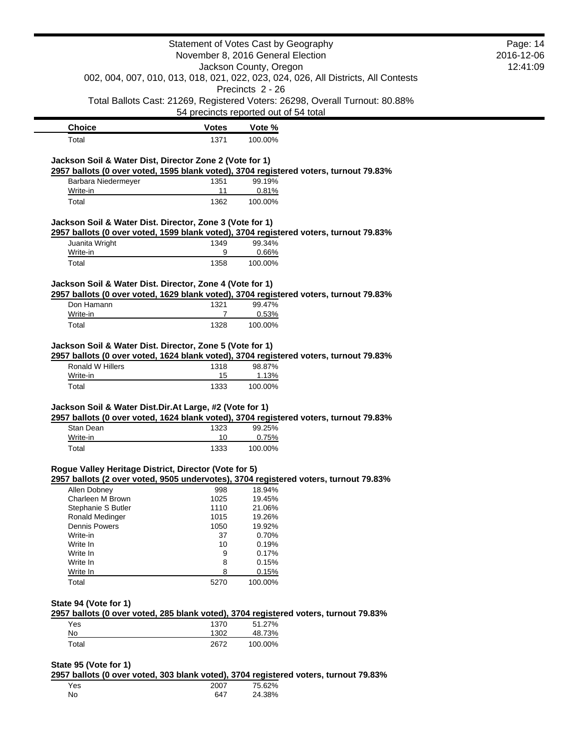|                                                          |                | Statement of Votes Cast by Geography<br>November 8, 2016 General Election                                             | Page: 14<br>2016-12-06 |
|----------------------------------------------------------|----------------|-----------------------------------------------------------------------------------------------------------------------|------------------------|
|                                                          |                | Jackson County, Oregon<br>002, 004, 007, 010, 013, 018, 021, 022, 023, 024, 026, All Districts, All Contests          | 12:41:09               |
|                                                          |                | Precincts 2 - 26                                                                                                      |                        |
|                                                          |                | Total Ballots Cast: 21269, Registered Voters: 26298, Overall Turnout: 80.88%<br>54 precincts reported out of 54 total |                        |
| <b>Choice</b>                                            | <u>Votes</u>   | Vote %                                                                                                                |                        |
| Total                                                    | 1371           | 100.00%                                                                                                               |                        |
| Jackson Soil & Water Dist, Director Zone 2 (Vote for 1)  |                |                                                                                                                       |                        |
| Barbara Niedermeyer                                      | 1351           | 2957 ballots (0 over voted, 1595 blank voted), 3704 registered voters, turnout 79.83%<br>99.19%                       |                        |
| Write-in                                                 | 11             | 0.81%                                                                                                                 |                        |
| Total                                                    | 1362           | 100.00%                                                                                                               |                        |
| Jackson Soil & Water Dist. Director, Zone 3 (Vote for 1) |                | 2957 ballots (0 over voted, 1599 blank voted), 3704 registered voters, turnout 79.83%                                 |                        |
| Juanita Wright                                           | 1349           | 99.34%                                                                                                                |                        |
| Write-in                                                 | 9              | 0.66%                                                                                                                 |                        |
| Total                                                    | 1358           | 100.00%                                                                                                               |                        |
| Jackson Soil & Water Dist. Director, Zone 4 (Vote for 1) |                | 2957 ballots (0 over voted, 1629 blank voted), 3704 registered voters, turnout 79.83%                                 |                        |
| Don Hamann                                               | 1321           | 99.47%                                                                                                                |                        |
| Write-in                                                 | $\overline{7}$ | 0.53%                                                                                                                 |                        |
| Total                                                    | 1328           | 100.00%                                                                                                               |                        |
| Ronald W Hillers<br>Write-in                             | 1318<br>15     | 98.87%<br>1.13%                                                                                                       |                        |
| Total                                                    | 1333           | 100.00%                                                                                                               |                        |
| Jackson Soil & Water Dist.Dir.At Large, #2 (Vote for 1)  |                | 2957 ballots (0 over voted, 1624 blank voted), 3704 registered voters, turnout 79.83%                                 |                        |
| Stan Dean                                                | 1323           | 99.25%                                                                                                                |                        |
| Write-in<br>Total                                        | 10<br>1333     | 0.75%<br>100.00%                                                                                                      |                        |
|                                                          |                |                                                                                                                       |                        |
| Rogue Valley Heritage District, Director (Vote for 5)    |                | 2957 ballots (2 over voted, 9505 undervotes), 3704 registered voters, turnout 79.83%                                  |                        |
| Allen Dobney                                             | 998            | 18.94%                                                                                                                |                        |
| Charleen M Brown                                         | 1025           | 19.45%                                                                                                                |                        |
| Stephanie S Butler                                       | 1110           | 21.06%<br>19.26%                                                                                                      |                        |
| Ronald Medinger<br><b>Dennis Powers</b>                  | 1015<br>1050   | 19.92%                                                                                                                |                        |
| Write-in                                                 | 37             | 0.70%                                                                                                                 |                        |
| Write In                                                 | 10             | 0.19%                                                                                                                 |                        |
| Write In                                                 | 9              | 0.17%                                                                                                                 |                        |
| Write In                                                 | 8              | 0.15%                                                                                                                 |                        |
| Write In                                                 | 8              | 0.15%                                                                                                                 |                        |
| Total                                                    | 5270           | 100.00%                                                                                                               |                        |
| State 94 (Vote for 1)                                    |                | 2957 ballots (0 over voted, 285 blank voted), 3704 registered voters, turnout 79.83%                                  |                        |
| Yes                                                      | 1370           | 51.27%                                                                                                                |                        |
| No                                                       | 1302           | 48.73%                                                                                                                |                        |
| Total                                                    | 2672           | 100.00%                                                                                                               |                        |
|                                                          |                |                                                                                                                       |                        |
| State 95 (Vote for 1)                                    |                | 2957 ballots (0 over voted, 303 blank voted), 3704 registered voters, turnout 79.83%                                  |                        |
|                                                          |                |                                                                                                                       |                        |

| Yes       | 2007 | 75.62% |
|-----------|------|--------|
| <b>No</b> | 647  | 24.38% |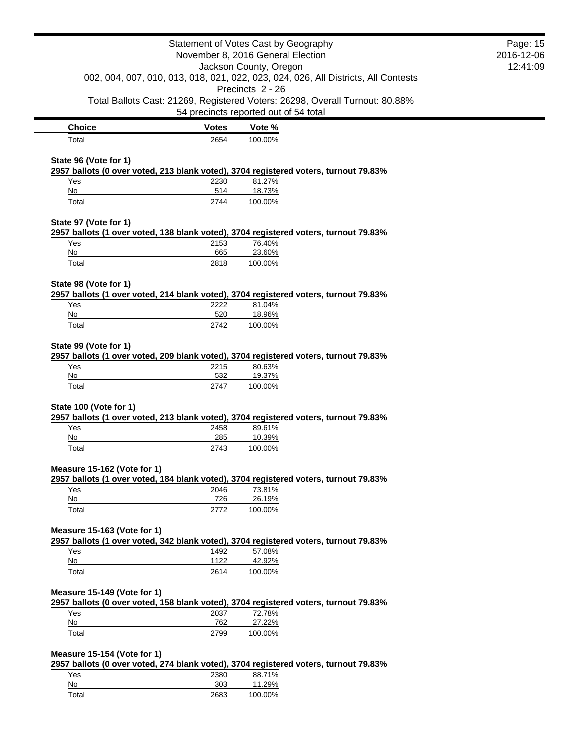|                                  |              | Statement of Votes Cast by Geography<br>November 8, 2016 General Election                                             | Page: 15<br>2016-12-06 |
|----------------------------------|--------------|-----------------------------------------------------------------------------------------------------------------------|------------------------|
|                                  |              | Jackson County, Oregon<br>002, 004, 007, 010, 013, 018, 021, 022, 023, 024, 026, All Districts, All Contests          | 12:41:09               |
|                                  |              | Precincts 2 - 26                                                                                                      |                        |
|                                  |              | Total Ballots Cast: 21269, Registered Voters: 26298, Overall Turnout: 80.88%<br>54 precincts reported out of 54 total |                        |
| <b>Choice</b>                    | <b>Votes</b> | Vote %                                                                                                                |                        |
| Total                            | 2654         | 100.00%                                                                                                               |                        |
| State 96 (Vote for 1)            |              |                                                                                                                       |                        |
|                                  |              | 2957 ballots (0 over voted, 213 blank voted), 3704 registered voters, turnout 79.83%                                  |                        |
| Yes                              | 2230         | 81.27%                                                                                                                |                        |
| No                               | 514          | 18.73%                                                                                                                |                        |
| Total                            | 2744         | 100.00%                                                                                                               |                        |
| State 97 (Vote for 1)            |              |                                                                                                                       |                        |
|                                  |              | 2957 ballots (1 over voted, 138 blank voted), 3704 registered voters, turnout 79.83%                                  |                        |
| Yes                              | 2153         | 76.40%                                                                                                                |                        |
| No<br>Total                      | 665<br>2818  | 23.60%<br>100.00%                                                                                                     |                        |
|                                  |              |                                                                                                                       |                        |
| State 98 (Vote for 1)            |              |                                                                                                                       |                        |
|                                  |              | 2957 ballots (1 over voted, 214 blank voted), 3704 registered voters, turnout 79.83%                                  |                        |
| Yes                              | 2222         | 81.04%                                                                                                                |                        |
| No<br>Total                      | 520<br>2742  | 18.96%<br>100.00%                                                                                                     |                        |
|                                  |              |                                                                                                                       |                        |
| State 99 (Vote for 1)            |              |                                                                                                                       |                        |
|                                  |              | 2957 ballots (1 over voted, 209 blank voted), 3704 registered voters, turnout 79.83%                                  |                        |
| Yes<br>No                        | 2215<br>532  | 80.63%<br>19.37%                                                                                                      |                        |
| Total                            | 2747         | 100.00%                                                                                                               |                        |
|                                  |              |                                                                                                                       |                        |
| State 100 (Vote for 1)           |              |                                                                                                                       |                        |
|                                  |              | 2957 ballots (1 over voted, 213 blank voted), 3704 registered voters, turnout 79.83%                                  |                        |
| Yes<br>No                        | 2458<br>285  | 89.61%<br>10.39%                                                                                                      |                        |
| Total                            | 2743         | 100.00%                                                                                                               |                        |
|                                  |              |                                                                                                                       |                        |
| Measure 15-162 (Vote for 1)      |              |                                                                                                                       |                        |
|                                  |              | 2957 ballots (1 over voted, 184 blank voted), 3704 registered voters, turnout 79.83%                                  |                        |
| Yes<br>No                        | 2046<br>726  | 73.81%<br>26.19%                                                                                                      |                        |
| Total                            | 2772         | 100.00%                                                                                                               |                        |
|                                  |              |                                                                                                                       |                        |
| Measure 15-163 (Vote for 1)      |              |                                                                                                                       |                        |
|                                  |              | 2957 ballots (1 over voted, 342 blank voted), 3704 registered voters, turnout 79.83%                                  |                        |
| Yes                              | 1492         | 57.08%                                                                                                                |                        |
| No<br>Total                      | 1122<br>2614 | 42.92%<br>100.00%                                                                                                     |                        |
|                                  |              |                                                                                                                       |                        |
| Measure 15-149 (Vote for 1)      |              |                                                                                                                       |                        |
| Yes                              |              | 2957 ballots (0 over voted, 158 blank voted), 3704 registered voters, turnout 79.83%<br>72.78%                        |                        |
| No                               | 2037<br>762  | 27.22%                                                                                                                |                        |
| Total                            | 2799         | 100.00%                                                                                                               |                        |
|                                  |              |                                                                                                                       |                        |
| Measure 15-154 (Vote for 1)      |              |                                                                                                                       |                        |
|                                  |              | 2957 ballots (0 over voted, 274 blank voted), 3704 registered voters, turnout 79.83%                                  |                        |
| Yes<br>$\underline{\mathsf{No}}$ | 2380<br>303  | 88.71%<br>11.29%                                                                                                      |                        |
| Total                            | 2683         | 100.00%                                                                                                               |                        |
|                                  |              |                                                                                                                       |                        |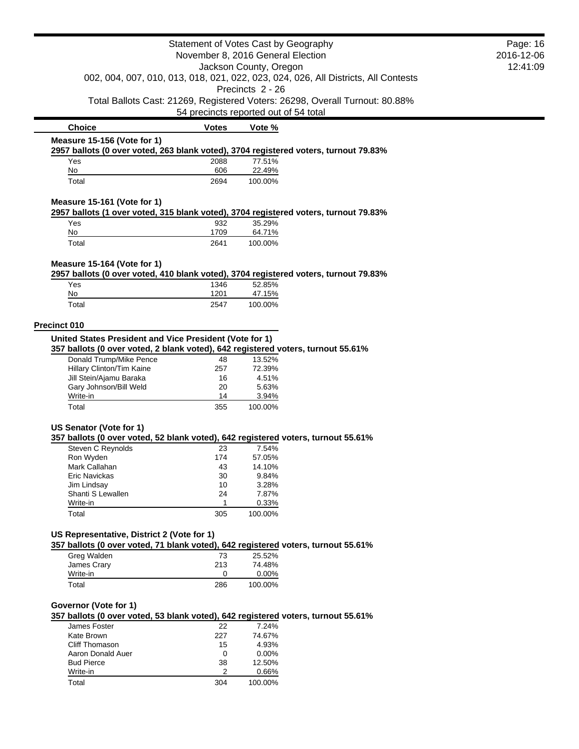|                                                                                                                                 |              | Statement of Votes Cast by Geography<br>November 8, 2016 General Election |                                                                                    | Page: 16<br>2016-12-06 |
|---------------------------------------------------------------------------------------------------------------------------------|--------------|---------------------------------------------------------------------------|------------------------------------------------------------------------------------|------------------------|
|                                                                                                                                 |              | Jackson County, Oregon                                                    |                                                                                    | 12:41:09               |
|                                                                                                                                 |              | Precincts 2 - 26                                                          | 002, 004, 007, 010, 013, 018, 021, 022, 023, 024, 026, All Districts, All Contests |                        |
|                                                                                                                                 |              |                                                                           | Total Ballots Cast: 21269, Registered Voters: 26298, Overall Turnout: 80.88%       |                        |
|                                                                                                                                 |              | 54 precincts reported out of 54 total                                     |                                                                                    |                        |
| <b>Choice</b>                                                                                                                   | <b>Votes</b> | Vote %                                                                    |                                                                                    |                        |
| Measure 15-156 (Vote for 1)                                                                                                     |              |                                                                           |                                                                                    |                        |
| 2957 ballots (0 over voted, 263 blank voted), 3704 registered voters, turnout 79.83%                                            |              |                                                                           |                                                                                    |                        |
| Yes<br>No                                                                                                                       | 2088<br>606  | 77.51%<br>22.49%                                                          |                                                                                    |                        |
| Total                                                                                                                           | 2694         | 100.00%                                                                   |                                                                                    |                        |
| Measure 15-161 (Vote for 1)<br>2957 ballots (1 over voted, 315 blank voted), 3704 registered voters, turnout 79.83%             |              |                                                                           |                                                                                    |                        |
| Yes                                                                                                                             | 932          | 35.29%                                                                    |                                                                                    |                        |
| No                                                                                                                              | 1709         | 64.71%                                                                    |                                                                                    |                        |
| Total                                                                                                                           | 2641         | 100.00%                                                                   |                                                                                    |                        |
| Measure 15-164 (Vote for 1)                                                                                                     |              |                                                                           |                                                                                    |                        |
| 2957 ballots (0 over voted, 410 blank voted), 3704 registered voters, turnout 79.83%                                            |              |                                                                           |                                                                                    |                        |
| Yes<br>No                                                                                                                       | 1346<br>1201 | 52.85%<br>47.15%                                                          |                                                                                    |                        |
| Total                                                                                                                           | 2547         | 100.00%                                                                   |                                                                                    |                        |
| Precinct 010                                                                                                                    |              |                                                                           |                                                                                    |                        |
| United States President and Vice President (Vote for 1)                                                                         |              |                                                                           |                                                                                    |                        |
| 357 ballots (0 over voted, 2 blank voted), 642 registered voters, turnout 55.61%                                                |              |                                                                           |                                                                                    |                        |
| Donald Trump/Mike Pence                                                                                                         | 48           | 13.52%                                                                    |                                                                                    |                        |
| Hillary Clinton/Tim Kaine                                                                                                       | 257          | 72.39%                                                                    |                                                                                    |                        |
| Jill Stein/Ajamu Baraka<br>Gary Johnson/Bill Weld                                                                               | 16           | 4.51%<br>5.63%                                                            |                                                                                    |                        |
| Write-in                                                                                                                        | 20<br>14     | 3.94%                                                                     |                                                                                    |                        |
| Total                                                                                                                           | 355          | 100.00%                                                                   |                                                                                    |                        |
| US Senator (Vote for 1)                                                                                                         |              |                                                                           |                                                                                    |                        |
| 357 ballots (0 over voted, 52 blank voted), 642 registered voters, turnout 55.61%                                               |              |                                                                           |                                                                                    |                        |
| Steven C Reynolds                                                                                                               | 23           | 7.54%                                                                     |                                                                                    |                        |
| Ron Wyden                                                                                                                       | 174          | 57.05%                                                                    |                                                                                    |                        |
| Mark Callahan                                                                                                                   | 43           | 14.10%                                                                    |                                                                                    |                        |
| <b>Eric Navickas</b>                                                                                                            | 30           | 9.84%                                                                     |                                                                                    |                        |
| Jim Lindsay                                                                                                                     | 10           | 3.28%                                                                     |                                                                                    |                        |
| Shanti S Lewallen                                                                                                               | 24           | 7.87%                                                                     |                                                                                    |                        |
| Write-in<br>Total                                                                                                               | 1<br>305     | 0.33%<br>100.00%                                                          |                                                                                    |                        |
|                                                                                                                                 |              |                                                                           |                                                                                    |                        |
| US Representative, District 2 (Vote for 1)<br>357 ballots (0 over voted, 71 blank voted), 642 registered voters, turnout 55.61% |              |                                                                           |                                                                                    |                        |
| Greg Walden                                                                                                                     | 73           | 25.52%                                                                    |                                                                                    |                        |
| James Crary                                                                                                                     | 213          | 74.48%                                                                    |                                                                                    |                        |
| Write-in                                                                                                                        | 0            | 0.00%                                                                     |                                                                                    |                        |
| Total                                                                                                                           | 286          | 100.00%                                                                   |                                                                                    |                        |
|                                                                                                                                 |              |                                                                           |                                                                                    |                        |
| Governor (Vote for 1)<br>357 ballots (0 over voted, 53 blank voted), 642 registered voters, turnout 55.61%                      |              |                                                                           |                                                                                    |                        |
| James Foster                                                                                                                    | 22           | 7.24%                                                                     |                                                                                    |                        |
| Kate Brown                                                                                                                      | 227          | 74.67%                                                                    |                                                                                    |                        |
| Cliff Thomason                                                                                                                  | 15           | 4.93%                                                                     |                                                                                    |                        |
| Aaron Donald Auer                                                                                                               | 0            | 0.00%                                                                     |                                                                                    |                        |
| <b>Bud Pierce</b>                                                                                                               | 38           | 12.50%                                                                    |                                                                                    |                        |
| Write-in                                                                                                                        | 2            | 0.66%                                                                     |                                                                                    |                        |
| Total                                                                                                                           | 304          | 100.00%                                                                   |                                                                                    |                        |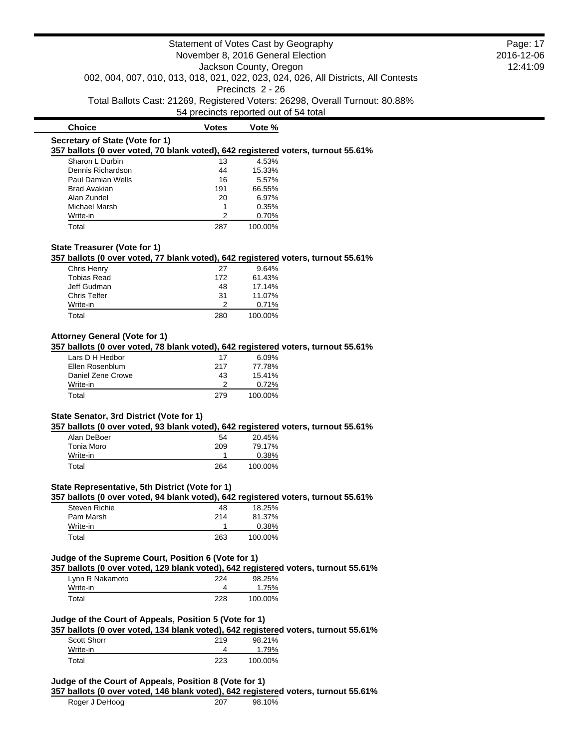|                                                                                                                                      | Statement of Votes Cast by Geography  |                        |                                                                                    | Page: 17 |
|--------------------------------------------------------------------------------------------------------------------------------------|---------------------------------------|------------------------|------------------------------------------------------------------------------------|----------|
| November 8, 2016 General Election                                                                                                    |                                       |                        | 2016-12-06                                                                         |          |
|                                                                                                                                      |                                       | Jackson County, Oregon |                                                                                    | 12:41:09 |
|                                                                                                                                      |                                       |                        | 002, 004, 007, 010, 013, 018, 021, 022, 023, 024, 026, All Districts, All Contests |          |
|                                                                                                                                      |                                       | Precincts 2 - 26       |                                                                                    |          |
|                                                                                                                                      |                                       |                        | Total Ballots Cast: 21269, Registered Voters: 26298, Overall Turnout: 80.88%       |          |
|                                                                                                                                      | 54 precincts reported out of 54 total |                        |                                                                                    |          |
| <b>Choice</b>                                                                                                                        | <b>Votes</b>                          | Vote %                 |                                                                                    |          |
| Secretary of State (Vote for 1)                                                                                                      |                                       |                        |                                                                                    |          |
| 357 ballots (0 over voted, 70 blank voted), 642 registered voters, turnout 55.61%                                                    |                                       |                        |                                                                                    |          |
| Sharon L Durbin                                                                                                                      | 13                                    | 4.53%                  |                                                                                    |          |
| Dennis Richardson                                                                                                                    | 44                                    | 15.33%                 |                                                                                    |          |
| Paul Damian Wells                                                                                                                    | 16                                    | 5.57%                  |                                                                                    |          |
| <b>Brad Avakian</b>                                                                                                                  | 191                                   | 66.55%                 |                                                                                    |          |
| Alan Zundel                                                                                                                          | 20<br>1                               | 6.97%<br>0.35%         |                                                                                    |          |
| Michael Marsh<br>Write-in                                                                                                            | $\overline{2}$                        | 0.70%                  |                                                                                    |          |
| Total                                                                                                                                | 287                                   | 100.00%                |                                                                                    |          |
|                                                                                                                                      |                                       |                        |                                                                                    |          |
| State Treasurer (Vote for 1)                                                                                                         |                                       |                        |                                                                                    |          |
| 357 ballots (0 over voted, 77 blank voted), 642 registered voters, turnout 55.61%                                                    |                                       |                        |                                                                                    |          |
| Chris Henry                                                                                                                          | 27                                    | 9.64%                  |                                                                                    |          |
| <b>Tobias Read</b>                                                                                                                   | 172                                   | 61.43%                 |                                                                                    |          |
| Jeff Gudman                                                                                                                          | 48                                    | 17.14%                 |                                                                                    |          |
| Chris Telfer                                                                                                                         | 31<br>2                               | 11.07%                 |                                                                                    |          |
| Write-in                                                                                                                             |                                       | 0.71%                  |                                                                                    |          |
| Total                                                                                                                                | 280                                   | 100.00%                |                                                                                    |          |
| <b>Attorney General (Vote for 1)</b>                                                                                                 |                                       |                        |                                                                                    |          |
| 357 ballots (0 over voted, 78 blank voted), 642 registered voters, turnout 55.61%                                                    |                                       |                        |                                                                                    |          |
| Lars D H Hedbor                                                                                                                      | 17                                    | 6.09%                  |                                                                                    |          |
| Ellen Rosenblum                                                                                                                      | 217                                   | 77.78%                 |                                                                                    |          |
| Daniel Zene Crowe                                                                                                                    | 43                                    | 15.41%                 |                                                                                    |          |
| Write-in                                                                                                                             | 2                                     | 0.72%                  |                                                                                    |          |
| Total                                                                                                                                | 279                                   | 100.00%                |                                                                                    |          |
|                                                                                                                                      |                                       |                        |                                                                                    |          |
| State Senator, 3rd District (Vote for 1)                                                                                             |                                       |                        |                                                                                    |          |
| 357 ballots (0 over voted, 93 blank voted), 642 registered voters, turnout 55.61%                                                    |                                       |                        |                                                                                    |          |
| Alan DeBoer                                                                                                                          | 54                                    | 20.45%                 |                                                                                    |          |
| Tonia Moro                                                                                                                           | 209                                   | 79.17%                 |                                                                                    |          |
| Write-in                                                                                                                             | 1                                     | 0.38%                  |                                                                                    |          |
| Total                                                                                                                                | 264                                   | 100.00%                |                                                                                    |          |
|                                                                                                                                      |                                       |                        |                                                                                    |          |
| State Representative, 5th District (Vote for 1)<br>357 ballots (0 over voted, 94 blank voted), 642 registered voters, turnout 55.61% |                                       |                        |                                                                                    |          |
| Steven Richie                                                                                                                        | 48                                    | 18.25%                 |                                                                                    |          |
| Pam Marsh                                                                                                                            | 214                                   | 81.37%                 |                                                                                    |          |
| Write-in                                                                                                                             | $\mathbf{1}$                          | 0.38%                  |                                                                                    |          |
| Total                                                                                                                                | 263                                   | 100.00%                |                                                                                    |          |
|                                                                                                                                      |                                       |                        |                                                                                    |          |
| Judge of the Supreme Court, Position 6 (Vote for 1)                                                                                  |                                       |                        |                                                                                    |          |
| 357 ballots (0 over voted, 129 blank voted), 642 registered voters, turnout 55.61%                                                   |                                       |                        |                                                                                    |          |
| Lynn R Nakamoto                                                                                                                      | 224                                   | 98.25%                 |                                                                                    |          |
| Write-in                                                                                                                             | 4                                     | 1.75%                  |                                                                                    |          |
| Total                                                                                                                                | 228                                   | 100.00%                |                                                                                    |          |
|                                                                                                                                      |                                       |                        |                                                                                    |          |
| Judge of the Court of Appeals, Position 5 (Vote for 1)                                                                               |                                       |                        |                                                                                    |          |
| 357 ballots (0 over voted, 134 blank voted), 642 registered voters, turnout 55.61%                                                   |                                       |                        |                                                                                    |          |
| Scott Shorr                                                                                                                          | 219                                   | 98.21%                 |                                                                                    |          |
| Write-in                                                                                                                             | 4                                     | 1.79%                  |                                                                                    |          |
|                                                                                                                                      |                                       |                        |                                                                                    |          |
| Total                                                                                                                                | 223                                   | 100.00%                |                                                                                    |          |

Roger J DeHoog 207 98.10%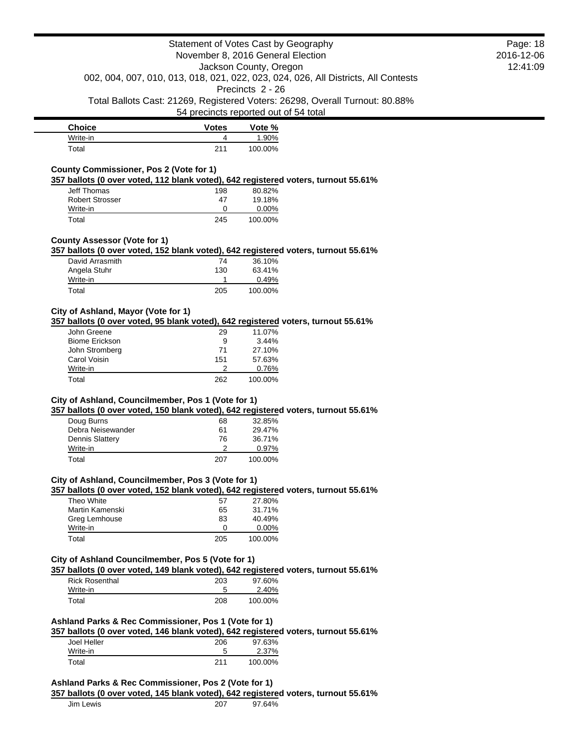| <b>Choice</b> | <b>Votes</b> | Vote %  |
|---------------|--------------|---------|
| Write-in      |              | .90%    |
| Total         | 211          | 100.00% |

## **County Commissioner, Pos 2 (Vote for 1)**

**357 ballots (0 over voted, 112 blank voted), 642 registered voters, turnout 55.61%**

| Jeff Thomas     | 198 | 80.82%   |
|-----------------|-----|----------|
| Robert Strosser | 47  | 19.18%   |
| Write-in        |     | $0.00\%$ |
| Total           | 245 | 100.00%  |

### **County Assessor (Vote for 1)**

**357 ballots (0 over voted, 152 blank voted), 642 registered voters, turnout 55.61%**

| David Arrasmith | 74  | 36.10%  |
|-----------------|-----|---------|
| Angela Stuhr    | 130 | 63.41%  |
| Write-in        |     | 0.49%   |
| Total           | 205 | 100.00% |

### **City of Ashland, Mayor (Vote for 1)**

**357 ballots (0 over voted, 95 blank voted), 642 registered voters, turnout 55.61%**

| John Greene           | 29  | 11.07%  |
|-----------------------|-----|---------|
| <b>Biome Erickson</b> | 9   | 3.44%   |
| John Stromberg        | 71  | 27.10%  |
| Carol Voisin          | 151 | 57.63%  |
| Write-in              |     | 0.76%   |
| Total                 | 262 | 100.00% |
|                       |     |         |

### **City of Ashland, Councilmember, Pos 1 (Vote for 1)**

**357 ballots (0 over voted, 150 blank voted), 642 registered voters, turnout 55.61%**

| Doug Burns             | 68  | 32.85%  |
|------------------------|-----|---------|
| Debra Neisewander      | 61  | 29.47%  |
| <b>Dennis Slattery</b> | 76  | 36.71%  |
| Write-in               |     | 0.97%   |
| Total                  | 207 | 100.00% |

### **City of Ashland, Councilmember, Pos 3 (Vote for 1)**

**357 ballots (0 over voted, 152 blank voted), 642 registered voters, turnout 55.61%**

| Theo White      | 57  | 27.80%   |
|-----------------|-----|----------|
| Martin Kamenski | 65  | 31.71%   |
| Greg Lemhouse   | 83  | 40.49%   |
| Write-in        | O   | $0.00\%$ |
| Total           | 205 | 100.00%  |

#### **City of Ashland Councilmember, Pos 5 (Vote for 1)**

**357 ballots (0 over voted, 149 blank voted), 642 registered voters, turnout 55.61%**

| <b>Rick Rosenthal</b> | 203 | 97.60%  |  |
|-----------------------|-----|---------|--|
| Write-in              | э   | 2.40%   |  |
| Total                 | 208 | 100.00% |  |

### **Ashland Parks & Rec Commissioner, Pos 1 (Vote for 1)**

**357 ballots (0 over voted, 146 blank voted), 642 registered voters, turnout 55.61%**

|             | . . | . .     |
|-------------|-----|---------|
| Joel Heller | 206 | 97.63%  |
| Write-in    | Ð   | 2.37%   |
| ™otal       | 211 | 100.00% |

#### **Ashland Parks & Rec Commissioner, Pos 2 (Vote for 1)**

**357 ballots (0 over voted, 145 blank voted), 642 registered voters, turnout 55.61%**

| Jim Lewis<br>$\sim$ $\sim$ | 207<br>___ | 3.40/<br>u,<br>7ο<br>14 |
|----------------------------|------------|-------------------------|
|                            |            |                         |

Page: 18 2016-12-06 12:41:09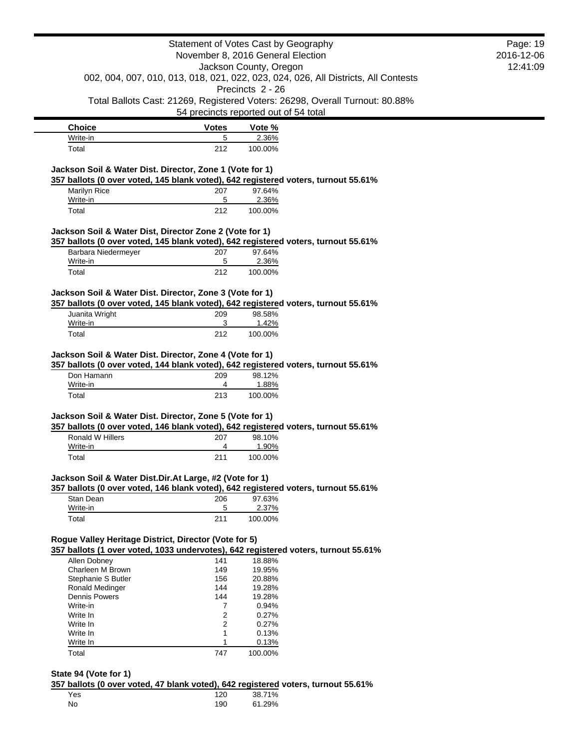|                                                          |              | Statement of Votes Cast by Geography                                                                   | Page: 19   |
|----------------------------------------------------------|--------------|--------------------------------------------------------------------------------------------------------|------------|
|                                                          |              | November 8, 2016 General Election                                                                      | 2016-12-06 |
|                                                          |              | Jackson County, Oregon                                                                                 | 12:41:09   |
|                                                          |              | 002, 004, 007, 010, 013, 018, 021, 022, 023, 024, 026, All Districts, All Contests<br>Precincts 2 - 26 |            |
|                                                          |              | Total Ballots Cast: 21269, Registered Voters: 26298, Overall Turnout: 80.88%                           |            |
|                                                          |              | 54 precincts reported out of 54 total                                                                  |            |
| <b>Choice</b>                                            | <b>Votes</b> | Vote %                                                                                                 |            |
| Write-in                                                 | 5            | 2.36%                                                                                                  |            |
| Total                                                    | 212          | 100.00%                                                                                                |            |
| Jackson Soil & Water Dist. Director, Zone 1 (Vote for 1) |              |                                                                                                        |            |
|                                                          |              | 357 ballots (0 over voted, 145 blank voted), 642 registered voters, turnout 55.61%                     |            |
| Marilyn Rice                                             | 207          | 97.64%                                                                                                 |            |
| Write-in                                                 | 5            | 2.36%                                                                                                  |            |
| Total                                                    | 212          | 100.00%                                                                                                |            |
| Jackson Soil & Water Dist, Director Zone 2 (Vote for 1)  |              |                                                                                                        |            |
|                                                          |              | 357 ballots (0 over voted, 145 blank voted), 642 registered voters, turnout 55.61%                     |            |
| Barbara Niedermeyer                                      | 207          | 97.64%                                                                                                 |            |
| Write-in                                                 | 5            | 2.36%                                                                                                  |            |
| Total                                                    | 212          | 100.00%                                                                                                |            |
| Jackson Soil & Water Dist. Director, Zone 3 (Vote for 1) |              |                                                                                                        |            |
|                                                          |              | 357 ballots (0 over voted, 145 blank voted), 642 registered voters, turnout 55.61%                     |            |
| Juanita Wright                                           | 209          | 98.58%                                                                                                 |            |
| Write-in                                                 | 3            | 1.42%                                                                                                  |            |
|                                                          |              |                                                                                                        |            |
| Total                                                    | 212          | 100.00%                                                                                                |            |
| Jackson Soil & Water Dist. Director, Zone 4 (Vote for 1) |              | 357 ballots (0 over voted, 144 blank voted), 642 registered voters, turnout 55.61%                     |            |
| Don Hamann                                               | 209          | 98.12%                                                                                                 |            |
| Write-in                                                 | 4            | 1.88%                                                                                                  |            |
| Total                                                    | 213          | 100.00%                                                                                                |            |
| Jackson Soil & Water Dist. Director, Zone 5 (Vote for 1) |              |                                                                                                        |            |
| Ronald W Hillers                                         | 207          | 357 ballots (0 over voted, 146 blank voted), 642 registered voters, turnout 55.61%<br>98.10%           |            |
| Write-in                                                 | 4            | 1.90%                                                                                                  |            |
| Total                                                    | 211          | 100.00%                                                                                                |            |
| Jackson Soil & Water Dist.Dir.At Large, #2 (Vote for 1)  |              |                                                                                                        |            |
|                                                          |              | 357 ballots (0 over voted, 146 blank voted), 642 registered voters, turnout 55.61%                     |            |
| Stan Dean                                                | 206          | 97.63%                                                                                                 |            |
| Write-in                                                 | 5            | 2.37%                                                                                                  |            |
| Total                                                    | 211          | 100.00%                                                                                                |            |
| Rogue Valley Heritage District, Director (Vote for 5)    |              |                                                                                                        |            |
|                                                          |              | 357 ballots (1 over voted, 1033 undervotes), 642 registered voters, turnout 55.61%                     |            |
| Allen Dobney                                             | 141          | 18.88%                                                                                                 |            |
| Charleen M Brown                                         | 149          | 19.95%                                                                                                 |            |
| Stephanie S Butler                                       | 156          | 20.88%                                                                                                 |            |
| Ronald Medinger                                          | 144          | 19.28%                                                                                                 |            |
| <b>Dennis Powers</b>                                     | 144          | 19.28%                                                                                                 |            |
| Write-in                                                 | 7            | 0.94%                                                                                                  |            |
| Write In                                                 | 2            | 0.27%                                                                                                  |            |
| Write In                                                 | 2            | 0.27%                                                                                                  |            |
| Write In                                                 | 1            | 0.13%                                                                                                  |            |
| Write In                                                 | 1<br>747     | 0.13%<br>100.00%                                                                                       |            |

#### **State 94 (Vote for 1)**

**357 ballots (0 over voted, 47 blank voted), 642 registered voters, turnout 55.61%**

| Yes. | 120 | 38.71% |
|------|-----|--------|
| No   | 190 | 61.29% |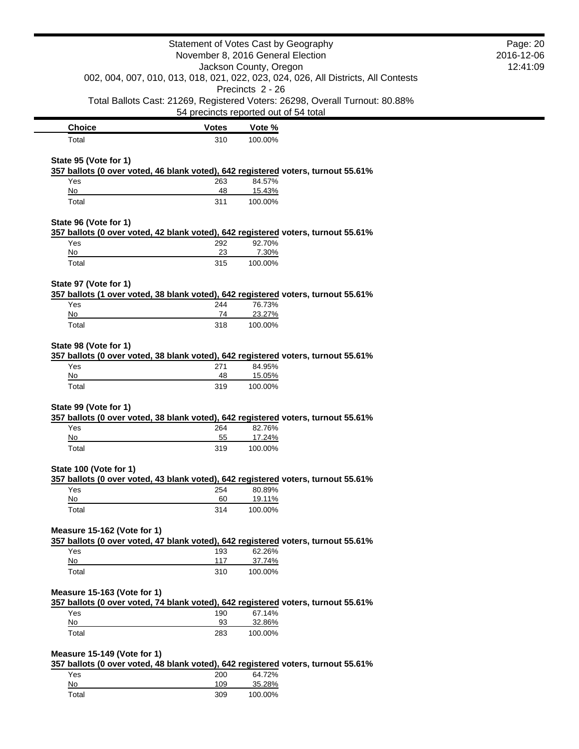|                                                                                                                   | Statement of Votes Cast by Geography<br>November 8, 2016 General Election |                        |                                                                                    | Page: 20<br>2016-12-06<br>12:41:09 |
|-------------------------------------------------------------------------------------------------------------------|---------------------------------------------------------------------------|------------------------|------------------------------------------------------------------------------------|------------------------------------|
|                                                                                                                   |                                                                           | Jackson County, Oregon | 002, 004, 007, 010, 013, 018, 021, 022, 023, 024, 026, All Districts, All Contests |                                    |
|                                                                                                                   |                                                                           | Precincts 2 - 26       | Total Ballots Cast: 21269, Registered Voters: 26298, Overall Turnout: 80.88%       |                                    |
|                                                                                                                   | 54 precincts reported out of 54 total                                     |                        |                                                                                    |                                    |
| <b>Choice</b>                                                                                                     | <b>Votes</b>                                                              | Vote %                 |                                                                                    |                                    |
| Total<br>State 95 (Vote for 1)                                                                                    | 310                                                                       | 100.00%                |                                                                                    |                                    |
| 357 ballots (0 over voted, 46 blank voted), 642 registered voters, turnout 55.61%<br>Yes                          | 263                                                                       | 84.57%                 |                                                                                    |                                    |
| No                                                                                                                | 48                                                                        | 15.43%                 |                                                                                    |                                    |
| Total                                                                                                             | 311                                                                       | 100.00%                |                                                                                    |                                    |
| State 96 (Vote for 1)<br>357 ballots (0 over voted, 42 blank voted), 642 registered voters, turnout 55.61%        |                                                                           |                        |                                                                                    |                                    |
| Yes                                                                                                               | 292                                                                       | 92.70%                 |                                                                                    |                                    |
| No                                                                                                                | 23                                                                        | 7.30%                  |                                                                                    |                                    |
| Total                                                                                                             | 315                                                                       | 100.00%                |                                                                                    |                                    |
| State 97 (Vote for 1)<br>357 ballots (1 over voted, 38 blank voted), 642 registered voters, turnout 55.61%        |                                                                           |                        |                                                                                    |                                    |
| Yes                                                                                                               | 244                                                                       | 76.73%                 |                                                                                    |                                    |
| No<br>Total                                                                                                       | 74<br>318                                                                 | 23.27%<br>100.00%      |                                                                                    |                                    |
|                                                                                                                   |                                                                           |                        |                                                                                    |                                    |
| 357 ballots (0 over voted, 38 blank voted), 642 registered voters, turnout 55.61%<br>Yes<br>No                    | 271<br>48                                                                 | 84.95%<br>15.05%       |                                                                                    |                                    |
| Total                                                                                                             | 319                                                                       | 100.00%                |                                                                                    |                                    |
| State 99 (Vote for 1)<br>357 ballots (0 over voted, 38 blank voted), 642 registered voters, turnout 55.61%<br>Yes | 264                                                                       | 82.76%                 |                                                                                    |                                    |
| No                                                                                                                | 55                                                                        | 17.24%                 |                                                                                    |                                    |
| Total                                                                                                             | 319                                                                       | 100.00%                |                                                                                    |                                    |
| State 100 (Vote for 1)<br>357 ballots (0 over voted, 43 blank voted), 642 registered voters, turnout 55.61%       |                                                                           |                        |                                                                                    |                                    |
| Yes<br>No                                                                                                         | 254<br>60                                                                 | 80.89%<br>19.11%       |                                                                                    |                                    |
| Total                                                                                                             | 314                                                                       | 100.00%                |                                                                                    |                                    |
| Measure 15-162 (Vote for 1)                                                                                       |                                                                           |                        |                                                                                    |                                    |
| 357 ballots (0 over voted, 47 blank voted), 642 registered voters, turnout 55.61%<br>Yes                          | 193                                                                       | 62.26%                 |                                                                                    |                                    |
| No                                                                                                                | 117                                                                       | 37.74%                 |                                                                                    |                                    |
| Total                                                                                                             | 310                                                                       | 100.00%                |                                                                                    |                                    |
| Measure 15-163 (Vote for 1)<br>357 ballots (0 over voted, 74 blank voted), 642 registered voters, turnout 55.61%  |                                                                           |                        |                                                                                    |                                    |
| Yes                                                                                                               | 190                                                                       | 67.14%                 |                                                                                    |                                    |
| No                                                                                                                | 93                                                                        | 32.86%                 |                                                                                    |                                    |
| Total                                                                                                             | 283                                                                       | 100.00%                |                                                                                    |                                    |
| Measure 15-149 (Vote for 1)<br>357 ballots (0 over voted, 48 blank voted), 642 registered voters, turnout 55.61%  |                                                                           |                        |                                                                                    |                                    |
| Yes                                                                                                               | 200                                                                       | 64.72%                 |                                                                                    |                                    |
| $\underline{\mathsf{No}}$                                                                                         | 109                                                                       | 35.28%                 |                                                                                    |                                    |
| Total                                                                                                             | 309                                                                       | 100.00%                |                                                                                    |                                    |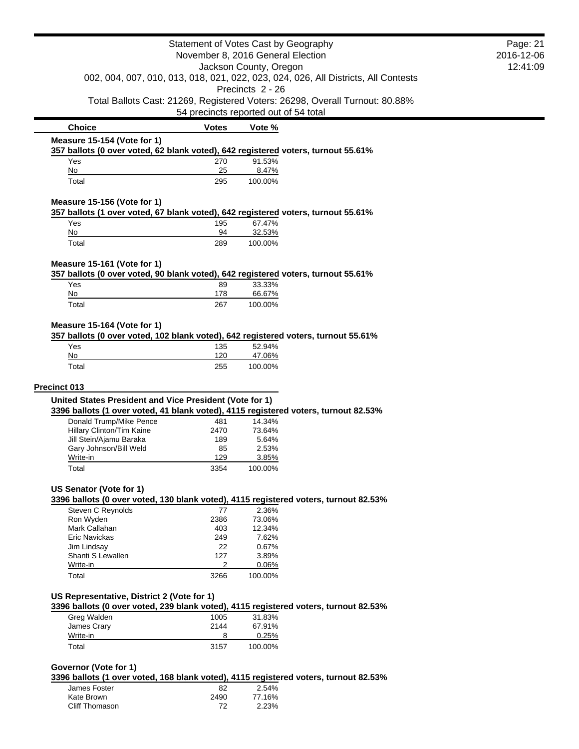|                                                                                                                        | Statement of Votes Cast by Geography<br>November 8, 2016 General Election |                        |                                                                                    | Page: 21<br>2016-12-06 |
|------------------------------------------------------------------------------------------------------------------------|---------------------------------------------------------------------------|------------------------|------------------------------------------------------------------------------------|------------------------|
|                                                                                                                        |                                                                           |                        |                                                                                    | 12:41:09               |
|                                                                                                                        |                                                                           | Jackson County, Oregon |                                                                                    |                        |
|                                                                                                                        |                                                                           |                        | 002, 004, 007, 010, 013, 018, 021, 022, 023, 024, 026, All Districts, All Contests |                        |
|                                                                                                                        |                                                                           | Precincts 2 - 26       |                                                                                    |                        |
|                                                                                                                        | 54 precincts reported out of 54 total                                     |                        | Total Ballots Cast: 21269, Registered Voters: 26298, Overall Turnout: 80.88%       |                        |
| <b>Choice</b>                                                                                                          | <b>Votes</b>                                                              | Vote %                 |                                                                                    |                        |
| Measure 15-154 (Vote for 1)                                                                                            |                                                                           |                        |                                                                                    |                        |
| 357 ballots (0 over voted, 62 blank voted), 642 registered voters, turnout 55.61%                                      |                                                                           |                        |                                                                                    |                        |
| Yes                                                                                                                    | 270                                                                       | 91.53%                 |                                                                                    |                        |
| No<br>Total                                                                                                            | 25<br>295                                                                 | 8.47%                  |                                                                                    |                        |
|                                                                                                                        |                                                                           | 100.00%                |                                                                                    |                        |
| Measure 15-156 (Vote for 1)                                                                                            |                                                                           |                        |                                                                                    |                        |
| 357 ballots (1 over voted, 67 blank voted), 642 registered voters, turnout 55.61%                                      |                                                                           |                        |                                                                                    |                        |
| Yes<br>No                                                                                                              | 195<br>94                                                                 | 67.47%<br>32.53%       |                                                                                    |                        |
| Total                                                                                                                  | 289                                                                       | 100.00%                |                                                                                    |                        |
|                                                                                                                        |                                                                           |                        |                                                                                    |                        |
| Measure 15-161 (Vote for 1)<br>357 ballots (0 over voted, 90 blank voted), 642 registered voters, turnout 55.61%       |                                                                           |                        |                                                                                    |                        |
| Yes                                                                                                                    | 89                                                                        | 33.33%                 |                                                                                    |                        |
| No                                                                                                                     | 178                                                                       | 66.67%                 |                                                                                    |                        |
| Total                                                                                                                  | 267                                                                       | 100.00%                |                                                                                    |                        |
|                                                                                                                        |                                                                           |                        |                                                                                    |                        |
| Measure 15-164 (Vote for 1)                                                                                            |                                                                           |                        |                                                                                    |                        |
| 357 ballots (0 over voted, 102 blank voted), 642 registered voters, turnout 55.61%                                     |                                                                           |                        |                                                                                    |                        |
| Yes<br>No                                                                                                              | 135<br>120                                                                | 52.94%<br>47.06%       |                                                                                    |                        |
| Total                                                                                                                  | 255                                                                       | 100.00%                |                                                                                    |                        |
|                                                                                                                        |                                                                           |                        |                                                                                    |                        |
| Precinct 013                                                                                                           |                                                                           |                        |                                                                                    |                        |
| United States President and Vice President (Vote for 1)                                                                |                                                                           |                        |                                                                                    |                        |
| 3396 ballots (1 over voted, 41 blank voted), 4115 registered voters, turnout 82.53%                                    |                                                                           |                        |                                                                                    |                        |
| Donald Trump/Mike Pence<br>Hillary Clinton/Tim Kaine                                                                   | 481<br>2470                                                               | 14.34%<br>73.64%       |                                                                                    |                        |
| Jill Stein/Ajamu Baraka                                                                                                | 189                                                                       | 5.64%                  |                                                                                    |                        |
| Gary Johnson/Bill Weld                                                                                                 | 85                                                                        | 2.53%                  |                                                                                    |                        |
| Write-in                                                                                                               | 129                                                                       | 3.85%                  |                                                                                    |                        |
| Total                                                                                                                  | 3354                                                                      | 100.00%                |                                                                                    |                        |
|                                                                                                                        |                                                                           |                        |                                                                                    |                        |
| <b>US Senator (Vote for 1)</b><br>3396 ballots (0 over voted, 130 blank voted), 4115 registered voters, turnout 82.53% |                                                                           |                        |                                                                                    |                        |
| Steven C Reynolds                                                                                                      | 77                                                                        | 2.36%                  |                                                                                    |                        |
| Ron Wyden                                                                                                              | 2386                                                                      | 73.06%                 |                                                                                    |                        |
| Mark Callahan                                                                                                          | 403                                                                       | 12.34%                 |                                                                                    |                        |
| Eric Navickas                                                                                                          | 249                                                                       | 7.62%                  |                                                                                    |                        |
| Jim Lindsay                                                                                                            | 22                                                                        | 0.67%                  |                                                                                    |                        |
| Shanti S Lewallen<br>Write-in                                                                                          | 127<br>2                                                                  | 3.89%<br>0.06%         |                                                                                    |                        |
| Total                                                                                                                  | 3266                                                                      | 100.00%                |                                                                                    |                        |
|                                                                                                                        |                                                                           |                        |                                                                                    |                        |
| US Representative, District 2 (Vote for 1)                                                                             |                                                                           |                        |                                                                                    |                        |
| 3396 ballots (0 over voted, 239 blank voted), 4115 registered voters, turnout 82.53%                                   |                                                                           |                        |                                                                                    |                        |
| Greg Walden                                                                                                            | 1005                                                                      | 31.83%                 |                                                                                    |                        |
| James Crary                                                                                                            | 2144                                                                      | 67.91%                 |                                                                                    |                        |
| Write-in                                                                                                               | 8                                                                         | 0.25%                  |                                                                                    |                        |
| Total                                                                                                                  | 3157                                                                      | 100.00%                |                                                                                    |                        |
| Governor (Vote for 1)                                                                                                  |                                                                           |                        |                                                                                    |                        |
| 3396 ballots (1 over voted, 168 blank voted), 4115 registered voters, turnout 82.53%                                   |                                                                           |                        |                                                                                    |                        |
| James Foster                                                                                                           | 82                                                                        | 2.54%                  |                                                                                    |                        |
| Kate Brown                                                                                                             | 2490                                                                      | 77.16%                 |                                                                                    |                        |

Cliff Thomason 72 2.23%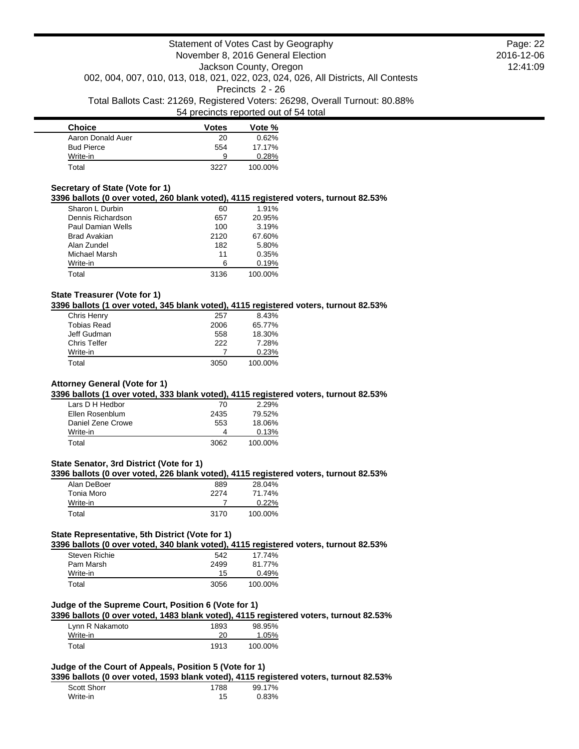| <b>Choice</b>     | <b>Votes</b> | Vote %  |
|-------------------|--------------|---------|
| Aaron Donald Auer | 20           | 0.62%   |
| <b>Bud Pierce</b> | 554          | 17.17%  |
| Write-in          | 9            | 0.28%   |
| Total             | 3227         | 100.00% |

### **Secretary of State (Vote for 1)**

**3396 ballots (0 over voted, 260 blank voted), 4115 registered voters, turnout 82.53%**

| Sharon L Durbin     | 60   | 1.91%   |
|---------------------|------|---------|
| Dennis Richardson   | 657  | 20.95%  |
| Paul Damian Wells   | 100  | 3.19%   |
| <b>Brad Avakian</b> | 2120 | 67.60%  |
| Alan Zundel         | 182  | 5.80%   |
| Michael Marsh       | 11   | 0.35%   |
| Write-in            | ิค   | 0.19%   |
| Total               | 3136 | 100.00% |

## **State Treasurer (Vote for 1)**

**3396 ballots (1 over voted, 345 blank voted), 4115 registered voters, turnout 82.53%**

| Chris Henry        | 257  | 8.43%   |
|--------------------|------|---------|
| <b>Tobias Read</b> | 2006 | 65.77%  |
| Jeff Gudman        | 558  | 18.30%  |
| Chris Telfer       | 222  | 7.28%   |
| Write-in           |      | 0.23%   |
| Total              | 3050 | 100.00% |

## **Attorney General (Vote for 1)**

**3396 ballots (1 over voted, 333 blank voted), 4115 registered voters, turnout 82.53%**

| Lars D H Hedbor   | 70   | 2.29%   |
|-------------------|------|---------|
| Ellen Rosenblum   | 2435 | 79.52%  |
| Daniel Zene Crowe | 553  | 18.06%  |
| Write-in          |      | 0.13%   |
| Total             | 3062 | 100.00% |

## **State Senator, 3rd District (Vote for 1)**

### **3396 ballots (0 over voted, 226 blank voted), 4115 registered voters, turnout 82.53%**

| Alan DeBoer | 889  | 28.04%   |
|-------------|------|----------|
| Tonia Moro  | 2274 | 71.74%   |
| Write-in    |      | $0.22\%$ |
| Total       | 3170 | 100.00%  |

# **State Representative, 5th District (Vote for 1)**

**3396 ballots (0 over voted, 340 blank voted), 4115 registered voters, turnout 82.53%**

| Steven Richie | 542  | 17.74%  |
|---------------|------|---------|
| Pam Marsh     | 2499 | 81.77%  |
| Write-in      | 15   | 0.49%   |
| Total         | 3056 | 100.00% |

### **Judge of the Supreme Court, Position 6 (Vote for 1)**

**3396 ballots (0 over voted, 1483 blank voted), 4115 registered voters, turnout 82.53%**

| Lynn R Nakamoto | 1893 | 98.95%  |
|-----------------|------|---------|
| Write-in        | 20   | 1.05%   |
| Total           | 1913 | 100.00% |

## **Judge of the Court of Appeals, Position 5 (Vote for 1)**

**3396 ballots (0 over voted, 1593 blank voted), 4115 registered voters, turnout 82.53%**

| Scott Shorr | 1788 | 99.17% |
|-------------|------|--------|
| Write-in    | 15   | 0.83%  |

Page: 22 2016-12-06 12:41:09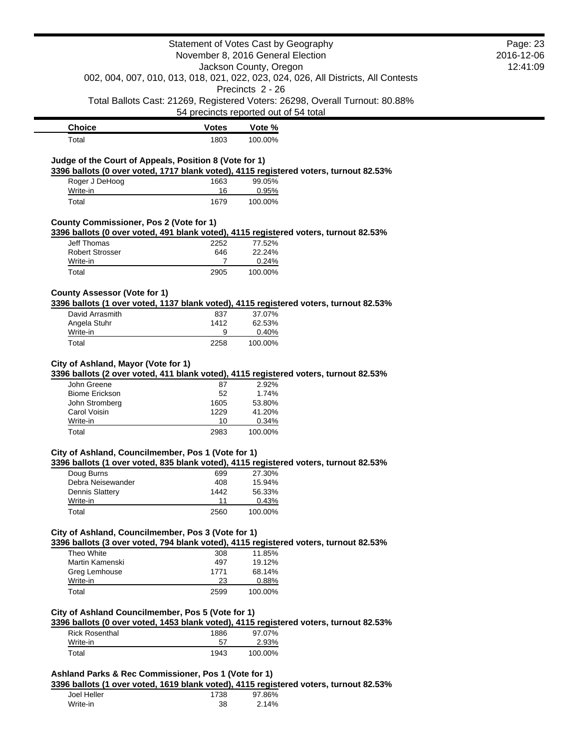|                                                                                                                                                                                                                                                                                                                                                                                                                                                                                                                                                                                                            |                  | Statement of Votes Cast by Geography  |                                                                                    | Page: 23   |
|------------------------------------------------------------------------------------------------------------------------------------------------------------------------------------------------------------------------------------------------------------------------------------------------------------------------------------------------------------------------------------------------------------------------------------------------------------------------------------------------------------------------------------------------------------------------------------------------------------|------------------|---------------------------------------|------------------------------------------------------------------------------------|------------|
|                                                                                                                                                                                                                                                                                                                                                                                                                                                                                                                                                                                                            |                  | November 8, 2016 General Election     |                                                                                    | 2016-12-06 |
|                                                                                                                                                                                                                                                                                                                                                                                                                                                                                                                                                                                                            |                  | Jackson County, Oregon                |                                                                                    | 12:41:09   |
|                                                                                                                                                                                                                                                                                                                                                                                                                                                                                                                                                                                                            |                  | Precincts 2 - 26                      | 002, 004, 007, 010, 013, 018, 021, 022, 023, 024, 026, All Districts, All Contests |            |
|                                                                                                                                                                                                                                                                                                                                                                                                                                                                                                                                                                                                            |                  |                                       | Total Ballots Cast: 21269, Registered Voters: 26298, Overall Turnout: 80.88%       |            |
|                                                                                                                                                                                                                                                                                                                                                                                                                                                                                                                                                                                                            |                  | 54 precincts reported out of 54 total |                                                                                    |            |
| <b>Choice</b>                                                                                                                                                                                                                                                                                                                                                                                                                                                                                                                                                                                              | <b>Votes</b>     | Vote %                                |                                                                                    |            |
| Total                                                                                                                                                                                                                                                                                                                                                                                                                                                                                                                                                                                                      | 1803             | 100.00%                               |                                                                                    |            |
|                                                                                                                                                                                                                                                                                                                                                                                                                                                                                                                                                                                                            |                  |                                       |                                                                                    |            |
| Judge of the Court of Appeals, Position 8 (Vote for 1)<br>3396 ballots (0 over voted, 1717 blank voted), 4115 registered voters, turnout 82.53%                                                                                                                                                                                                                                                                                                                                                                                                                                                            |                  |                                       |                                                                                    |            |
| Roger J DeHoog                                                                                                                                                                                                                                                                                                                                                                                                                                                                                                                                                                                             | 1663             | 99.05%                                |                                                                                    |            |
| Write-in                                                                                                                                                                                                                                                                                                                                                                                                                                                                                                                                                                                                   | 16               | 0.95%                                 |                                                                                    |            |
| Total                                                                                                                                                                                                                                                                                                                                                                                                                                                                                                                                                                                                      | 1679             | 100.00%                               |                                                                                    |            |
| County Commissioner, Pos 2 (Vote for 1)                                                                                                                                                                                                                                                                                                                                                                                                                                                                                                                                                                    |                  |                                       |                                                                                    |            |
| 3396 ballots (0 over voted, 491 blank voted), 4115 registered voters, turnout 82.53%                                                                                                                                                                                                                                                                                                                                                                                                                                                                                                                       |                  |                                       |                                                                                    |            |
| <b>Jeff Thomas</b>                                                                                                                                                                                                                                                                                                                                                                                                                                                                                                                                                                                         | 2252             | 77.52%                                |                                                                                    |            |
| <b>Robert Strosser</b>                                                                                                                                                                                                                                                                                                                                                                                                                                                                                                                                                                                     | 646              | 22.24%                                |                                                                                    |            |
| Write-in<br>Total                                                                                                                                                                                                                                                                                                                                                                                                                                                                                                                                                                                          | 7<br>2905        | 0.24%<br>100.00%                      |                                                                                    |            |
|                                                                                                                                                                                                                                                                                                                                                                                                                                                                                                                                                                                                            |                  |                                       |                                                                                    |            |
| <b>County Assessor (Vote for 1)</b>                                                                                                                                                                                                                                                                                                                                                                                                                                                                                                                                                                        |                  |                                       |                                                                                    |            |
| 3396 ballots (1 over voted, 1137 blank voted), 4115 registered voters, turnout 82.53%                                                                                                                                                                                                                                                                                                                                                                                                                                                                                                                      |                  |                                       |                                                                                    |            |
| David Arrasmith                                                                                                                                                                                                                                                                                                                                                                                                                                                                                                                                                                                            | 837              | 37.07%                                |                                                                                    |            |
| Angela Stuhr<br>Write-in                                                                                                                                                                                                                                                                                                                                                                                                                                                                                                                                                                                   | 1412<br>9        | 62.53%<br>0.40%                       |                                                                                    |            |
|                                                                                                                                                                                                                                                                                                                                                                                                                                                                                                                                                                                                            |                  |                                       |                                                                                    |            |
| Total                                                                                                                                                                                                                                                                                                                                                                                                                                                                                                                                                                                                      | 2258             | 100.00%                               |                                                                                    |            |
| John Greene<br><b>Biome Erickson</b><br>John Stromberg                                                                                                                                                                                                                                                                                                                                                                                                                                                                                                                                                     | 87<br>52<br>1605 | 2.92%<br>1.74%<br>53.80%              |                                                                                    |            |
| Carol Voisin                                                                                                                                                                                                                                                                                                                                                                                                                                                                                                                                                                                               | 1229             | 41.20%                                |                                                                                    |            |
| Write-in                                                                                                                                                                                                                                                                                                                                                                                                                                                                                                                                                                                                   | 10               | 0.34%                                 |                                                                                    |            |
| Total                                                                                                                                                                                                                                                                                                                                                                                                                                                                                                                                                                                                      | 2983             | 100.00%                               |                                                                                    |            |
|                                                                                                                                                                                                                                                                                                                                                                                                                                                                                                                                                                                                            |                  |                                       |                                                                                    |            |
|                                                                                                                                                                                                                                                                                                                                                                                                                                                                                                                                                                                                            |                  |                                       |                                                                                    |            |
| Doug Burns<br>Debra Neisewander                                                                                                                                                                                                                                                                                                                                                                                                                                                                                                                                                                            | 699<br>408       | 27.30%<br>15.94%                      |                                                                                    |            |
| <b>Dennis Slattery</b>                                                                                                                                                                                                                                                                                                                                                                                                                                                                                                                                                                                     | 1442             | 56.33%                                |                                                                                    |            |
| Write-in                                                                                                                                                                                                                                                                                                                                                                                                                                                                                                                                                                                                   | 11               | 0.43%                                 |                                                                                    |            |
| Total                                                                                                                                                                                                                                                                                                                                                                                                                                                                                                                                                                                                      | 2560             | 100.00%                               |                                                                                    |            |
|                                                                                                                                                                                                                                                                                                                                                                                                                                                                                                                                                                                                            |                  |                                       |                                                                                    |            |
|                                                                                                                                                                                                                                                                                                                                                                                                                                                                                                                                                                                                            |                  |                                       |                                                                                    |            |
| Theo White                                                                                                                                                                                                                                                                                                                                                                                                                                                                                                                                                                                                 | 308              | 11.85%                                |                                                                                    |            |
| Martin Kamenski                                                                                                                                                                                                                                                                                                                                                                                                                                                                                                                                                                                            | 497              | 19.12%                                |                                                                                    |            |
| Greg Lemhouse                                                                                                                                                                                                                                                                                                                                                                                                                                                                                                                                                                                              | 1771             | 68.14%                                |                                                                                    |            |
| Write-in<br>Total                                                                                                                                                                                                                                                                                                                                                                                                                                                                                                                                                                                          | 23<br>2599       | 0.88%<br>100.00%                      |                                                                                    |            |
|                                                                                                                                                                                                                                                                                                                                                                                                                                                                                                                                                                                                            |                  |                                       |                                                                                    |            |
|                                                                                                                                                                                                                                                                                                                                                                                                                                                                                                                                                                                                            |                  |                                       |                                                                                    |            |
|                                                                                                                                                                                                                                                                                                                                                                                                                                                                                                                                                                                                            |                  |                                       |                                                                                    |            |
| City of Ashland, Mayor (Vote for 1)<br>3396 ballots (2 over voted, 411 blank voted), 4115 registered voters, turnout 82.53%<br>City of Ashland, Councilmember, Pos 1 (Vote for 1)<br>3396 ballots (1 over voted, 835 blank voted), 4115 registered voters, turnout 82.53%<br>City of Ashland, Councilmember, Pos 3 (Vote for 1)<br>3396 ballots (3 over voted, 794 blank voted), 4115 registered voters, turnout 82.53%<br>City of Ashland Councilmember, Pos 5 (Vote for 1)<br>3396 ballots (0 over voted, 1453 blank voted), 4115 registered voters, turnout 82.53%<br><b>Rick Rosenthal</b><br>Write-in | 1886<br>57       | 97.07%<br>2.93%                       |                                                                                    |            |

**3396 ballots (1 over voted, 1619 blank voted), 4115 registered voters, turnout 82.53%**

| Joel Heller | 1738 | 97.86% |  |
|-------------|------|--------|--|
| Write-in    | 38   | 2.14%  |  |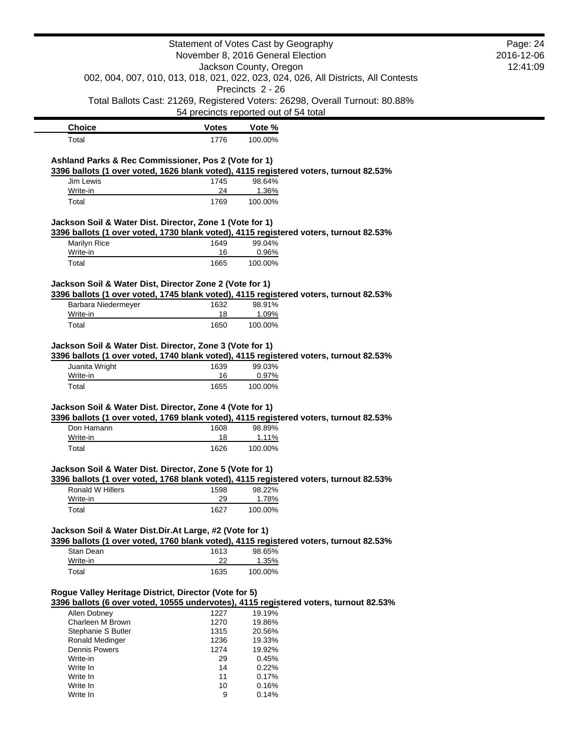|                                                          |              | Statement of Votes Cast by Geography                                                            | Page: 24   |
|----------------------------------------------------------|--------------|-------------------------------------------------------------------------------------------------|------------|
|                                                          |              | November 8, 2016 General Election                                                               | 2016-12-06 |
|                                                          |              | Jackson County, Oregon                                                                          | 12:41:09   |
|                                                          |              | 002, 004, 007, 010, 013, 018, 021, 022, 023, 024, 026, All Districts, All Contests              |            |
|                                                          |              | Precincts 2 - 26                                                                                |            |
|                                                          |              | Total Ballots Cast: 21269, Registered Voters: 26298, Overall Turnout: 80.88%                    |            |
|                                                          |              | 54 precincts reported out of 54 total                                                           |            |
| <b>Choice</b>                                            | <b>Votes</b> | Vote %                                                                                          |            |
| Total                                                    | 1776         | 100.00%                                                                                         |            |
|                                                          |              |                                                                                                 |            |
| Ashland Parks & Rec Commissioner, Pos 2 (Vote for 1)     |              |                                                                                                 |            |
| Jim Lewis                                                | 1745         | 3396 ballots (1 over voted, 1626 blank voted), 4115 registered voters, turnout 82.53%<br>98.64% |            |
| Write-in                                                 | 24           | 1.36%                                                                                           |            |
| Total                                                    | 1769         | 100.00%                                                                                         |            |
|                                                          |              |                                                                                                 |            |
| Jackson Soil & Water Dist. Director, Zone 1 (Vote for 1) |              |                                                                                                 |            |
|                                                          |              | 3396 ballots (1 over voted, 1730 blank voted), 4115 registered voters, turnout 82.53%           |            |
| Marilyn Rice                                             | 1649         | 99.04%                                                                                          |            |
| Write-in                                                 | 16           | 0.96%                                                                                           |            |
| Total                                                    | 1665         | 100.00%                                                                                         |            |
| Jackson Soil & Water Dist, Director Zone 2 (Vote for 1)  |              |                                                                                                 |            |
|                                                          |              | 3396 ballots (1 over voted, 1745 blank voted), 4115 registered voters, turnout 82.53%           |            |
| Barbara Niedermeyer                                      | 1632         | 98.91%                                                                                          |            |
| Write-in                                                 | 18           | 1.09%                                                                                           |            |
| Total                                                    | 1650         | 100.00%                                                                                         |            |
|                                                          |              |                                                                                                 |            |
| Jackson Soil & Water Dist. Director, Zone 3 (Vote for 1) |              |                                                                                                 |            |
|                                                          |              | 3396 ballots (1 over voted, 1740 blank voted), 4115 registered voters, turnout 82.53%           |            |
| Juanita Wright                                           | 1639         | 99.03%                                                                                          |            |
| Write-in                                                 | 16           | 0.97%                                                                                           |            |
| Total                                                    | 1655         | 100.00%                                                                                         |            |
| Jackson Soil & Water Dist. Director, Zone 4 (Vote for 1) |              |                                                                                                 |            |
|                                                          |              |                                                                                                 |            |
|                                                          |              |                                                                                                 |            |
| Don Hamann                                               | 1608         | 3396 ballots (1 over voted, 1769 blank voted), 4115 registered voters, turnout 82.53%<br>98.89% |            |
| Write-in                                                 | 18           | 1.11%                                                                                           |            |
| Total                                                    | 1626         | 100.00%                                                                                         |            |
|                                                          |              |                                                                                                 |            |
| Jackson Soil & Water Dist. Director, Zone 5 (Vote for 1) |              |                                                                                                 |            |
|                                                          |              | 3396 ballots (1 over voted, 1768 blank voted), 4115 registered voters, turnout 82.53%           |            |
| Ronald W Hillers                                         | 1598         | 98.22%                                                                                          |            |
| Write-in                                                 | 29           | 1.78%                                                                                           |            |
| Total                                                    | 1627         | 100.00%                                                                                         |            |
|                                                          |              |                                                                                                 |            |
| Jackson Soil & Water Dist.Dir.At Large, #2 (Vote for 1)  |              |                                                                                                 |            |
|                                                          |              | 3396 ballots (1 over voted, 1760 blank voted), 4115 registered voters, turnout 82.53%           |            |
| Stan Dean<br>Write-in                                    | 1613<br>22   | 98.65%<br>1.35%                                                                                 |            |
| Total                                                    | 1635         | 100.00%                                                                                         |            |
|                                                          |              |                                                                                                 |            |
| Rogue Valley Heritage District, Director (Vote for 5)    |              |                                                                                                 |            |
|                                                          |              | 3396 ballots (6 over voted, 10555 undervotes), 4115 registered voters, turnout 82.53%           |            |
| Allen Dobney                                             | 1227         | 19.19%                                                                                          |            |
| Charleen M Brown                                         | 1270         | 19.86%                                                                                          |            |
| Stephanie S Butler                                       | 1315         | 20.56%                                                                                          |            |
| Ronald Medinger                                          | 1236         | 19.33%                                                                                          |            |
| <b>Dennis Powers</b>                                     | 1274         | 19.92%                                                                                          |            |
| Write-in<br>Write In                                     | 29<br>14     | 0.45%<br>0.22%                                                                                  |            |
| Write In                                                 | 11           | 0.17%                                                                                           |            |
| Write In<br>Write In                                     | 10<br>9      | 0.16%<br>0.14%                                                                                  |            |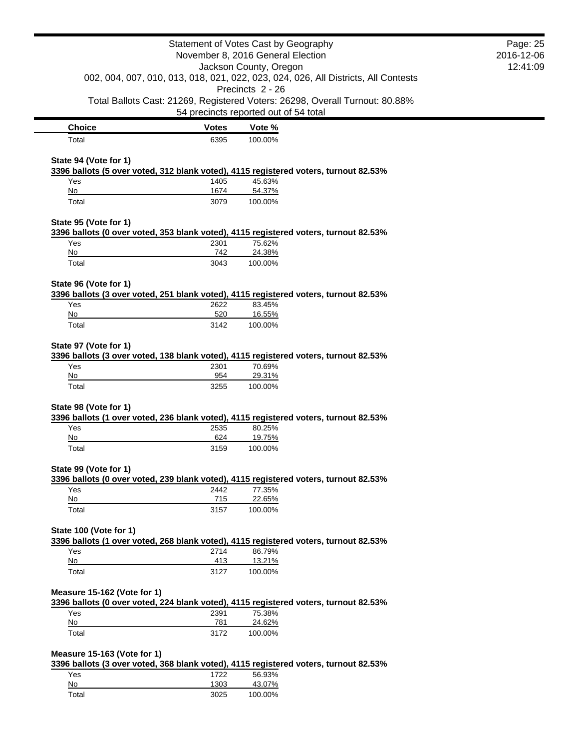|                                                                                                               |              | Statement of Votes Cast by Geography<br>November 8, 2016 General Election |                                                                                    | Page: 25<br>2016-12-06 |
|---------------------------------------------------------------------------------------------------------------|--------------|---------------------------------------------------------------------------|------------------------------------------------------------------------------------|------------------------|
| Jackson County, Oregon                                                                                        |              | 12:41:09                                                                  |                                                                                    |                        |
|                                                                                                               |              |                                                                           | 002, 004, 007, 010, 013, 018, 021, 022, 023, 024, 026, All Districts, All Contests |                        |
|                                                                                                               |              | Precincts 2 - 26                                                          |                                                                                    |                        |
|                                                                                                               |              |                                                                           | Total Ballots Cast: 21269, Registered Voters: 26298, Overall Turnout: 80.88%       |                        |
|                                                                                                               |              | 54 precincts reported out of 54 total                                     |                                                                                    |                        |
| <b>Choice</b>                                                                                                 | <b>Votes</b> | Vote %                                                                    |                                                                                    |                        |
| Total                                                                                                         | 6395         | 100.00%                                                                   |                                                                                    |                        |
|                                                                                                               |              |                                                                           |                                                                                    |                        |
| State 94 (Vote for 1)                                                                                         |              |                                                                           |                                                                                    |                        |
| 3396 ballots (5 over voted, 312 blank voted), 4115 registered voters, turnout 82.53%                          |              | 45.63%                                                                    |                                                                                    |                        |
| Yes<br>No                                                                                                     | 1405<br>1674 | 54.37%                                                                    |                                                                                    |                        |
| Total                                                                                                         | 3079         | 100.00%                                                                   |                                                                                    |                        |
|                                                                                                               |              |                                                                           |                                                                                    |                        |
| State 95 (Vote for 1)<br>3396 ballots (0 over voted, 353 blank voted), 4115 registered voters, turnout 82.53% |              |                                                                           |                                                                                    |                        |
| Yes                                                                                                           | 2301         | 75.62%                                                                    |                                                                                    |                        |
| $No$                                                                                                          | 742          | 24.38%                                                                    |                                                                                    |                        |
| Total                                                                                                         | 3043         | 100.00%                                                                   |                                                                                    |                        |
|                                                                                                               |              |                                                                           |                                                                                    |                        |
| State 96 (Vote for 1)                                                                                         |              |                                                                           |                                                                                    |                        |
| 3396 ballots (3 over voted, 251 blank voted), 4115 registered voters, turnout 82.53%                          |              |                                                                           |                                                                                    |                        |
| Yes<br>No                                                                                                     | 2622<br>520  | 83.45%<br>16.55%                                                          |                                                                                    |                        |
| Total                                                                                                         | 3142         | 100.00%                                                                   |                                                                                    |                        |
|                                                                                                               |              |                                                                           |                                                                                    |                        |
| State 97 (Vote for 1)                                                                                         |              |                                                                           |                                                                                    |                        |
| 3396 ballots (3 over voted, 138 blank voted), 4115 registered voters, turnout 82.53%                          |              |                                                                           |                                                                                    |                        |
| Yes<br>No                                                                                                     | 2301<br>954  | 70.69%                                                                    |                                                                                    |                        |
| Total                                                                                                         | 3255         | 29.31%<br>100.00%                                                         |                                                                                    |                        |
|                                                                                                               |              |                                                                           |                                                                                    |                        |
| State 98 (Vote for 1)                                                                                         |              |                                                                           |                                                                                    |                        |
| 3396 ballots (1 over voted, 236 blank voted), 4115 registered voters, turnout 82.53%                          |              |                                                                           |                                                                                    |                        |
| Yes                                                                                                           | 2535         | 80.25%                                                                    |                                                                                    |                        |
| No                                                                                                            | 624          | 19.75%                                                                    |                                                                                    |                        |
| Total                                                                                                         | 3159         | 100.00%                                                                   |                                                                                    |                        |
| State 99 (Vote for 1)                                                                                         |              |                                                                           |                                                                                    |                        |
| 3396 ballots (0 over voted, 239 blank voted), 4115 registered voters, turnout 82.53%                          |              |                                                                           |                                                                                    |                        |
| Yes                                                                                                           | 2442         | 77.35%                                                                    |                                                                                    |                        |
| $\underline{\mathsf{No}}$                                                                                     | 715          | 22.65%                                                                    |                                                                                    |                        |
| Total                                                                                                         | 3157         | 100.00%                                                                   |                                                                                    |                        |
| State 100 (Vote for 1)                                                                                        |              |                                                                           |                                                                                    |                        |
| 3396 ballots (1 over voted, 268 blank voted), 4115 registered voters, turnout 82.53%                          |              |                                                                           |                                                                                    |                        |
| Yes                                                                                                           | 2714         | 86.79%                                                                    |                                                                                    |                        |
| No                                                                                                            | 413          | 13.21%                                                                    |                                                                                    |                        |
| Total                                                                                                         | 3127         | 100.00%                                                                   |                                                                                    |                        |
|                                                                                                               |              |                                                                           |                                                                                    |                        |
| Measure 15-162 (Vote for 1)                                                                                   |              |                                                                           |                                                                                    |                        |
| 3396 ballots (0 over voted, 224 blank voted), 4115 registered voters, turnout 82.53%                          |              |                                                                           |                                                                                    |                        |
| Yes                                                                                                           | 2391         | 75.38%                                                                    |                                                                                    |                        |
| No<br>Total                                                                                                   | 781<br>3172  | 24.62%<br>100.00%                                                         |                                                                                    |                        |
|                                                                                                               |              |                                                                           |                                                                                    |                        |
| Measure 15-163 (Vote for 1)                                                                                   |              |                                                                           |                                                                                    |                        |
| 3396 ballots (3 over voted, 368 blank voted), 4115 registered voters, turnout 82.53%                          |              |                                                                           |                                                                                    |                        |
| Yes                                                                                                           | 1722         | 56.93%                                                                    |                                                                                    |                        |
| No                                                                                                            | 1303         | 43.07%                                                                    |                                                                                    |                        |
| Total                                                                                                         | 3025         | 100.00%                                                                   |                                                                                    |                        |
|                                                                                                               |              |                                                                           |                                                                                    |                        |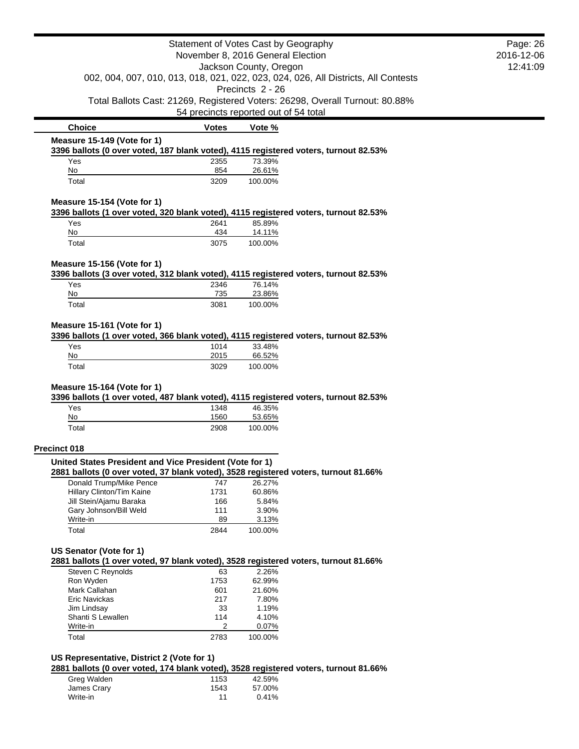| Statement of Votes Cast by Geography                                                                                |                                       | Page: 26          |                                                                              |  |
|---------------------------------------------------------------------------------------------------------------------|---------------------------------------|-------------------|------------------------------------------------------------------------------|--|
| November 8, 2016 General Election                                                                                   |                                       | 2016-12-06        |                                                                              |  |
| Jackson County, Oregon                                                                                              |                                       | 12:41:09          |                                                                              |  |
| 002, 004, 007, 010, 013, 018, 021, 022, 023, 024, 026, All Districts, All Contests                                  |                                       |                   |                                                                              |  |
|                                                                                                                     |                                       | Precincts 2 - 26  |                                                                              |  |
|                                                                                                                     |                                       |                   | Total Ballots Cast: 21269, Registered Voters: 26298, Overall Turnout: 80.88% |  |
|                                                                                                                     | 54 precincts reported out of 54 total |                   |                                                                              |  |
| <b>Choice</b>                                                                                                       | <b>Votes</b>                          | Vote %            |                                                                              |  |
| Measure 15-149 (Vote for 1)                                                                                         |                                       |                   |                                                                              |  |
| 3396 ballots (0 over voted, 187 blank voted), 4115 registered voters, turnout 82.53%                                |                                       |                   |                                                                              |  |
| Yes<br>No                                                                                                           | 2355<br>854                           | 73.39%            |                                                                              |  |
| Total                                                                                                               | 3209                                  | 26.61%<br>100.00% |                                                                              |  |
|                                                                                                                     |                                       |                   |                                                                              |  |
| Measure 15-154 (Vote for 1)<br>3396 ballots (1 over voted, 320 blank voted), 4115 registered voters, turnout 82.53% |                                       |                   |                                                                              |  |
| Yes                                                                                                                 | 2641                                  | 85.89%            |                                                                              |  |
| No                                                                                                                  | 434                                   | 14.11%            |                                                                              |  |
| Total                                                                                                               | 3075                                  | 100.00%           |                                                                              |  |
| Measure 15-156 (Vote for 1)                                                                                         |                                       |                   |                                                                              |  |
| 3396 ballots (3 over voted, 312 blank voted), 4115 registered voters, turnout 82.53%                                |                                       |                   |                                                                              |  |
| Yes                                                                                                                 | 2346                                  | 76.14%            |                                                                              |  |
| No                                                                                                                  | 735                                   | 23.86%            |                                                                              |  |
| Total                                                                                                               | 3081                                  | 100.00%           |                                                                              |  |
|                                                                                                                     |                                       |                   |                                                                              |  |
| Measure 15-161 (Vote for 1)                                                                                         |                                       |                   |                                                                              |  |
| 3396 ballots (1 over voted, 366 blank voted), 4115 registered voters, turnout 82.53%                                |                                       |                   |                                                                              |  |
| Yes<br>No                                                                                                           | 1014<br>2015                          | 33.48%<br>66.52%  |                                                                              |  |
| Total                                                                                                               | 3029                                  | 100.00%           |                                                                              |  |
|                                                                                                                     |                                       |                   |                                                                              |  |
| Measure 15-164 (Vote for 1)                                                                                         |                                       |                   |                                                                              |  |
| 3396 ballots (1 over voted, 487 blank voted), 4115 registered voters, turnout 82.53%                                |                                       |                   |                                                                              |  |
| Yes                                                                                                                 | 1348                                  | 46.35%            |                                                                              |  |
| No                                                                                                                  | 1560                                  | 53.65%            |                                                                              |  |
| Total                                                                                                               | 2908                                  | 100.00%           |                                                                              |  |
| <b>Precinct 018</b>                                                                                                 |                                       |                   |                                                                              |  |
| United States President and Vice President (Vote for 1)                                                             |                                       |                   |                                                                              |  |
| 2881 ballots (0 over voted, 37 blank voted), 3528 registered voters, turnout 81.66%                                 |                                       |                   |                                                                              |  |
| Donald Trump/Mike Pence                                                                                             | 747                                   | 26.27%            |                                                                              |  |
| Hillary Clinton/Tim Kaine                                                                                           | 1731                                  | 60.86%            |                                                                              |  |
| Jill Stein/Ajamu Baraka                                                                                             | 166                                   | 5.84%             |                                                                              |  |
| Gary Johnson/Bill Weld                                                                                              | 111                                   | 3.90%             |                                                                              |  |
| Write-in                                                                                                            | 89                                    | 3.13%             |                                                                              |  |
| Total                                                                                                               | 2844                                  | 100.00%           |                                                                              |  |
| US Senator (Vote for 1)                                                                                             |                                       |                   |                                                                              |  |
| 2881 ballots (1 over voted, 97 blank voted), 3528 registered voters, turnout 81.66%                                 |                                       |                   |                                                                              |  |
| Steven C Reynolds                                                                                                   | 63                                    | 2.26%             |                                                                              |  |
| Ron Wyden                                                                                                           | 1753                                  | 62.99%            |                                                                              |  |
| Mark Callahan                                                                                                       | 601                                   | 21.60%            |                                                                              |  |
| Eric Navickas                                                                                                       | 217                                   | 7.80%             |                                                                              |  |
| Jim Lindsay                                                                                                         | 33                                    | 1.19%             |                                                                              |  |
| Shanti S Lewallen                                                                                                   | 114                                   | 4.10%             |                                                                              |  |
| Write-in                                                                                                            | 2                                     | 0.07%             |                                                                              |  |
| Total                                                                                                               | 2783                                  | 100.00%           |                                                                              |  |
| US Representative, District 2 (Vote for 1)                                                                          |                                       |                   |                                                                              |  |
| 2881 ballots (0 over voted, 174 blank voted), 3528 registered voters, turnout 81.66%                                |                                       |                   |                                                                              |  |
| Greg Walden                                                                                                         | 1153                                  | 42.59%            |                                                                              |  |
| James Crary                                                                                                         | 1543                                  | 57.00%            |                                                                              |  |
| Write-in                                                                                                            | 11                                    | 0.41%             |                                                                              |  |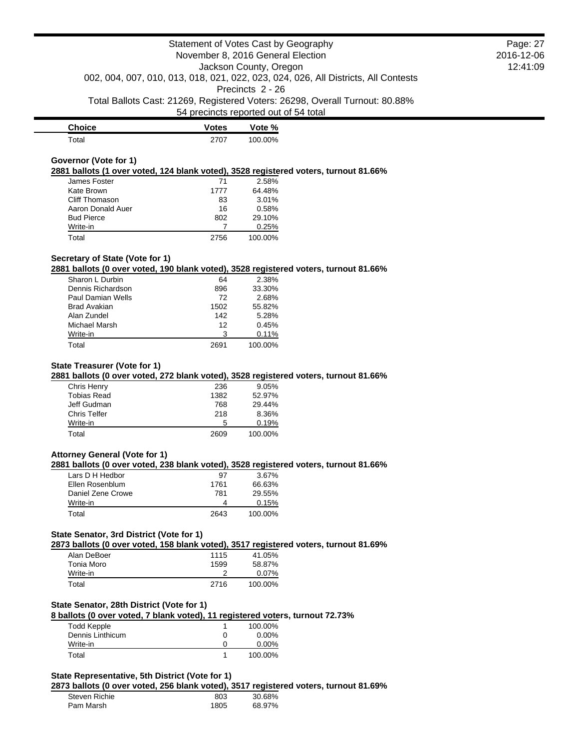| <b>Choice</b> | Votes | Vote %  |
|---------------|-------|---------|
| $\tau$ otal   | 2707  | 100.00% |

## **Governor (Vote for 1)**

**2881 ballots (1 over voted, 124 blank voted), 3528 registered voters, turnout 81.66%**

| James Foster      | 71   | 2.58%   |
|-------------------|------|---------|
| Kate Brown        | 1777 | 64.48%  |
| Cliff Thomason    | 83   | 3.01%   |
| Aaron Donald Auer | 16   | 0.58%   |
| <b>Bud Pierce</b> | 802  | 29.10%  |
| Write-in          |      | 0.25%   |
| Total             | 2756 | 100.00% |

## **Secretary of State (Vote for 1)**

#### **2881 ballots (0 over voted, 190 blank voted), 3528 registered voters, turnout 81.66%**

| Sharon L Durbin   | 64   | 2.38%   |
|-------------------|------|---------|
| Dennis Richardson | 896  | 33.30%  |
| Paul Damian Wells | 72   | 2.68%   |
| Brad Avakian      | 1502 | 55.82%  |
| Alan Zundel       | 142  | 5.28%   |
| Michael Marsh     | 12   | 0.45%   |
| Write-in          | 3    | 0.11%   |
| Total             | 2691 | 100.00% |

#### **State Treasurer (Vote for 1)**

**2881 ballots (0 over voted, 272 blank voted), 3528 registered voters, turnout 81.66%**

| Chris Henry         | 236  | 9.05%   |
|---------------------|------|---------|
| <b>Tobias Read</b>  | 1382 | 52.97%  |
| Jeff Gudman         | 768  | 29.44%  |
| <b>Chris Telfer</b> | 218  | 8.36%   |
| Write-in            | 5    | 0.19%   |
| Total               | 2609 | 100.00% |

## **Attorney General (Vote for 1)**

#### **2881 ballots (0 over voted, 238 blank voted), 3528 registered voters, turnout 81.66%**

| Lars D H Hedbor   | 97   | $3.67\%$ |
|-------------------|------|----------|
| Ellen Rosenblum   | 1761 | 66.63%   |
| Daniel Zene Crowe | 781  | 29.55%   |
| Write-in          | Δ    | 0.15%    |
| Total             | 2643 | 100.00%  |

## **State Senator, 3rd District (Vote for 1)**

**2873 ballots (0 over voted, 158 blank voted), 3517 registered voters, turnout 81.69%**

| Alan DeBoer | 1115 | 41.05%   |
|-------------|------|----------|
| Tonia Moro  | 1599 | 58.87%   |
| Write-in    |      | $0.07\%$ |
| Total       | 2716 | 100.00%  |

# **State Senator, 28th District (Vote for 1)**

## **8 ballots (0 over voted, 7 blank voted), 11 registered voters, turnout 72.73%**

| <b>Todd Kepple</b> | 100.00%  |
|--------------------|----------|
| Dennis Linthicum   | $0.00\%$ |
| Write-in           | $0.00\%$ |
| Total              | 100.00%  |

# **State Representative, 5th District (Vote for 1)**

**2873 ballots (0 over voted, 256 blank voted), 3517 registered voters, turnout 81.69%**

| 803<br>30.68%<br>Steven Richie<br>1805<br>Pam Marsh<br>68.97% |  |  |
|---------------------------------------------------------------|--|--|
|                                                               |  |  |
|                                                               |  |  |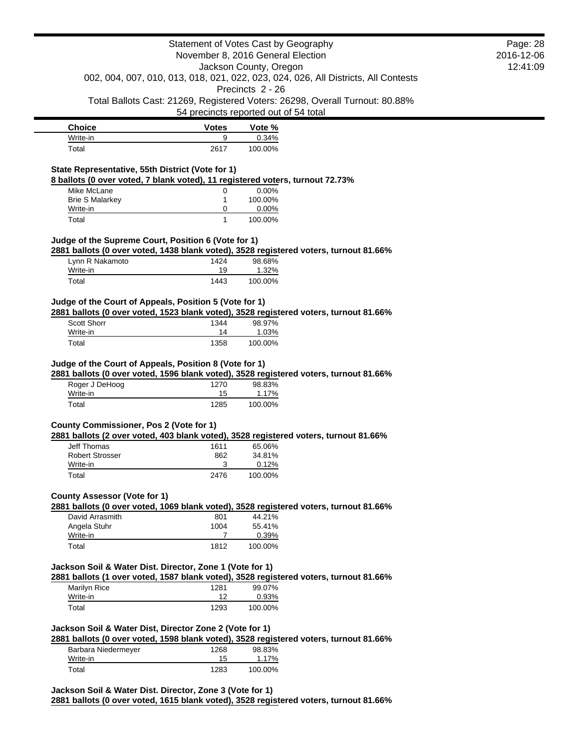|                                                                                                                                                   | Statement of Votes Cast by Geography  |                        |                                                                                    |
|---------------------------------------------------------------------------------------------------------------------------------------------------|---------------------------------------|------------------------|------------------------------------------------------------------------------------|
|                                                                                                                                                   | November 8, 2016 General Election     |                        |                                                                                    |
|                                                                                                                                                   |                                       | Jackson County, Oregon |                                                                                    |
|                                                                                                                                                   |                                       |                        | 002, 004, 007, 010, 013, 018, 021, 022, 023, 024, 026, All Districts, All Contests |
|                                                                                                                                                   |                                       | Precincts 2 - 26       |                                                                                    |
|                                                                                                                                                   | 54 precincts reported out of 54 total |                        | Total Ballots Cast: 21269, Registered Voters: 26298, Overall Turnout: 80.88%       |
|                                                                                                                                                   |                                       |                        |                                                                                    |
| <b>Choice</b><br>Write-in                                                                                                                         | <b>Votes</b><br>9                     | Vote %<br>0.34%        |                                                                                    |
| Total                                                                                                                                             | 2617                                  | 100.00%                |                                                                                    |
|                                                                                                                                                   |                                       |                        |                                                                                    |
| State Representative, 55th District (Vote for 1)                                                                                                  |                                       |                        |                                                                                    |
| 8 ballots (0 over voted, 7 blank voted), 11 registered voters, turnout 72.73%<br>Mike McLane                                                      |                                       | 0.00%                  |                                                                                    |
| <b>Brie S Malarkey</b>                                                                                                                            | 0<br>1                                | 100.00%                |                                                                                    |
| Write-in                                                                                                                                          | 0                                     | 0.00%                  |                                                                                    |
| Total                                                                                                                                             | 1                                     | 100.00%                |                                                                                    |
| Judge of the Supreme Court, Position 6 (Vote for 1)                                                                                               |                                       |                        |                                                                                    |
| 2881 ballots (0 over voted, 1438 blank voted), 3528 registered voters, turnout 81.66%                                                             |                                       |                        |                                                                                    |
| Lynn R Nakamoto                                                                                                                                   | 1424                                  | 98.68%                 |                                                                                    |
| Write-in                                                                                                                                          | 19                                    | 1.32%                  |                                                                                    |
| Total                                                                                                                                             | 1443                                  | 100.00%                |                                                                                    |
| Judge of the Court of Appeals, Position 5 (Vote for 1)                                                                                            |                                       |                        |                                                                                    |
| 2881 ballots (0 over voted, 1523 blank voted), 3528 registered voters, turnout 81.66%                                                             |                                       |                        |                                                                                    |
| <b>Scott Shorr</b>                                                                                                                                | 1344                                  | 98.97%                 |                                                                                    |
| Write-in                                                                                                                                          | 14                                    | 1.03%                  |                                                                                    |
| Total                                                                                                                                             | 1358                                  | 100.00%                |                                                                                    |
| Judge of the Court of Appeals, Position 8 (Vote for 1)                                                                                            |                                       |                        |                                                                                    |
| 2881 ballots (0 over voted, 1596 blank voted), 3528 registered voters, turnout 81.66%                                                             |                                       |                        |                                                                                    |
| Roger J DeHoog                                                                                                                                    | 1270                                  | 98.83%                 |                                                                                    |
| Write-in                                                                                                                                          | 15                                    | 1.17%                  |                                                                                    |
| Total                                                                                                                                             | 1285                                  | 100.00%                |                                                                                    |
| <b>County Commissioner, Pos 2 (Vote for 1)</b>                                                                                                    |                                       |                        |                                                                                    |
| 2881 ballots (2 over voted, 403 blank voted), 3528 registered voters, turnout 81.66%                                                              |                                       |                        |                                                                                    |
| <b>Jeff Thomas</b>                                                                                                                                | 1611                                  | 65.06%                 |                                                                                    |
| <b>Robert Strosser</b>                                                                                                                            | 862                                   | 34.81%                 |                                                                                    |
| Write-in<br>Total                                                                                                                                 | 3<br>2476                             | 0.12%<br>100.00%       |                                                                                    |
|                                                                                                                                                   |                                       |                        |                                                                                    |
| <b>County Assessor (Vote for 1)</b>                                                                                                               |                                       |                        |                                                                                    |
| 2881 ballots (0 over voted, 1069 blank voted), 3528 registered voters, turnout 81.66%                                                             |                                       |                        |                                                                                    |
| David Arrasmith<br>Angela Stuhr                                                                                                                   | 801<br>1004                           | 44.21%<br>55.41%       |                                                                                    |
| Write-in                                                                                                                                          | 7                                     | 0.39%                  |                                                                                    |
| Total                                                                                                                                             | 1812                                  | 100.00%                |                                                                                    |
|                                                                                                                                                   |                                       |                        |                                                                                    |
| Jackson Soil & Water Dist. Director, Zone 1 (Vote for 1)                                                                                          |                                       |                        |                                                                                    |
| 2881 ballots (1 over voted, 1587 blank voted), 3528 registered voters, turnout 81.66%<br>Marilyn Rice                                             | 1281                                  | 99.07%                 |                                                                                    |
| Write-in                                                                                                                                          | 12                                    | 0.93%                  |                                                                                    |
| Total                                                                                                                                             | 1293                                  | 100.00%                |                                                                                    |
|                                                                                                                                                   |                                       |                        |                                                                                    |
| Jackson Soil & Water Dist, Director Zone 2 (Vote for 1)                                                                                           |                                       |                        |                                                                                    |
| 2881 ballots (0 over voted, 1598 blank voted), 3528 registered voters, turnout 81.66%<br>Barbara Niedermeyer                                      | 1268                                  | 98.83%                 |                                                                                    |
| Write-in                                                                                                                                          | 15                                    | 1.17%                  |                                                                                    |
| Total                                                                                                                                             | 1283                                  | 100.00%                |                                                                                    |
|                                                                                                                                                   |                                       |                        |                                                                                    |
| Jackson Soil & Water Dist. Director, Zone 3 (Vote for 1)<br>2881 ballots (0 over voted, 1615 blank voted), 3528 registered voters, turnout 81.66% |                                       |                        |                                                                                    |
|                                                                                                                                                   |                                       |                        |                                                                                    |

Page: 28 2016-12-06 12:41:09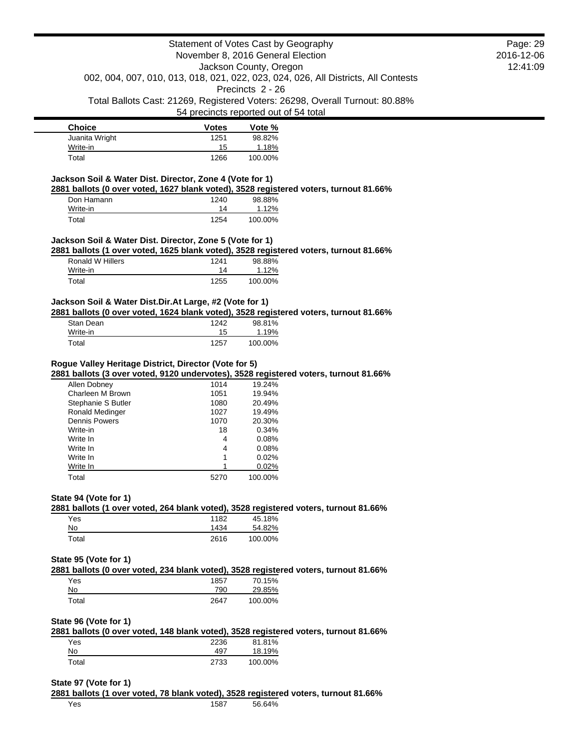Page: 29 2016-12-06 12:41:09

**Choice Votes Votes Vote** % Juanita Wright 1251 98.82% Write-in 1.18% Total 1266 100.00%

## **Jackson Soil & Water Dist. Director, Zone 4 (Vote for 1)**

**2881 ballots (0 over voted, 1627 blank voted), 3528 registered voters, turnout 81.66%**

| Don Hamann | 1240 | 98.88%  |
|------------|------|---------|
| Write-in   | 14   | 1.12%   |
| Total      | 1254 | 100.00% |

#### **Jackson Soil & Water Dist. Director, Zone 5 (Vote for 1)**

**2881 ballots (1 over voted, 1625 blank voted), 3528 registered voters, turnout 81.66%**

| Ronald W Hillers | 1241 | 98.88%  |
|------------------|------|---------|
| Write-in         | 14   | 1.12%   |
| Total            | 1255 | 100.00% |

### **Jackson Soil & Water Dist.Dir.At Large, #2 (Vote for 1)**

**2881 ballots (0 over voted, 1624 blank voted), 3528 registered voters, turnout 81.66%**

| Stan Dean | 1242 | 98.81%  |
|-----------|------|---------|
| Write-in  | 15   | 1.19%   |
| Total     | 1257 | 100.00% |

### **Rogue Valley Heritage District, Director (Vote for 5)**

**2881 ballots (3 over voted, 9120 undervotes), 3528 registered voters, turnout 81.66%**

| Allen Dobney           | 1014 | 19.24%  |
|------------------------|------|---------|
| Charleen M Brown       | 1051 | 19.94%  |
| Stephanie S Butler     | 1080 | 20.49%  |
| <b>Ronald Medinger</b> | 1027 | 19.49%  |
| Dennis Powers          | 1070 | 20.30%  |
| Write-in               | 18   | 0.34%   |
| Write In               | 4    | 0.08%   |
| Write In               | 4    | 0.08%   |
| Write In               | 1    | 0.02%   |
| Write In               |      | 0.02%   |
| Total                  | 5270 | 100.00% |

#### **State 94 (Vote for 1)**

**2881 ballots (1 over voted, 264 blank voted), 3528 registered voters, turnout 81.66%**

| Yes   | 1182 | 45.18%  |
|-------|------|---------|
| No    | 1434 | 54.82%  |
| Total | 2616 | 100.00% |

#### **State 95 (Vote for 1)**

**2881 ballots (0 over voted, 234 blank voted), 3528 registered voters, turnout 81.66%**

| Yes   | 1857 | 70.15%  |
|-------|------|---------|
| No    | 790  | 29.85%  |
| Total | 2647 | 100.00% |

#### **State 96 (Vote for 1)**

|       | 2881 ballots (0 over voted, 148 blank voted), 3528 registered voters, turnout 81.66% |         |  |
|-------|--------------------------------------------------------------------------------------|---------|--|
| Yes   | 2236                                                                                 | 81.81%  |  |
| No    | 497                                                                                  | 18.19%  |  |
| Total | 2733                                                                                 | 100.00% |  |

#### **State 97 (Vote for 1)**

**2881 ballots (1 over voted, 78 blank voted), 3528 registered voters, turnout 81.66%** Yes 1587 56.64%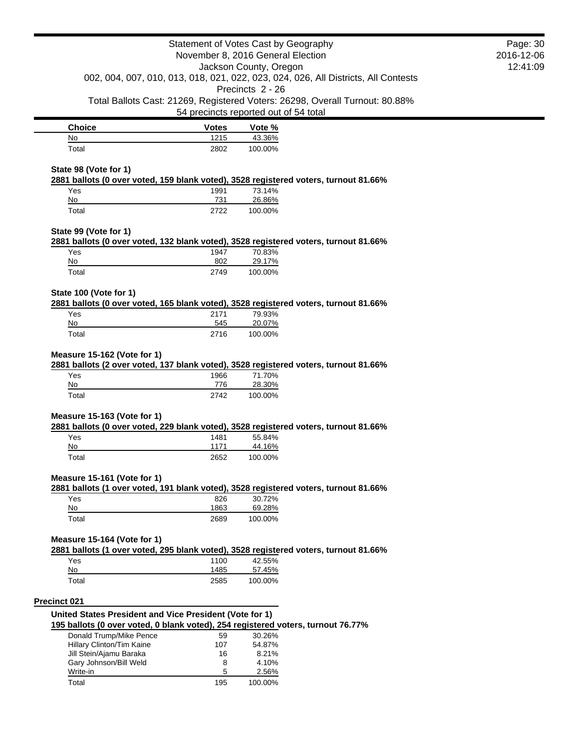|                                                         |              | Statement of Votes Cast by Geography                                                                     | Page: 30   |
|---------------------------------------------------------|--------------|----------------------------------------------------------------------------------------------------------|------------|
|                                                         |              | November 8, 2016 General Election                                                                        | 2016-12-06 |
|                                                         |              | Jackson County, Oregon                                                                                   | 12:41:09   |
|                                                         |              | 002, 004, 007, 010, 013, 018, 021, 022, 023, 024, 026, All Districts, All Contests<br>Precincts 2 - 26   |            |
|                                                         |              | Total Ballots Cast: 21269, Registered Voters: 26298, Overall Turnout: 80.88%                             |            |
|                                                         |              | 54 precincts reported out of 54 total                                                                    |            |
|                                                         |              |                                                                                                          |            |
| <b>Choice</b>                                           | <b>Votes</b> | Vote %                                                                                                   |            |
| No                                                      | 1215         | 43.36%                                                                                                   |            |
| Total                                                   | 2802         | 100.00%                                                                                                  |            |
| State 98 (Vote for 1)                                   |              |                                                                                                          |            |
| Yes                                                     | 1991         | 2881 ballots (0 over voted, 159 blank voted), 3528 registered voters, turnout 81.66%<br>73.14%           |            |
| No                                                      | 731          | 26.86%                                                                                                   |            |
| Total                                                   | 2722         | 100.00%                                                                                                  |            |
| State 99 (Vote for 1)                                   |              |                                                                                                          |            |
|                                                         |              | 2881 ballots (0 over voted, 132 blank voted), 3528 registered voters, turnout 81.66%                     |            |
| Yes                                                     | 1947<br>802  | 70.83%                                                                                                   |            |
| No<br>Total                                             | 2749         | 29.17%<br>100.00%                                                                                        |            |
| State 100 (Vote for 1)                                  |              |                                                                                                          |            |
|                                                         |              | 2881 ballots (0 over voted, 165 blank voted), 3528 registered voters, turnout 81.66%                     |            |
| Yes                                                     | 2171         | 79.93%                                                                                                   |            |
| No                                                      | 545          | 20.07%                                                                                                   |            |
| Total                                                   | 2716         | 100.00%                                                                                                  |            |
| Measure 15-162 (Vote for 1)<br>Yes<br>No                | 1966<br>776  | 2881 ballots (2 over voted, 137 blank voted), 3528 registered voters, turnout 81.66%<br>71.70%<br>28.30% |            |
| Total                                                   | 2742         | 100.00%                                                                                                  |            |
| Measure 15-163 (Vote for 1)                             |              |                                                                                                          |            |
|                                                         |              | 2881 ballots (0 over voted, 229 blank voted), 3528 registered voters, turnout 81.66%                     |            |
| Yes                                                     | 1481         | 55.84%                                                                                                   |            |
| No<br>Total                                             | 1171<br>2652 | 44.16%<br>100.00%                                                                                        |            |
|                                                         |              |                                                                                                          |            |
| Measure 15-161 (Vote for 1)                             |              | 2881 ballots (1 over voted, 191 blank voted), 3528 registered voters, turnout 81.66%                     |            |
| Yes                                                     | 826          | 30.72%                                                                                                   |            |
| No                                                      | 1863         | 69.28%                                                                                                   |            |
| Total                                                   | 2689         | 100.00%                                                                                                  |            |
| Measure 15-164 (Vote for 1)                             |              |                                                                                                          |            |
| Yes                                                     | 1100         | 2881 ballots (1 over voted, 295 blank voted), 3528 registered voters, turnout 81.66%<br>42.55%           |            |
| No                                                      | 1485         | 57.45%                                                                                                   |            |
| Total                                                   | 2585         | 100.00%                                                                                                  |            |
| <b>Precinct 021</b>                                     |              |                                                                                                          |            |
| United States President and Vice President (Vote for 1) |              |                                                                                                          |            |
|                                                         |              | 195 ballots (0 over voted, 0 blank voted), 254 registered voters, turnout 76.77%                         |            |
| Donald Trump/Mike Pence                                 | 59           | 30.26%                                                                                                   |            |
| Hillary Clinton/Tim Kaine                               | 107          | 54.87%                                                                                                   |            |
| Jill Stein/Ajamu Baraka<br>Gary Johnson/Bill Weld       | 16<br>8      | 8.21%<br>4.10%                                                                                           |            |
| Write-in                                                | 5            | 2.56%                                                                                                    |            |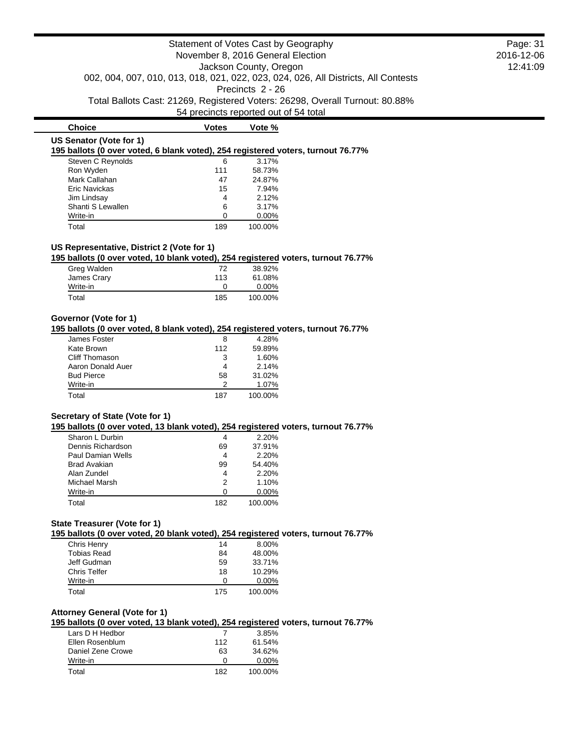**195 ballots (0 over voted, 6 blank voted), 254 registered voters, turnout 76.77%**

| Steven C Reynolds | 6   | 3.17%   |
|-------------------|-----|---------|
| Ron Wyden         | 111 | 58.73%  |
| Mark Callahan     | 47  | 24.87%  |
| Eric Navickas     | 15  | 7.94%   |
| Jim Lindsay       | 4   | 2.12%   |
| Shanti S Lewallen | 6   | 3.17%   |
| Write-in          | ∩   | 0.00%   |
| Total             | 189 | 100.00% |

**Choice Votes Vote %**

## **US Representative, District 2 (Vote for 1)**

**195 ballots (0 over voted, 10 blank voted), 254 registered voters, turnout 76.77%**

| Greg Walden | 72  | 38.92%   |
|-------------|-----|----------|
| James Crary | 113 | 61.08%   |
| Write-in    |     | $0.00\%$ |
| Total       | 185 | 100.00%  |

# **Governor (Vote for 1)**

# **195 ballots (0 over voted, 8 blank voted), 254 registered voters, turnout 76.77%**

| James Foster      | 8   | 4.28%   |
|-------------------|-----|---------|
| Kate Brown        | 112 | 59.89%  |
| Cliff Thomason    | 3   | 1.60%   |
| Aaron Donald Auer | 4   | 2.14%   |
| <b>Bud Pierce</b> | 58  | 31.02%  |
| Write-in          |     | 1.07%   |
| Total             | 187 | 100.00% |

## **Secretary of State (Vote for 1)**

**195 ballots (0 over voted, 13 blank voted), 254 registered voters, turnout 76.77%**

| Sharon L Durbin     | 4   | 2.20%    |
|---------------------|-----|----------|
| Dennis Richardson   | 69  | 37.91%   |
| Paul Damian Wells   | 4   | 2.20%    |
| <b>Brad Avakian</b> | 99  | 54.40%   |
| Alan Zundel         | 4   | 2.20%    |
| Michael Marsh       | 2   | 1.10%    |
| Write-in            | O   | $0.00\%$ |
| Total               | 182 | 100.00%  |

## **State Treasurer (Vote for 1)**

**195 ballots (0 over voted, 20 blank voted), 254 registered voters, turnout 76.77%**

| Chris Henry         | 14  | 8.00%    |
|---------------------|-----|----------|
| <b>Tobias Read</b>  | 84  | 48.00%   |
| Jeff Gudman         | 59  | 33.71%   |
| <b>Chris Telfer</b> | 18  | 10.29%   |
| Write-in            | O   | $0.00\%$ |
| Total               | 175 | 100.00%  |

### **Attorney General (Vote for 1)**

**195 ballots (0 over voted, 13 blank voted), 254 registered voters, turnout 76.77%**

| Lars D H Hedbor   |              | 3.85%    |
|-------------------|--------------|----------|
| Ellen Rosenblum   | 112          | 61.54%   |
| Daniel Zene Crowe | 63           | 34.62%   |
| Write-in          | $\mathbf{0}$ | $0.00\%$ |
| Total             | 182          | 100.00%  |

Page: 31 2016-12-06 12:41:09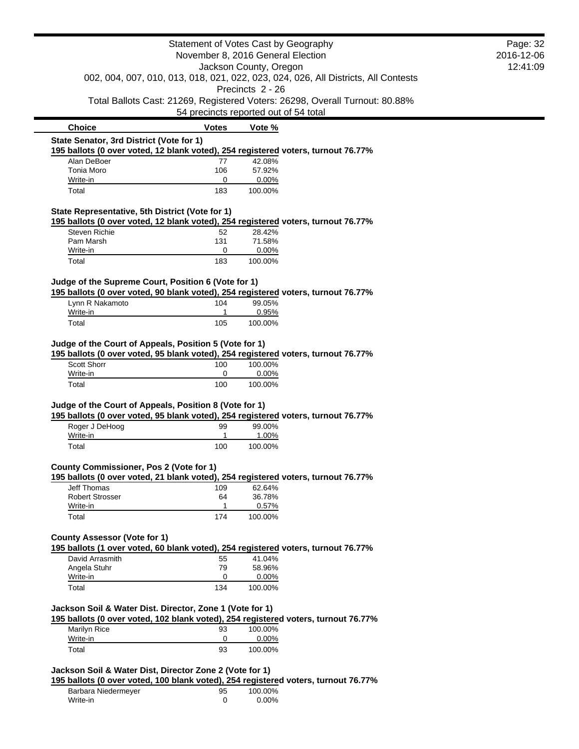|                                                                                                                                             |              | Statement of Votes Cast by Geography  |                                                                                    | Page: 32 |
|---------------------------------------------------------------------------------------------------------------------------------------------|--------------|---------------------------------------|------------------------------------------------------------------------------------|----------|
| November 8, 2016 General Election<br>Jackson County, Oregon                                                                                 |              | 2016-12-06                            |                                                                                    |          |
|                                                                                                                                             |              |                                       |                                                                                    | 12:41:09 |
|                                                                                                                                             |              |                                       | 002, 004, 007, 010, 013, 018, 021, 022, 023, 024, 026, All Districts, All Contests |          |
|                                                                                                                                             |              | Precincts 2 - 26                      | Total Ballots Cast: 21269, Registered Voters: 26298, Overall Turnout: 80.88%       |          |
|                                                                                                                                             |              | 54 precincts reported out of 54 total |                                                                                    |          |
| <b>Choice</b>                                                                                                                               | <b>Votes</b> | Vote %                                |                                                                                    |          |
| State Senator, 3rd District (Vote for 1)                                                                                                    |              |                                       |                                                                                    |          |
| 195 ballots (0 over voted, 12 blank voted), 254 registered voters, turnout 76.77%                                                           |              |                                       |                                                                                    |          |
| Alan DeBoer<br>Tonia Moro                                                                                                                   | 77<br>106    | 42.08%<br>57.92%                      |                                                                                    |          |
| Write-in                                                                                                                                    | 0            | 0.00%                                 |                                                                                    |          |
| Total                                                                                                                                       | 183          | 100.00%                               |                                                                                    |          |
| State Representative, 5th District (Vote for 1)                                                                                             |              |                                       |                                                                                    |          |
| 195 ballots (0 over voted, 12 blank voted), 254 registered voters, turnout 76.77%                                                           |              |                                       |                                                                                    |          |
| Steven Richie                                                                                                                               | 52           | 28.42%                                |                                                                                    |          |
| Pam Marsh                                                                                                                                   | 131          | 71.58%                                |                                                                                    |          |
| Write-in                                                                                                                                    | 0            | 0.00%                                 |                                                                                    |          |
| Total                                                                                                                                       | 183          | 100.00%                               |                                                                                    |          |
| Judge of the Supreme Court, Position 6 (Vote for 1)                                                                                         |              |                                       |                                                                                    |          |
| 195 ballots (0 over voted, 90 blank voted), 254 registered voters, turnout 76.77%<br>Lynn R Nakamoto                                        | 104          | 99.05%                                |                                                                                    |          |
| Write-in                                                                                                                                    | 1            | 0.95%                                 |                                                                                    |          |
| Total                                                                                                                                       | 105          | 100.00%                               |                                                                                    |          |
| Judge of the Court of Appeals, Position 5 (Vote for 1)<br>195 ballots (0 over voted, 95 blank voted), 254 registered voters, turnout 76.77% |              |                                       |                                                                                    |          |
| Scott Shorr                                                                                                                                 | 100          | 100.00%                               |                                                                                    |          |
| Write-in                                                                                                                                    | 0            | 0.00%                                 |                                                                                    |          |
| Total                                                                                                                                       | 100          | 100.00%                               |                                                                                    |          |
| Judge of the Court of Appeals, Position 8 (Vote for 1)                                                                                      |              |                                       |                                                                                    |          |
| 195 ballots (0 over voted, 95 blank voted), 254 registered voters, turnout 76.77%                                                           |              |                                       |                                                                                    |          |
| Roger J DeHoog<br>Write-in                                                                                                                  | 99<br>1      | 99.00%<br>1.00%                       |                                                                                    |          |
| Total                                                                                                                                       | 100          | 100.00%                               |                                                                                    |          |
|                                                                                                                                             |              |                                       |                                                                                    |          |
| County Commissioner, Pos 2 (Vote for 1)                                                                                                     |              |                                       |                                                                                    |          |
| 195 ballots (0 over voted, 21 blank voted), 254 registered voters, turnout 76.77%                                                           |              |                                       |                                                                                    |          |
| <b>Jeff Thomas</b>                                                                                                                          | 109          | 62.64%                                |                                                                                    |          |
| <b>Robert Strosser</b>                                                                                                                      | 64           | 36.78%                                |                                                                                    |          |
| Write-in<br>Total                                                                                                                           | 1<br>174     | 0.57%<br>100.00%                      |                                                                                    |          |
|                                                                                                                                             |              |                                       |                                                                                    |          |
| <b>County Assessor (Vote for 1)</b>                                                                                                         |              |                                       |                                                                                    |          |
| 195 ballots (1 over voted, 60 blank voted), 254 registered voters, turnout 76.77%<br>David Arrasmith                                        | 55           | 41.04%                                |                                                                                    |          |
| Angela Stuhr                                                                                                                                | 79           | 58.96%                                |                                                                                    |          |
| Write-in                                                                                                                                    | 0            | 0.00%                                 |                                                                                    |          |
| Total                                                                                                                                       | 134          | 100.00%                               |                                                                                    |          |
|                                                                                                                                             |              |                                       |                                                                                    |          |
| Jackson Soil & Water Dist. Director, Zone 1 (Vote for 1)                                                                                    |              |                                       |                                                                                    |          |
| 195 ballots (0 over voted, 102 blank voted), 254 registered voters, turnout 76.77%                                                          |              |                                       |                                                                                    |          |
| Marilyn Rice                                                                                                                                | 93           | 100.00%                               |                                                                                    |          |
| Write-in                                                                                                                                    | 0            | 0.00%                                 |                                                                                    |          |
| Total                                                                                                                                       | 93           | 100.00%                               |                                                                                    |          |
| Jackson Soil & Water Dist, Director Zone 2 (Vote for 1)                                                                                     |              |                                       |                                                                                    |          |
| 195 ballots (0 over voted, 100 blank voted), 254 registered voters, turnout 76.77%                                                          |              |                                       |                                                                                    |          |
| Barbara Niedermeyer                                                                                                                         | 95           | 100.00%                               |                                                                                    |          |
| Write-in                                                                                                                                    | 0            | 0.00%                                 |                                                                                    |          |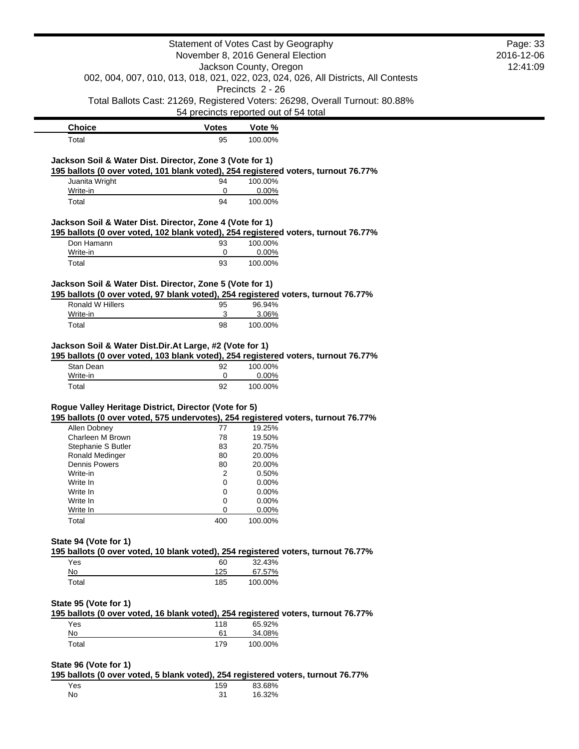|                                                                                                                                            |              | Statement of Votes Cast by Geography  |                                                                                    | Page: 33   |
|--------------------------------------------------------------------------------------------------------------------------------------------|--------------|---------------------------------------|------------------------------------------------------------------------------------|------------|
|                                                                                                                                            |              | November 8, 2016 General Election     |                                                                                    | 2016-12-06 |
|                                                                                                                                            |              | Jackson County, Oregon                |                                                                                    | 12:41:09   |
|                                                                                                                                            |              |                                       | 002, 004, 007, 010, 013, 018, 021, 022, 023, 024, 026, All Districts, All Contests |            |
|                                                                                                                                            |              | Precincts 2 - 26                      |                                                                                    |            |
|                                                                                                                                            |              |                                       | Total Ballots Cast: 21269, Registered Voters: 26298, Overall Turnout: 80.88%       |            |
|                                                                                                                                            |              | 54 precincts reported out of 54 total |                                                                                    |            |
| <b>Choice</b>                                                                                                                              | <b>Votes</b> | Vote %                                |                                                                                    |            |
| Total                                                                                                                                      | 95           | 100.00%                               |                                                                                    |            |
|                                                                                                                                            |              |                                       |                                                                                    |            |
| Jackson Soil & Water Dist. Director, Zone 3 (Vote for 1)                                                                                   |              |                                       |                                                                                    |            |
| 195 ballots (0 over voted, 101 blank voted), 254 registered voters, turnout 76.77%                                                         |              |                                       |                                                                                    |            |
| Juanita Wright                                                                                                                             | 94           | 100.00%                               |                                                                                    |            |
| Write-in                                                                                                                                   | 0            | 0.00%                                 |                                                                                    |            |
| Total                                                                                                                                      | 94           | 100.00%                               |                                                                                    |            |
| Jackson Soil & Water Dist. Director, Zone 4 (Vote for 1)                                                                                   |              |                                       |                                                                                    |            |
| 195 ballots (0 over voted, 102 blank voted), 254 registered voters, turnout 76.77%                                                         |              |                                       |                                                                                    |            |
| Don Hamann                                                                                                                                 | 93           | 100.00%                               |                                                                                    |            |
| Write-in                                                                                                                                   | 0            | 0.00%                                 |                                                                                    |            |
| Total                                                                                                                                      | 93           | 100.00%                               |                                                                                    |            |
|                                                                                                                                            |              |                                       |                                                                                    |            |
| Jackson Soil & Water Dist. Director, Zone 5 (Vote for 1)                                                                                   |              |                                       |                                                                                    |            |
| 195 ballots (0 over voted, 97 blank voted), 254 registered voters, turnout 76.77%                                                          |              |                                       |                                                                                    |            |
| Ronald W Hillers                                                                                                                           | 95           | 96.94%                                |                                                                                    |            |
| Write-in                                                                                                                                   | 3            | 3.06%                                 |                                                                                    |            |
| Total                                                                                                                                      | 98           | 100.00%                               |                                                                                    |            |
| Write-in                                                                                                                                   | 0            | 0.00%                                 |                                                                                    |            |
| Total                                                                                                                                      | 92           | 100.00%                               |                                                                                    |            |
|                                                                                                                                            |              |                                       |                                                                                    |            |
| Rogue Valley Heritage District, Director (Vote for 5)<br>195 ballots (0 over voted, 575 undervotes), 254 registered voters, turnout 76.77% |              |                                       |                                                                                    |            |
|                                                                                                                                            |              |                                       |                                                                                    |            |
| Allen Dobney<br>Charleen M Brown                                                                                                           | 77           | 19.25%                                |                                                                                    |            |
|                                                                                                                                            | 78<br>83     | 19.50%<br>20.75%                      |                                                                                    |            |
| Stephanie S Butler                                                                                                                         | 80           |                                       |                                                                                    |            |
| Ronald Medinger<br>Dennis Powers                                                                                                           | 80           | 20.00%<br>20.00%                      |                                                                                    |            |
| Write-in                                                                                                                                   | 2            | 0.50%                                 |                                                                                    |            |
| Write In                                                                                                                                   | 0            | 0.00%                                 |                                                                                    |            |
| Write In                                                                                                                                   | 0            | 0.00%                                 |                                                                                    |            |
| Write In                                                                                                                                   | 0            | 0.00%                                 |                                                                                    |            |
| Write In                                                                                                                                   | 0            | 0.00%                                 |                                                                                    |            |
| Total                                                                                                                                      | 400          | 100.00%                               |                                                                                    |            |
|                                                                                                                                            |              |                                       |                                                                                    |            |
| State 94 (Vote for 1)                                                                                                                      |              |                                       |                                                                                    |            |
| 195 ballots (0 over voted, 10 blank voted), 254 registered voters, turnout 76.77%                                                          |              |                                       |                                                                                    |            |
| Yes                                                                                                                                        | 60           | 32.43%                                |                                                                                    |            |
| No                                                                                                                                         | 125          | 67.57%                                |                                                                                    |            |
| Total                                                                                                                                      | 185          | 100.00%                               |                                                                                    |            |
|                                                                                                                                            |              |                                       |                                                                                    |            |
| State 95 (Vote for 1)                                                                                                                      |              |                                       |                                                                                    |            |
| 195 ballots (0 over voted, 16 blank voted), 254 registered voters, turnout 76.77%                                                          |              |                                       |                                                                                    |            |
| Yes                                                                                                                                        | 118          | 65.92%                                |                                                                                    |            |
| No                                                                                                                                         | 61           | 34.08%                                |                                                                                    |            |
| Total                                                                                                                                      | 179          | 100.00%                               |                                                                                    |            |
|                                                                                                                                            |              |                                       |                                                                                    |            |
| State 96 (Vote for 1)                                                                                                                      |              |                                       |                                                                                    |            |
|                                                                                                                                            |              |                                       |                                                                                    |            |
| 195 ballots (0 over voted, 5 blank voted), 254 registered voters, turnout 76.77%<br>Yes                                                    | 159          | 83.68%                                |                                                                                    |            |

No 31 16.32%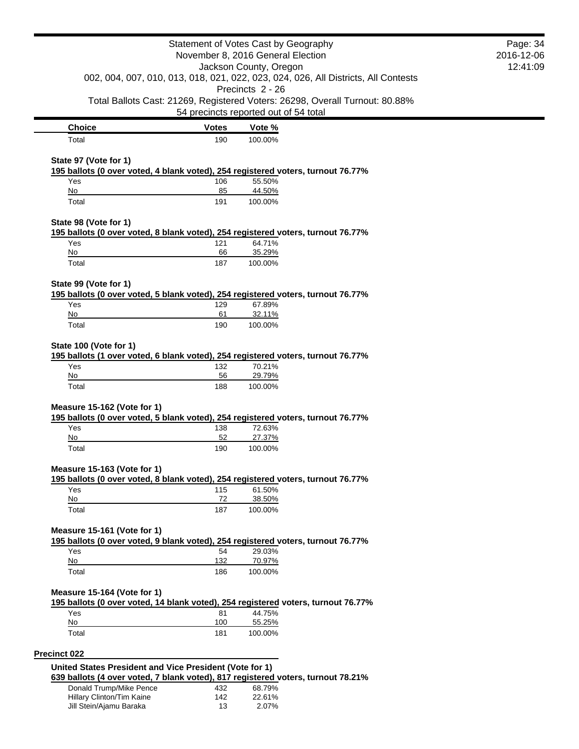|                                                         |              | Statement of Votes Cast by Geography<br>November 8, 2016 General Election                        | Page: 34<br>2016-12-06 |
|---------------------------------------------------------|--------------|--------------------------------------------------------------------------------------------------|------------------------|
|                                                         |              | Jackson County, Oregon                                                                           | 12:41:09               |
|                                                         |              | 002, 004, 007, 010, 013, 018, 021, 022, 023, 024, 026, All Districts, All Contests               |                        |
|                                                         |              | Precincts 2 - 26<br>Total Ballots Cast: 21269, Registered Voters: 26298, Overall Turnout: 80.88% |                        |
|                                                         |              | 54 precincts reported out of 54 total                                                            |                        |
| <b>Choice</b>                                           | <b>Votes</b> | Vote %                                                                                           |                        |
| Total                                                   | 190          | 100.00%                                                                                          |                        |
| State 97 (Vote for 1)                                   |              |                                                                                                  |                        |
|                                                         |              | 195 ballots (0 over voted, 4 blank voted), 254 registered voters, turnout 76.77%                 |                        |
| Yes                                                     | 106          | 55.50%                                                                                           |                        |
| No<br>Total                                             | 85<br>191    | 44.50%<br>100.00%                                                                                |                        |
|                                                         |              |                                                                                                  |                        |
| State 98 (Vote for 1)                                   |              | 195 ballots (0 over voted, 8 blank voted), 254 registered voters, turnout 76.77%                 |                        |
| Yes                                                     | 121          | 64.71%                                                                                           |                        |
| No                                                      | 66           | 35.29%                                                                                           |                        |
| Total                                                   | 187          | 100.00%                                                                                          |                        |
| State 99 (Vote for 1)                                   |              |                                                                                                  |                        |
| Yes                                                     | 129          | 195 ballots (0 over voted, 5 blank voted), 254 registered voters, turnout 76.77%<br>67.89%       |                        |
| No                                                      | 61           | 32.11%                                                                                           |                        |
| Total                                                   | 190          | 100.00%                                                                                          |                        |
| State 100 (Vote for 1)                                  |              |                                                                                                  |                        |
|                                                         |              | 195 ballots (1 over voted, 6 blank voted), 254 registered voters, turnout 76.77%                 |                        |
| Yes<br>No                                               | 132<br>56    | 70.21%<br>29.79%                                                                                 |                        |
| Total                                                   | 188          | 100.00%                                                                                          |                        |
|                                                         |              |                                                                                                  |                        |
| Measure 15-162 (Vote for 1)                             |              | 195 ballots (0 over voted, 5 blank voted), 254 registered voters, turnout 76.77%                 |                        |
| Yes                                                     | 138          | 72.63%                                                                                           |                        |
| No                                                      | 52           | 27.37%                                                                                           |                        |
| Total                                                   | 190          | 100.00%                                                                                          |                        |
| Measure 15-163 (Vote for 1)                             |              |                                                                                                  |                        |
|                                                         |              | 195 ballots (0 over voted, 8 blank voted), 254 registered voters, turnout 76.77%                 |                        |
| Yes<br>No                                               | 115<br>72    | 61.50%<br>38.50%                                                                                 |                        |
| Total                                                   | 187          | 100.00%                                                                                          |                        |
|                                                         |              |                                                                                                  |                        |
| Measure 15-161 (Vote for 1)                             |              |                                                                                                  |                        |
| Yes                                                     | 54           | 195 ballots (0 over voted, 9 blank voted), 254 registered voters, turnout 76.77%<br>29.03%       |                        |
| No                                                      | 132          | 70.97%                                                                                           |                        |
| Total                                                   | 186          | 100.00%                                                                                          |                        |
| Measure 15-164 (Vote for 1)                             |              |                                                                                                  |                        |
|                                                         |              | 195 ballots (0 over voted, 14 blank voted), 254 registered voters, turnout 76.77%                |                        |
| Yes                                                     | 81           | 44.75%                                                                                           |                        |
| No                                                      | 100          | 55.25%                                                                                           |                        |
| Total                                                   | 181          | 100.00%                                                                                          |                        |
| Precinct 022                                            |              |                                                                                                  |                        |
| United States President and Vice President (Vote for 1) |              |                                                                                                  |                        |
|                                                         |              | 639 ballots (4 over voted, 7 blank voted), 817 registered voters, turnout 78.21%                 |                        |
| Donald Trump/Mike Pence<br>Hillary Clinton/Tim Kaine    | 432<br>142   | 68.79%<br>22.61%                                                                                 |                        |
| Jill Stein/Ajamu Baraka                                 | 13           | 2.07%                                                                                            |                        |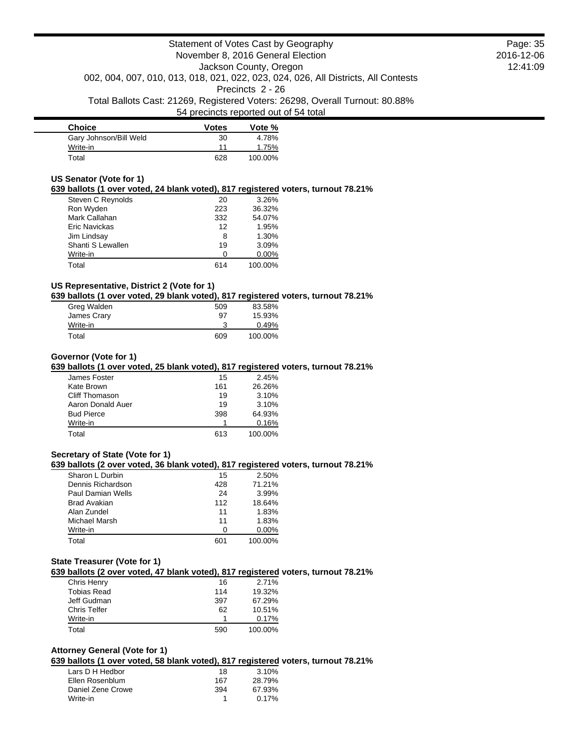| <b>Choice</b>          | <b>Votes</b> | Vote %  |
|------------------------|--------------|---------|
| Gary Johnson/Bill Weld | 30           | 4.78%   |
| Write-in               | 11           | 1.75%   |
| Total                  | 628          | 100.00% |

#### **US Senator (Vote for 1)**

### **639 ballots (1 over voted, 24 blank voted), 817 registered voters, turnout 78.21%**

| Steven C Reynolds    | 20  | 3.26%   |
|----------------------|-----|---------|
| Ron Wyden            | 223 | 36.32%  |
| Mark Callahan        | 332 | 54.07%  |
| <b>Eric Navickas</b> | 12  | 1.95%   |
| Jim Lindsay          | 8   | 1.30%   |
| Shanti S Lewallen    | 19  | 3.09%   |
| Write-in             | O   | 0.00%   |
| Total                | 614 | 100.00% |

# **US Representative, District 2 (Vote for 1)**

**639 ballots (1 over voted, 29 blank voted), 817 registered voters, turnout 78.21%**

| Greg Walden | 509 | 83.58%  |
|-------------|-----|---------|
| James Crary | 97  | 15.93%  |
| Write-in    |     | 0.49%   |
| Total       | 609 | 100.00% |

#### **Governor (Vote for 1)**

#### **639 ballots (1 over voted, 25 blank voted), 817 registered voters, turnout 78.21%**

| James Foster      | 15  | 2.45%   |
|-------------------|-----|---------|
| Kate Brown        | 161 | 26.26%  |
| Cliff Thomason    | 19  | 3.10%   |
| Aaron Donald Auer | 19  | 3.10%   |
| <b>Bud Pierce</b> | 398 | 64.93%  |
| Write-in          |     | 0.16%   |
| Total             | 613 | 100.00% |

### **Secretary of State (Vote for 1)**

#### **639 ballots (2 over voted, 36 blank voted), 817 registered voters, turnout 78.21%**

| Sharon L Durbin   | 15  | 2.50%    |
|-------------------|-----|----------|
| Dennis Richardson | 428 | 71.21%   |
| Paul Damian Wells | 24  | 3.99%    |
| Brad Avakian      | 112 | 18.64%   |
| Alan Zundel       | 11  | 1.83%    |
| Michael Marsh     | 11  | 1.83%    |
| Write-in          | O   | $0.00\%$ |
| Total             | 601 | 100.00%  |

#### **State Treasurer (Vote for 1)**

**639 ballots (2 over voted, 47 blank voted), 817 registered voters, turnout 78.21%**

| Chris Henry         | 16  | 2.71%   |
|---------------------|-----|---------|
| <b>Tobias Read</b>  | 114 | 19.32%  |
| Jeff Gudman         | 397 | 67.29%  |
| <b>Chris Telfer</b> | 62  | 10.51%  |
| Write-in            |     | 0.17%   |
| Total               | 590 | 100.00% |
|                     |     |         |

## **Attorney General (Vote for 1)**

## **639 ballots (1 over voted, 58 blank voted), 817 registered voters, turnout 78.21%**

| Lars D H Hedbor   | 18  | 3.10%    |
|-------------------|-----|----------|
| Ellen Rosenblum   | 167 | 28.79%   |
| Daniel Zene Crowe | 394 | 67.93%   |
| Write-in          |     | $0.17\%$ |

Page: 35 2016-12-06 12:41:09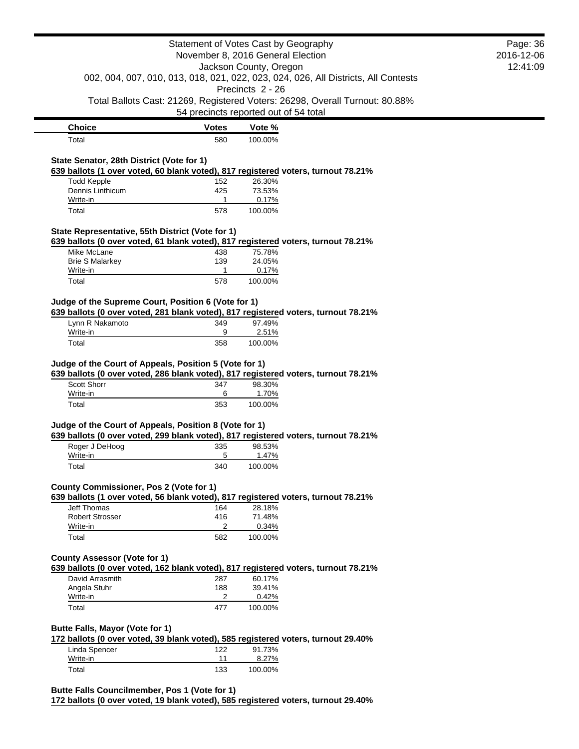| Statement of Votes Cast by Geography<br>November 8, 2016 General Election                                                                 |                                       | Page: 36<br>2016-12-06 |                                                                                    |  |
|-------------------------------------------------------------------------------------------------------------------------------------------|---------------------------------------|------------------------|------------------------------------------------------------------------------------|--|
| Jackson County, Oregon                                                                                                                    |                                       |                        | 12:41:09                                                                           |  |
|                                                                                                                                           |                                       |                        | 002, 004, 007, 010, 013, 018, 021, 022, 023, 024, 026, All Districts, All Contests |  |
|                                                                                                                                           |                                       | Precincts 2 - 26       |                                                                                    |  |
|                                                                                                                                           |                                       |                        | Total Ballots Cast: 21269, Registered Voters: 26298, Overall Turnout: 80.88%       |  |
|                                                                                                                                           | 54 precincts reported out of 54 total |                        |                                                                                    |  |
| <b>Choice</b>                                                                                                                             | <b>Votes</b>                          | Vote %                 |                                                                                    |  |
| Total                                                                                                                                     | 580                                   | 100.00%                |                                                                                    |  |
|                                                                                                                                           |                                       |                        |                                                                                    |  |
| State Senator, 28th District (Vote for 1)<br>639 ballots (1 over voted, 60 blank voted), 817 registered voters, turnout 78.21%            |                                       |                        |                                                                                    |  |
| <b>Todd Kepple</b>                                                                                                                        | 152                                   | 26.30%                 |                                                                                    |  |
| Dennis Linthicum                                                                                                                          | 425                                   | 73.53%                 |                                                                                    |  |
| Write-in                                                                                                                                  | $\mathbf{1}$                          | 0.17%                  |                                                                                    |  |
| Total                                                                                                                                     | 578                                   | 100.00%                |                                                                                    |  |
|                                                                                                                                           |                                       |                        |                                                                                    |  |
| State Representative, 55th District (Vote for 1)<br>639 ballots (0 over voted, 61 blank voted), 817 registered voters, turnout 78.21%     |                                       |                        |                                                                                    |  |
| Mike McLane                                                                                                                               | 438                                   | 75.78%                 |                                                                                    |  |
| <b>Brie S Malarkey</b>                                                                                                                    | 139                                   | 24.05%                 |                                                                                    |  |
| Write-in                                                                                                                                  | 1                                     | 0.17%                  |                                                                                    |  |
| Total                                                                                                                                     | 578                                   | 100.00%                |                                                                                    |  |
|                                                                                                                                           |                                       |                        |                                                                                    |  |
| Judge of the Supreme Court, Position 6 (Vote for 1)<br>639 ballots (0 over voted, 281 blank voted), 817 registered voters, turnout 78.21% |                                       |                        |                                                                                    |  |
| Lynn R Nakamoto                                                                                                                           | 349                                   | 97.49%                 |                                                                                    |  |
| Write-in                                                                                                                                  | 9                                     | 2.51%                  |                                                                                    |  |
| Total                                                                                                                                     | 358                                   | 100.00%                |                                                                                    |  |
|                                                                                                                                           |                                       |                        |                                                                                    |  |
| Judge of the Court of Appeals, Position 5 (Vote for 1)                                                                                    |                                       |                        |                                                                                    |  |
| 639 ballots (0 over voted, 286 blank voted), 817 registered voters, turnout 78.21%                                                        |                                       |                        |                                                                                    |  |
| <b>Scott Shorr</b>                                                                                                                        | 347                                   | 98.30%                 |                                                                                    |  |
| Write-in                                                                                                                                  | 6                                     | 1.70%                  |                                                                                    |  |
| Total                                                                                                                                     | 353                                   | 100.00%                |                                                                                    |  |
| Judge of the Court of Appeals, Position 8 (Vote for 1)                                                                                    |                                       |                        |                                                                                    |  |
| 639 ballots (0 over voted, 299 blank voted), 817 registered voters, turnout 78.21%                                                        |                                       |                        |                                                                                    |  |
| Roger J DeHoog                                                                                                                            | 335                                   | 98.53%                 |                                                                                    |  |
| Write-in                                                                                                                                  | 5                                     | 1.47%                  |                                                                                    |  |
| Total                                                                                                                                     | 340                                   | 100.00%                |                                                                                    |  |
|                                                                                                                                           |                                       |                        |                                                                                    |  |
| County Commissioner, Pos 2 (Vote for 1)<br>639 ballots (1 over voted, 56 blank voted), 817 registered voters, turnout 78.21%              |                                       |                        |                                                                                    |  |
| Jeff Thomas                                                                                                                               | 164                                   | 28.18%                 |                                                                                    |  |
| <b>Robert Strosser</b>                                                                                                                    | 416                                   | 71.48%                 |                                                                                    |  |
| Write-in                                                                                                                                  | 2                                     | 0.34%                  |                                                                                    |  |
| Total                                                                                                                                     | 582                                   | 100.00%                |                                                                                    |  |
|                                                                                                                                           |                                       |                        |                                                                                    |  |
| <b>County Assessor (Vote for 1)</b>                                                                                                       |                                       |                        |                                                                                    |  |
| 639 ballots (0 over voted, 162 blank voted), 817 registered voters, turnout 78.21%                                                        |                                       |                        |                                                                                    |  |
| David Arrasmith<br>Angela Stuhr                                                                                                           | 287<br>188                            | 60.17%<br>39.41%       |                                                                                    |  |
| Write-in                                                                                                                                  | $\overline{2}$                        | 0.42%                  |                                                                                    |  |
| Total                                                                                                                                     | 477                                   | 100.00%                |                                                                                    |  |
|                                                                                                                                           |                                       |                        |                                                                                    |  |
| Butte Falls, Mayor (Vote for 1)                                                                                                           |                                       |                        |                                                                                    |  |
| 172 ballots (0 over voted, 39 blank voted), 585 registered voters, turnout 29.40%                                                         |                                       |                        |                                                                                    |  |
| Linda Spencer                                                                                                                             | 122                                   | 91.73%                 |                                                                                    |  |
| Write-in                                                                                                                                  | 11                                    | 8.27%                  |                                                                                    |  |
| Total                                                                                                                                     | 133                                   | 100.00%                |                                                                                    |  |

**172 ballots (0 over voted, 19 blank voted), 585 registered voters, turnout 29.40%**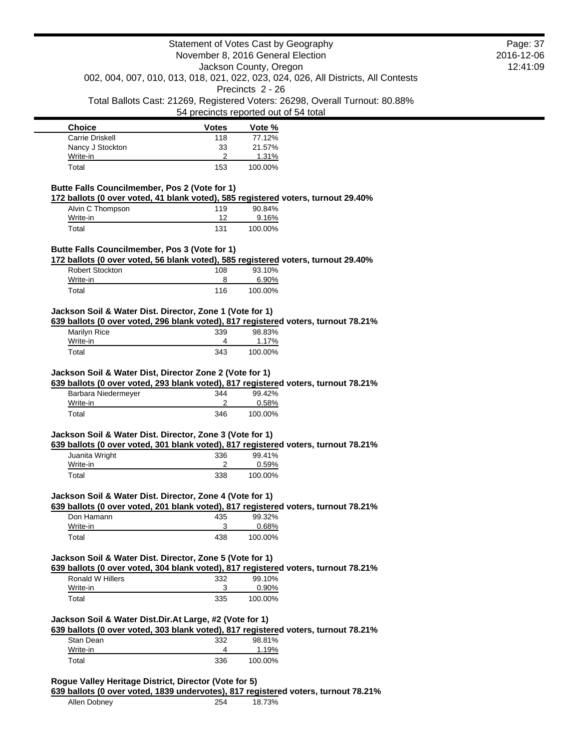| <b>Choice</b>    | <b>Votes</b> | Vote %  |
|------------------|--------------|---------|
| Carrie Driskell  | 118          | 77.12%  |
| Nancy J Stockton | 33           | 21.57%  |
| Write-in         |              | 1.31%   |
| Total            | 153          | 100.00% |

## **Butte Falls Councilmember, Pos 2 (Vote for 1)**

**172 ballots (0 over voted, 41 blank voted), 585 registered voters, turnout 29.40%**

| Alvin C Thompson | 119 | 90.84%  |
|------------------|-----|---------|
| Write-in         | 12  | 9.16%   |
| Total            | 131 | 100.00% |

## **Butte Falls Councilmember, Pos 3 (Vote for 1)**

**172 ballots (0 over voted, 56 blank voted), 585 registered voters, turnout 29.40%**

| <b>Robert Stockton</b> | 108 | 93.10%  |
|------------------------|-----|---------|
| Write-in               |     | 6.90%   |
| Total                  | 116 | 100.00% |

# **Jackson Soil & Water Dist. Director, Zone 1 (Vote for 1)**

**639 ballots (0 over voted, 296 blank voted), 817 registered voters, turnout 78.21%**

| Marilyn Rice | 339 | 98.83%  |
|--------------|-----|---------|
| Write-in     |     | 1.17%   |
| Total        | 343 | 100.00% |

# **Jackson Soil & Water Dist, Director Zone 2 (Vote for 1)**

**639 ballots (0 over voted, 293 blank voted), 817 registered voters, turnout 78.21%**

| Barbara Niedermeyer | 344 | 99.42%  |
|---------------------|-----|---------|
| Write-in            |     | 0.58%   |
| Total               | 346 | 100.00% |

### **Jackson Soil & Water Dist. Director, Zone 3 (Vote for 1)**

**639 ballots (0 over voted, 301 blank voted), 817 registered voters, turnout 78.21%**

|                | . . |         |
|----------------|-----|---------|
| Juanita Wright | 336 | 99.41%  |
| Write-in       |     | 0.59%   |
| Total          | 338 | 100.00% |
|                |     |         |

#### **Jackson Soil & Water Dist. Director, Zone 4 (Vote for 1)**

**639 ballots (0 over voted, 201 blank voted), 817 registered voters, turnout 78.21%**

| Don Hamann | 435 | 99.32%   |
|------------|-----|----------|
| Write-in   | ว   | $0.68\%$ |
| Total      | 438 | 100.00%  |

#### **Jackson Soil & Water Dist. Director, Zone 5 (Vote for 1)**

**639 ballots (0 over voted, 304 blank voted), 817 registered voters, turnout 78.21%**

|                  | . . | . .      |  |
|------------------|-----|----------|--|
| Ronald W Hillers | 332 | 99.10%   |  |
| Write-in         | ົ   | $0.90\%$ |  |
| Total            | 335 | 100.00%  |  |
|                  |     |          |  |

## **Jackson Soil & Water Dist.Dir.At Large, #2 (Vote for 1)**

**639 ballots (0 over voted, 303 blank voted), 817 registered voters, turnout 78.21%**

| Stan Dean | 332 | 98.81%  |
|-----------|-----|---------|
| Write-in  |     | 1.19%   |
| Total     | 336 | 100.00% |

### **Rogue Valley Heritage District, Director (Vote for 5)**

**639 ballots (0 over voted, 1839 undervotes), 817 registered voters, turnout 78.21%**

Allen Dobney 254 18.73%

Page: 37 2016-12-06 12:41:09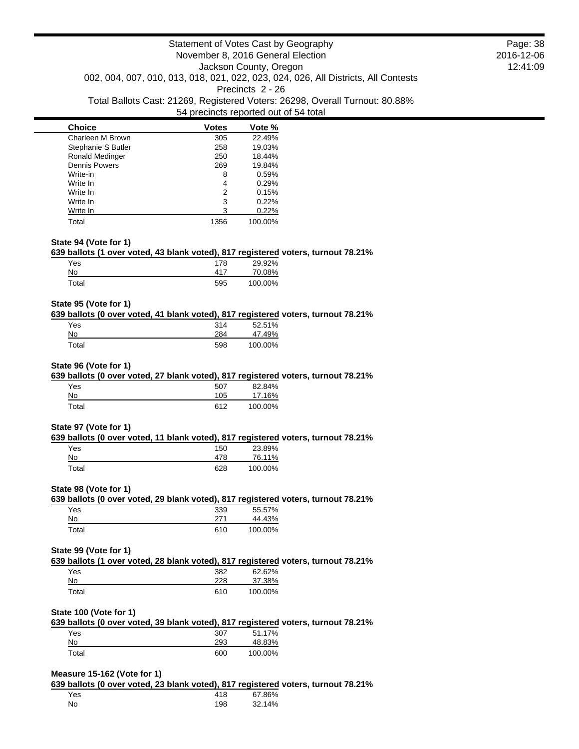| <b>Choice</b>        | <b>Votes</b> | Vote %  |
|----------------------|--------------|---------|
| Charleen M Brown     | 305          | 22.49%  |
| Stephanie S Butler   | 258          | 19.03%  |
| Ronald Medinger      | 250          | 18.44%  |
| <b>Dennis Powers</b> | 269          | 19.84%  |
| Write-in             | 8            | 0.59%   |
| Write In             | 4            | 0.29%   |
| Write In             | 2            | 0.15%   |
| Write In             | 3            | 0.22%   |
| Write In             | 3            | 0.22%   |
| Total                | 1356         | 100.00% |

#### **State 94 (Vote for 1)**

#### **639 ballots (1 over voted, 43 blank voted), 817 registered voters, turnout 78.21%**

| Yes   | 178 | 29.92%  |
|-------|-----|---------|
| No    | 417 | 70.08%  |
| Total | 595 | 100.00% |

#### **State 95 (Vote for 1)**

#### **639 ballots (0 over voted, 41 blank voted), 817 registered voters, turnout 78.21%**

| Yes   | 314 | 52.51%  |
|-------|-----|---------|
| No.   | 284 | 47.49%  |
| Total | 598 | 100.00% |

#### **State 96 (Vote for 1)**

#### **639 ballots (0 over voted, 27 blank voted), 817 registered voters, turnout 78.21%**

| Yes   | 507 | 82.84%  |
|-------|-----|---------|
| No    | 105 | 17.16%  |
| Total | 612 | 100.00% |

#### **State 97 (Vote for 1)**

## **639 ballots (0 over voted, 11 blank voted), 817 registered voters, turnout 78.21%**

| Yes   | 150 | 23.89%  |
|-------|-----|---------|
| No    | 478 | 76.11%  |
| Total | 628 | 100.00% |

#### **State 98 (Vote for 1)**

# **639 ballots (0 over voted, 29 blank voted), 817 registered voters, turnout 78.21%**

| Yes   | 339 | 55.57%  |
|-------|-----|---------|
| No    | 271 | 44.43%  |
| Total | 610 | 100.00% |

#### **State 99 (Vote for 1)**

# **639 ballots (1 over voted, 28 blank voted), 817 registered voters, turnout 78.21%**

| Yes   | 382 | 62.62%  |
|-------|-----|---------|
| No    | 228 | 37.38%  |
| Total | 610 | 100.00% |

### **State 100 (Vote for 1)**

**639 ballots (0 over voted, 39 blank voted), 817 registered voters, turnout 78.21%** Yes 307 51.17%

| No          | 293 | 48.83%  |
|-------------|-----|---------|
| $\tau$ otal | 600 | 100.00% |

#### **Measure 15-162 (Vote for 1)**

**639 ballots (0 over voted, 23 blank voted), 817 registered voters, turnout 78.21%**

| Yes | 418 | 67.86% |
|-----|-----|--------|
| No  | 198 | 32.14% |

Page: 38 2016-12-06 12:41:09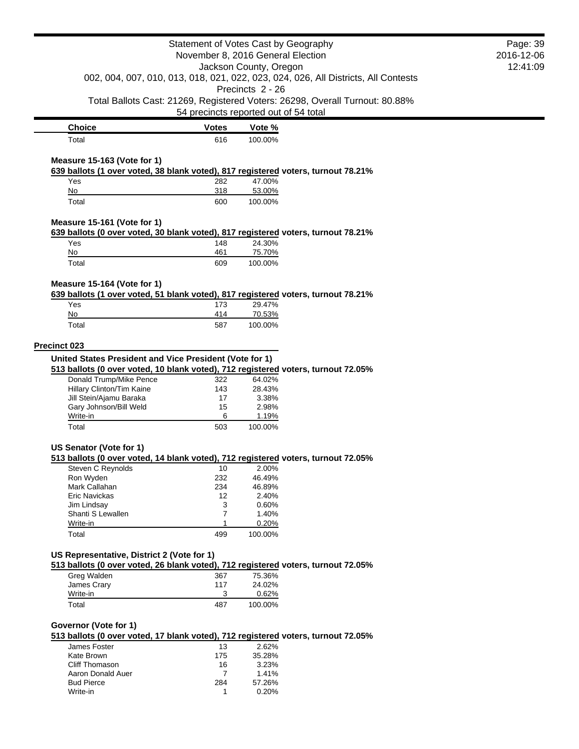|                                                                                                                  |              | Statement of Votes Cast by Geography  |                                                                                    | Page: 39 |
|------------------------------------------------------------------------------------------------------------------|--------------|---------------------------------------|------------------------------------------------------------------------------------|----------|
| November 8, 2016 General Election                                                                                |              | 2016-12-06                            |                                                                                    |          |
|                                                                                                                  |              | Jackson County, Oregon                |                                                                                    | 12:41:09 |
|                                                                                                                  |              | Precincts 2 - 26                      | 002, 004, 007, 010, 013, 018, 021, 022, 023, 024, 026, All Districts, All Contests |          |
|                                                                                                                  |              |                                       | Total Ballots Cast: 21269, Registered Voters: 26298, Overall Turnout: 80.88%       |          |
|                                                                                                                  |              | 54 precincts reported out of 54 total |                                                                                    |          |
| <b>Choice</b>                                                                                                    | <b>Votes</b> | Vote %                                |                                                                                    |          |
| Total                                                                                                            | 616          | 100.00%                               |                                                                                    |          |
|                                                                                                                  |              |                                       |                                                                                    |          |
| Measure 15-163 (Vote for 1)<br>639 ballots (1 over voted, 38 blank voted), 817 registered voters, turnout 78.21% |              |                                       |                                                                                    |          |
| Yes                                                                                                              | 282          | 47.00%                                |                                                                                    |          |
| No                                                                                                               | 318          | 53.00%                                |                                                                                    |          |
| Total                                                                                                            | 600          | 100.00%                               |                                                                                    |          |
|                                                                                                                  |              |                                       |                                                                                    |          |
| Measure 15-161 (Vote for 1)<br>639 ballots (0 over voted, 30 blank voted), 817 registered voters, turnout 78.21% |              |                                       |                                                                                    |          |
| Yes                                                                                                              |              | 24.30%                                |                                                                                    |          |
| No                                                                                                               | 148<br>461   | 75.70%                                |                                                                                    |          |
|                                                                                                                  |              |                                       |                                                                                    |          |
| Total                                                                                                            | 609          | 100.00%                               |                                                                                    |          |
| Measure 15-164 (Vote for 1)                                                                                      |              |                                       |                                                                                    |          |
| 639 ballots (1 over voted, 51 blank voted), 817 registered voters, turnout 78.21%                                |              |                                       |                                                                                    |          |
| Yes                                                                                                              | 173          | 29.47%                                |                                                                                    |          |
| No                                                                                                               | 414          | 70.53%                                |                                                                                    |          |
| Total                                                                                                            | 587          | 100.00%                               |                                                                                    |          |
|                                                                                                                  |              |                                       |                                                                                    |          |
| Precinct 023                                                                                                     |              |                                       |                                                                                    |          |
| United States President and Vice President (Vote for 1)                                                          |              |                                       |                                                                                    |          |
| 513 ballots (0 over voted, 10 blank voted), 712 registered voters, turnout 72.05%                                |              |                                       |                                                                                    |          |
| Donald Trump/Mike Pence                                                                                          | 322          | 64.02%                                |                                                                                    |          |
| Hillary Clinton/Tim Kaine                                                                                        | 143          | 28.43%                                |                                                                                    |          |
| Jill Stein/Ajamu Baraka                                                                                          | 17           | 3.38%                                 |                                                                                    |          |
| Gary Johnson/Bill Weld                                                                                           | 15           | 2.98%                                 |                                                                                    |          |
| Write-in<br>Total                                                                                                | 6<br>503     | 1.19%<br>100.00%                      |                                                                                    |          |
|                                                                                                                  |              |                                       |                                                                                    |          |
| US Senator (Vote for 1)                                                                                          |              |                                       |                                                                                    |          |
| 513 ballots (0 over voted, 14 blank voted), 712 registered voters, turnout 72.05%                                |              |                                       |                                                                                    |          |
| Steven C Reynolds                                                                                                | 10           | 2.00%                                 |                                                                                    |          |
| Ron Wyden                                                                                                        | 232          | 46.49%                                |                                                                                    |          |
| Mark Callahan                                                                                                    | 234          | 46.89%                                |                                                                                    |          |
| Eric Navickas                                                                                                    | 12           | 2.40%                                 |                                                                                    |          |
| Jim Lindsay                                                                                                      | 3            | 0.60%                                 |                                                                                    |          |
| Shanti S Lewallen                                                                                                | 7            | 1.40%                                 |                                                                                    |          |
| Write-in                                                                                                         | 1<br>499     | 0.20%<br>100.00%                      |                                                                                    |          |
| Total                                                                                                            |              |                                       |                                                                                    |          |
| US Representative, District 2 (Vote for 1)                                                                       |              |                                       |                                                                                    |          |
| 513 ballots (0 over voted, 26 blank voted), 712 registered voters, turnout 72.05%                                |              |                                       |                                                                                    |          |
| Greg Walden                                                                                                      | 367          | 75.36%                                |                                                                                    |          |
| James Crary                                                                                                      | 117          | 24.02%                                |                                                                                    |          |
| Write-in                                                                                                         | 3            | 0.62%                                 |                                                                                    |          |
| Total                                                                                                            | 487          | 100.00%                               |                                                                                    |          |
|                                                                                                                  |              |                                       |                                                                                    |          |
| Governor (Vote for 1)                                                                                            |              |                                       |                                                                                    |          |
| 513 ballots (0 over voted, 17 blank voted), 712 registered voters, turnout 72.05%                                |              |                                       |                                                                                    |          |
| James Foster                                                                                                     | 13           | 2.62%                                 |                                                                                    |          |
| Kate Brown                                                                                                       | 175          | 35.28%                                |                                                                                    |          |
| Cliff Thomason                                                                                                   | 16           | 3.23%                                 |                                                                                    |          |
| Aaron Donald Auer                                                                                                | 7            | 1.41%                                 |                                                                                    |          |
| <b>Bud Pierce</b>                                                                                                | 284          | 57.26%                                |                                                                                    |          |
| Write-in                                                                                                         | 1            | 0.20%                                 |                                                                                    |          |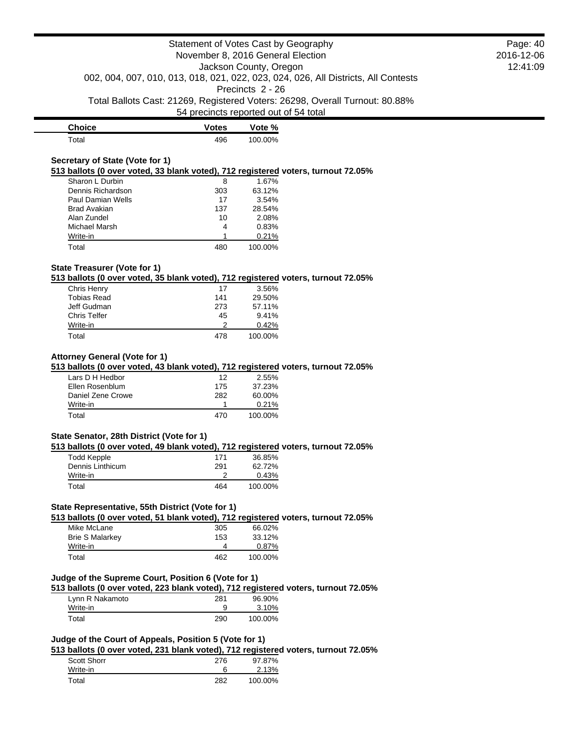**Choice Votes Votes Vote** % Total 496 100.00%

# **Secretary of State (Vote for 1)**

**513 ballots (0 over voted, 33 blank voted), 712 registered voters, turnout 72.05%**

| Sharon L Durbin     | 8   | 1.67%   |
|---------------------|-----|---------|
| Dennis Richardson   | 303 | 63.12%  |
| Paul Damian Wells   | 17  | 3.54%   |
| <b>Brad Avakian</b> | 137 | 28.54%  |
| Alan Zundel         | 10  | 2.08%   |
| Michael Marsh       | 4   | 0.83%   |
| Write-in            |     | 0.21%   |
| Total               | 480 | 100.00% |

## **State Treasurer (Vote for 1)**

**513 ballots (0 over voted, 35 blank voted), 712 registered voters, turnout 72.05%**

| Chris Henry         | 17  | 3.56%   |
|---------------------|-----|---------|
| <b>Tobias Read</b>  | 141 | 29.50%  |
| Jeff Gudman         | 273 | 57.11%  |
| <b>Chris Telfer</b> | 45  | 9.41%   |
| Write-in            | 2   | 0.42%   |
| Total               | 478 | 100.00% |

#### **Attorney General (Vote for 1)**

**513 ballots (0 over voted, 43 blank voted), 712 registered voters, turnout 72.05%**

| Lars D H Hedbor   | 12  | 2.55%   |
|-------------------|-----|---------|
| Ellen Rosenblum   | 175 | 37.23%  |
| Daniel Zene Crowe | 282 | 60.00%  |
| Write-in          |     | 0.21%   |
| Total             | 470 | 100.00% |

#### **State Senator, 28th District (Vote for 1)**

**513 ballots (0 over voted, 49 blank voted), 712 registered voters, turnout 72.05%**

| Todd Kepple      | 171 | 36.85%  |
|------------------|-----|---------|
| Dennis Linthicum | 291 | 62.72%  |
| Write-in         |     | 0.43%   |
| Total            | 464 | 100.00% |

### **State Representative, 55th District (Vote for 1)**

**513 ballots (0 over voted, 51 blank voted), 712 registered voters, turnout 72.05%**

| <b>Brie S Malarkey</b> | 153 | 33.12%  |
|------------------------|-----|---------|
| Write-in               | 462 | 0.87%   |
| Total                  |     | 100.00% |

## **Judge of the Supreme Court, Position 6 (Vote for 1)**

**513 ballots (0 over voted, 223 blank voted), 712 registered voters, turnout 72.05%**

| Lynn R Nakamoto | 281 | 96.90%  |
|-----------------|-----|---------|
| Write-in        |     | 3.10%   |
| Total           | 290 | 100.00% |

# **Judge of the Court of Appeals, Position 5 (Vote for 1)**

**513 ballots (0 over voted, 231 blank voted), 712 registered voters, turnout 72.05%**

| Scott Shorr | 276 | 97.87%  |
|-------------|-----|---------|
| Write-in    |     | 2.13%   |
| Total       | 282 | 100.00% |

Page: 40 2016-12-06 12:41:09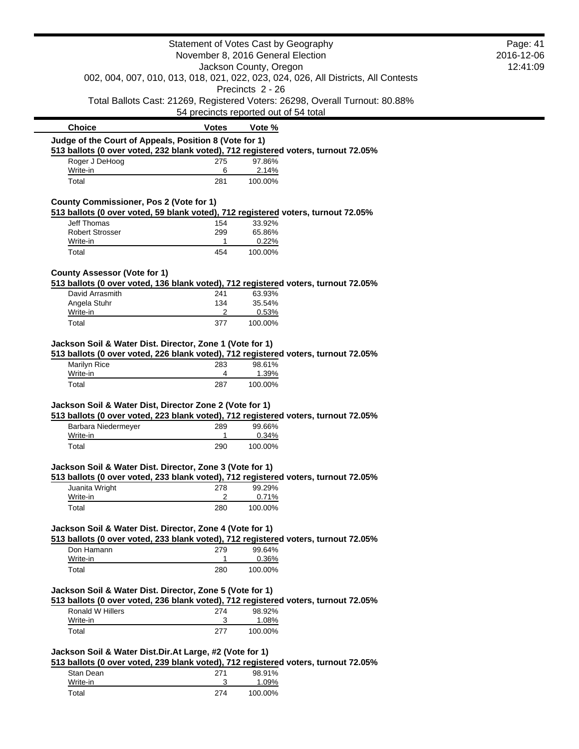| Statement of Votes Cast by Geography                                                                         |              |                                                                                              | Page: 41   |
|--------------------------------------------------------------------------------------------------------------|--------------|----------------------------------------------------------------------------------------------|------------|
| November 8, 2016 General Election                                                                            |              |                                                                                              | 2016-12-06 |
| Jackson County, Oregon<br>002, 004, 007, 010, 013, 018, 021, 022, 023, 024, 026, All Districts, All Contests |              |                                                                                              | 12:41:09   |
|                                                                                                              |              |                                                                                              |            |
|                                                                                                              |              | Precincts 2 - 26                                                                             |            |
|                                                                                                              |              | Total Ballots Cast: 21269, Registered Voters: 26298, Overall Turnout: 80.88%                 |            |
|                                                                                                              |              | 54 precincts reported out of 54 total                                                        |            |
| <b>Choice</b>                                                                                                | <b>Votes</b> | Vote %                                                                                       |            |
| Judge of the Court of Appeals, Position 8 (Vote for 1)                                                       |              |                                                                                              |            |
| Roger J DeHoog                                                                                               | 275          | 513 ballots (0 over voted, 232 blank voted), 712 registered voters, turnout 72.05%<br>97.86% |            |
| Write-in                                                                                                     | 6            | 2.14%                                                                                        |            |
| Total                                                                                                        | 281          | 100.00%                                                                                      |            |
| County Commissioner, Pos 2 (Vote for 1)                                                                      |              |                                                                                              |            |
|                                                                                                              |              | 513 ballots (0 over voted, 59 blank voted), 712 registered voters, turnout 72.05%            |            |
| Jeff Thomas                                                                                                  | 154          | 33.92%                                                                                       |            |
| <b>Robert Strosser</b>                                                                                       | 299          | 65.86%                                                                                       |            |
| Write-in                                                                                                     | $\mathbf{1}$ | 0.22%                                                                                        |            |
| Total                                                                                                        | 454          | 100.00%                                                                                      |            |
| <b>County Assessor (Vote for 1)</b>                                                                          |              |                                                                                              |            |
|                                                                                                              |              | 513 ballots (0 over voted, 136 blank voted), 712 registered voters, turnout 72.05%           |            |
| David Arrasmith                                                                                              | 241          | 63.93%                                                                                       |            |
| Angela Stuhr<br>Write-in                                                                                     | 134<br>2     | 35.54%<br>0.53%                                                                              |            |
| Total                                                                                                        | 377          | 100.00%                                                                                      |            |
|                                                                                                              |              |                                                                                              |            |
| Jackson Soil & Water Dist. Director, Zone 1 (Vote for 1)                                                     |              |                                                                                              |            |
|                                                                                                              |              | 513 ballots (0 over voted, 226 blank voted), 712 registered voters, turnout 72.05%           |            |
| Marilyn Rice                                                                                                 | 283          | 98.61%                                                                                       |            |
| Write-in                                                                                                     | 4            | 1.39%                                                                                        |            |
| Total                                                                                                        | 287          | 100.00%                                                                                      |            |
| Jackson Soil & Water Dist, Director Zone 2 (Vote for 1)                                                      |              |                                                                                              |            |
|                                                                                                              |              | 513 ballots (0 over voted, 223 blank voted), 712 registered voters, turnout 72.05%           |            |
| Barbara Niedermeyer                                                                                          | 289          | 99.66%                                                                                       |            |
| Write-in                                                                                                     | 1            | 0.34%                                                                                        |            |
| Total                                                                                                        | 290          | 100.00%                                                                                      |            |
| Jackson Soil & Water Dist. Director, Zone 3 (Vote for 1)                                                     |              |                                                                                              |            |
|                                                                                                              |              | 513 ballots (0 over voted, 233 blank voted), 712 registered voters, turnout 72.05%           |            |
| Juanita Wright                                                                                               | 278          | 99.29%                                                                                       |            |
| Write-in                                                                                                     | 2            | 0.71%                                                                                        |            |
| Total                                                                                                        | 280          | 100.00%                                                                                      |            |
| Jackson Soil & Water Dist. Director, Zone 4 (Vote for 1)                                                     |              |                                                                                              |            |
|                                                                                                              |              | 513 ballots (0 over voted, 233 blank voted), 712 registered voters, turnout 72.05%           |            |
| Don Hamann                                                                                                   | 279          | 99.64%                                                                                       |            |
| Write-in                                                                                                     | 1            | 0.36%                                                                                        |            |
| Total                                                                                                        | 280          | 100.00%                                                                                      |            |
|                                                                                                              |              |                                                                                              |            |
| Jackson Soil & Water Dist. Director, Zone 5 (Vote for 1)                                                     |              |                                                                                              |            |
|                                                                                                              |              | 513 ballots (0 over voted, 236 blank voted), 712 registered voters, turnout 72.05%           |            |
|                                                                                                              | 274          | 98.92%                                                                                       |            |
| Ronald W Hillers                                                                                             |              |                                                                                              |            |
| Write-in<br>Total                                                                                            | 3<br>277     | 1.08%<br>100.00%                                                                             |            |
|                                                                                                              |              |                                                                                              |            |
| Jackson Soil & Water Dist.Dir.At Large, #2 (Vote for 1)                                                      |              |                                                                                              |            |
|                                                                                                              |              | 513 ballots (0 over voted, 239 blank voted), 712 registered voters, turnout 72.05%           |            |
| Stan Dean                                                                                                    | 271          | 98.91%                                                                                       |            |
| Write-in<br>Total                                                                                            | 3<br>274     | 1.09%<br>100.00%                                                                             |            |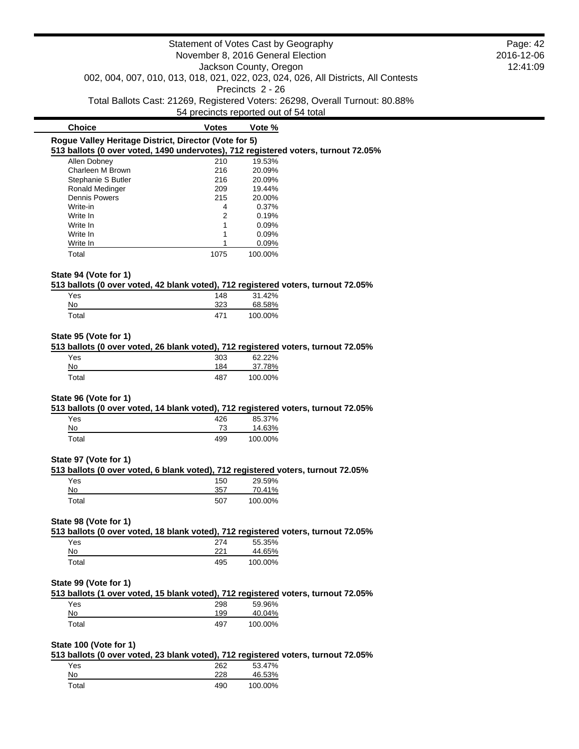|                                                                                                           | Statement of Votes Cast by Geography |                                       |                                                                              | Page: 42 |
|-----------------------------------------------------------------------------------------------------------|--------------------------------------|---------------------------------------|------------------------------------------------------------------------------|----------|
| November 8, 2016 General Election                                                                         |                                      |                                       | 2016-12-06                                                                   |          |
| Jackson County, Oregon                                                                                    |                                      |                                       | 12:41:09                                                                     |          |
| 002, 004, 007, 010, 013, 018, 021, 022, 023, 024, 026, All Districts, All Contests                        |                                      |                                       |                                                                              |          |
|                                                                                                           |                                      | Precincts 2 - 26                      |                                                                              |          |
|                                                                                                           |                                      |                                       | Total Ballots Cast: 21269, Registered Voters: 26298, Overall Turnout: 80.88% |          |
|                                                                                                           |                                      | 54 precincts reported out of 54 total |                                                                              |          |
| <b>Choice</b>                                                                                             | <b>Votes</b>                         | Vote %                                |                                                                              |          |
| Rogue Valley Heritage District, Director (Vote for 5)                                                     |                                      |                                       |                                                                              |          |
| 513 ballots (0 over voted, 1490 undervotes), 712 registered voters, turnout 72.05%                        |                                      |                                       |                                                                              |          |
| Allen Dobney                                                                                              | 210                                  | 19.53%                                |                                                                              |          |
| Charleen M Brown                                                                                          | 216                                  | 20.09%                                |                                                                              |          |
| Stephanie S Butler                                                                                        | 216                                  | 20.09%                                |                                                                              |          |
| Ronald Medinger                                                                                           | 209                                  | 19.44%                                |                                                                              |          |
| <b>Dennis Powers</b>                                                                                      | 215                                  | 20.00%                                |                                                                              |          |
| Write-in                                                                                                  | 4                                    | 0.37%                                 |                                                                              |          |
| Write In                                                                                                  | 2                                    | 0.19%                                 |                                                                              |          |
| Write In                                                                                                  | 1                                    | 0.09%                                 |                                                                              |          |
| Write In                                                                                                  | 1<br>1                               | 0.09%                                 |                                                                              |          |
| Write In                                                                                                  |                                      | 0.09%                                 |                                                                              |          |
| Total                                                                                                     | 1075                                 | 100.00%                               |                                                                              |          |
| State 94 (Vote for 1)                                                                                     |                                      |                                       |                                                                              |          |
| 513 ballots (0 over voted, 42 blank voted), 712 registered voters, turnout 72.05%                         |                                      |                                       |                                                                              |          |
| Yes                                                                                                       | 148                                  | 31.42%                                |                                                                              |          |
| No                                                                                                        | 323                                  | 68.58%                                |                                                                              |          |
| Total                                                                                                     | 471                                  | 100.00%                               |                                                                              |          |
| 513 ballots (0 over voted, 26 blank voted), 712 registered voters, turnout 72.05%<br>Yes                  | 303<br>184                           | 62.22%                                |                                                                              |          |
| No                                                                                                        |                                      | 37.78%                                |                                                                              |          |
| Total                                                                                                     | 487                                  | 100.00%                               |                                                                              |          |
| State 96 (Vote for 1)                                                                                     |                                      |                                       |                                                                              |          |
| 513 ballots (0 over voted, 14 blank voted), 712 registered voters, turnout 72.05%                         |                                      |                                       |                                                                              |          |
| Yes                                                                                                       | 426                                  | 85.37%                                |                                                                              |          |
| No                                                                                                        | 73                                   | 14.63%                                |                                                                              |          |
| Total                                                                                                     | 499                                  | 100.00%                               |                                                                              |          |
|                                                                                                           |                                      |                                       |                                                                              |          |
| State 97 (Vote for 1)<br>513 ballots (0 over voted, 6 blank voted), 712 registered voters, turnout 72.05% |                                      |                                       |                                                                              |          |
| Yes                                                                                                       | 150                                  | 29.59%                                |                                                                              |          |
| No                                                                                                        | 357                                  | 70.41%                                |                                                                              |          |
| Total                                                                                                     | 507                                  | 100.00%                               |                                                                              |          |
|                                                                                                           |                                      |                                       |                                                                              |          |
| State 98 (Vote for 1)                                                                                     |                                      |                                       |                                                                              |          |
| 513 ballots (0 over voted, 18 blank voted), 712 registered voters, turnout 72.05%                         |                                      |                                       |                                                                              |          |
| Yes                                                                                                       | 274                                  | 55.35%                                |                                                                              |          |
| <u>No</u>                                                                                                 | 221                                  | 44.65%                                |                                                                              |          |
| Total                                                                                                     | 495                                  | 100.00%                               |                                                                              |          |
| State 99 (Vote for 1)                                                                                     |                                      |                                       |                                                                              |          |
| 513 ballots (1 over voted, 15 blank voted), 712 registered voters, turnout 72.05%                         |                                      |                                       |                                                                              |          |
| Yes                                                                                                       | 298                                  | 59.96%                                |                                                                              |          |
| No                                                                                                        | 199                                  | 40.04%                                |                                                                              |          |
| Total                                                                                                     | 497                                  | 100.00%                               |                                                                              |          |
|                                                                                                           |                                      |                                       |                                                                              |          |
| State 100 (Vote for 1)                                                                                    |                                      |                                       |                                                                              |          |
| 513 ballots (0 over voted, 23 blank voted), 712 registered voters, turnout 72.05%                         |                                      |                                       |                                                                              |          |
| Yes                                                                                                       | 262                                  | 53.47%                                |                                                                              |          |

| No    | 228 | 46.53%  |
|-------|-----|---------|
| Total | 490 | 100.00% |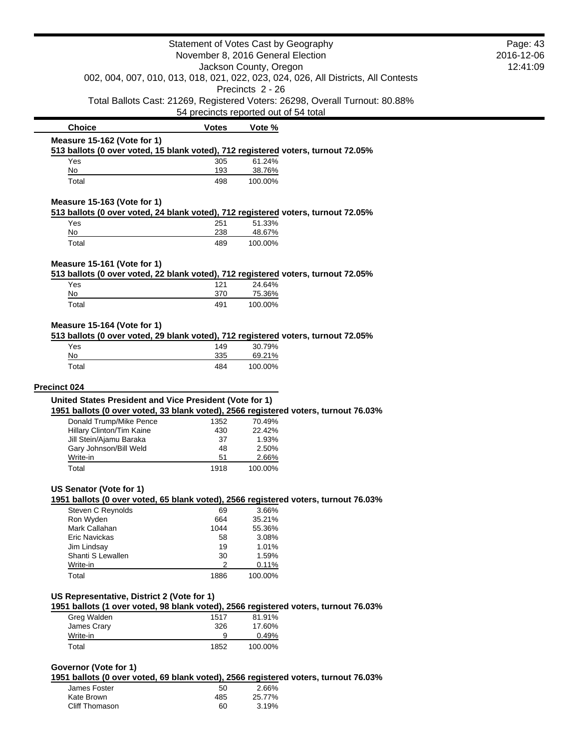| Statement of Votes Cast by Geography                                                                                                           |                                       |                   | Page: 43<br>2016-12-06                                                       |  |
|------------------------------------------------------------------------------------------------------------------------------------------------|---------------------------------------|-------------------|------------------------------------------------------------------------------|--|
| November 8, 2016 General Election                                                                                                              |                                       |                   |                                                                              |  |
| Jackson County, Oregon<br>002, 004, 007, 010, 013, 018, 021, 022, 023, 024, 026, All Districts, All Contests                                   |                                       |                   | 12:41:09                                                                     |  |
|                                                                                                                                                |                                       | Precincts 2 - 26  |                                                                              |  |
|                                                                                                                                                | 54 precincts reported out of 54 total |                   | Total Ballots Cast: 21269, Registered Voters: 26298, Overall Turnout: 80.88% |  |
| <b>Choice</b>                                                                                                                                  | <b>Votes</b>                          | Vote %            |                                                                              |  |
| Measure 15-162 (Vote for 1)                                                                                                                    |                                       |                   |                                                                              |  |
| 513 ballots (0 over voted, 15 blank voted), 712 registered voters, turnout 72.05%                                                              |                                       |                   |                                                                              |  |
| Yes<br>No                                                                                                                                      | 305<br>193                            | 61.24%<br>38.76%  |                                                                              |  |
| Total                                                                                                                                          | 498                                   | 100.00%           |                                                                              |  |
| Measure 15-163 (Vote for 1)                                                                                                                    |                                       |                   |                                                                              |  |
| 513 ballots (0 over voted, 24 blank voted), 712 registered voters, turnout 72.05%                                                              |                                       |                   |                                                                              |  |
| Yes                                                                                                                                            | 251                                   | 51.33%            |                                                                              |  |
| No<br>Total                                                                                                                                    | 238<br>489                            | 48.67%<br>100.00% |                                                                              |  |
|                                                                                                                                                |                                       |                   |                                                                              |  |
| Measure 15-161 (Vote for 1)<br>513 ballots (0 over voted, 22 blank voted), 712 registered voters, turnout 72.05%                               |                                       |                   |                                                                              |  |
| Yes                                                                                                                                            | 121                                   | 24.64%            |                                                                              |  |
| No                                                                                                                                             | 370                                   | 75.36%            |                                                                              |  |
| Total                                                                                                                                          | 491                                   | 100.00%           |                                                                              |  |
|                                                                                                                                                |                                       |                   |                                                                              |  |
| Measure 15-164 (Vote for 1)<br>513 ballots (0 over voted, 29 blank voted), 712 registered voters, turnout 72.05%                               |                                       |                   |                                                                              |  |
| Yes                                                                                                                                            | 149                                   | 30.79%            |                                                                              |  |
| No                                                                                                                                             | 335                                   | 69.21%            |                                                                              |  |
| Total                                                                                                                                          | 484                                   | 100.00%           |                                                                              |  |
|                                                                                                                                                |                                       |                   |                                                                              |  |
| <b>Precinct 024</b>                                                                                                                            |                                       |                   |                                                                              |  |
| United States President and Vice President (Vote for 1)<br>1951 ballots (0 over voted, 33 blank voted), 2566 registered voters, turnout 76.03% |                                       |                   |                                                                              |  |
| Donald Trump/Mike Pence                                                                                                                        | 1352                                  | 70.49%            |                                                                              |  |
| Hillary Clinton/Tim Kaine                                                                                                                      | 430                                   | 22.42%            |                                                                              |  |
| Jill Stein/Ajamu Baraka                                                                                                                        | 37                                    | 1.93%             |                                                                              |  |
| Gary Johnson/Bill Weld                                                                                                                         | 48                                    | 2.50%             |                                                                              |  |
| Write-in                                                                                                                                       | 51                                    | 2.66%             |                                                                              |  |
| Total                                                                                                                                          | 1918                                  | 100.00%           |                                                                              |  |
| US Senator (Vote for 1)                                                                                                                        |                                       |                   |                                                                              |  |
| 1951 ballots (0 over voted, 65 blank voted), 2566 registered voters, turnout 76.03%                                                            |                                       |                   |                                                                              |  |
| Steven C Reynolds                                                                                                                              | 69                                    | 3.66%             |                                                                              |  |
| Ron Wyden                                                                                                                                      | 664                                   | 35.21%            |                                                                              |  |
| Mark Callahan<br><b>Eric Navickas</b>                                                                                                          | 1044                                  | 55.36%            |                                                                              |  |
| Jim Lindsay                                                                                                                                    | 58<br>19                              | 3.08%<br>1.01%    |                                                                              |  |
| Shanti S Lewallen                                                                                                                              | 30                                    | 1.59%             |                                                                              |  |
| Write-in                                                                                                                                       | 2                                     | 0.11%             |                                                                              |  |
| Total                                                                                                                                          | 1886                                  | 100.00%           |                                                                              |  |
|                                                                                                                                                |                                       |                   |                                                                              |  |
| US Representative, District 2 (Vote for 1)<br>1951 ballots (1 over voted, 98 blank voted), 2566 registered voters, turnout 76.03%              |                                       |                   |                                                                              |  |
| Greg Walden                                                                                                                                    | 1517                                  | 81.91%            |                                                                              |  |
| James Crary                                                                                                                                    | 326                                   | 17.60%            |                                                                              |  |
| Write-in                                                                                                                                       | 9                                     | 0.49%             |                                                                              |  |
| Total                                                                                                                                          | 1852                                  | 100.00%           |                                                                              |  |
| Governor (Vote for 1)                                                                                                                          |                                       |                   |                                                                              |  |
| 1951 ballots (0 over voted, 69 blank voted), 2566 registered voters, turnout 76.03%                                                            |                                       |                   |                                                                              |  |
| James Foster                                                                                                                                   | 50                                    | 2.66%             |                                                                              |  |
| Kate Brown                                                                                                                                     | 485                                   | 25.77%            |                                                                              |  |

Cliff Thomason 60 3.19%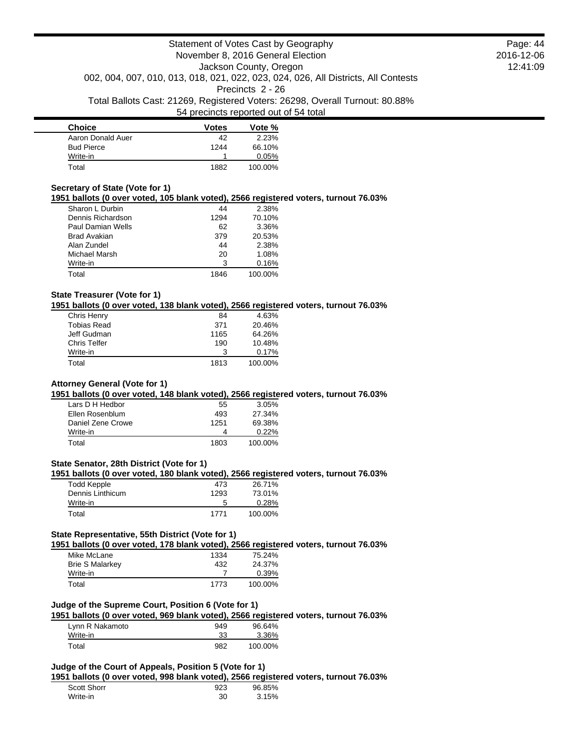| <b>Choice</b>     | <b>Votes</b> | Vote %  |
|-------------------|--------------|---------|
| Aaron Donald Auer | 42           | 2.23%   |
| <b>Bud Pierce</b> | 1244         | 66.10%  |
| Write-in          |              | 0.05%   |
| Total             | 1882         | 100.00% |

#### **Secretary of State (Vote for 1)**

**1951 ballots (0 over voted, 105 blank voted), 2566 registered voters, turnout 76.03%**

| Sharon L Durbin     | 44   | 2.38%   |
|---------------------|------|---------|
| Dennis Richardson   | 1294 | 70.10%  |
| Paul Damian Wells   | 62   | 3.36%   |
| <b>Brad Avakian</b> | 379  | 20.53%  |
| Alan Zundel         | 44   | 2.38%   |
| Michael Marsh       | 20   | 1.08%   |
| Write-in            | 3    | 0.16%   |
| Total               | 1846 | 100.00% |

## **State Treasurer (Vote for 1)**

**1951 ballots (0 over voted, 138 blank voted), 2566 registered voters, turnout 76.03%**

| Chris Henry         | 84   | 4.63%   |
|---------------------|------|---------|
| <b>Tobias Read</b>  | 371  | 20.46%  |
| Jeff Gudman         | 1165 | 64.26%  |
| <b>Chris Telfer</b> | 190  | 10.48%  |
| Write-in            | 3    | 0.17%   |
| Total               | 1813 | 100.00% |

## **Attorney General (Vote for 1)**

## **1951 ballots (0 over voted, 148 blank voted), 2566 registered voters, turnout 76.03%**

| Lars D H Hedbor   | 55   | 3.05%    |
|-------------------|------|----------|
| Ellen Rosenblum   | 493  | 27.34%   |
| Daniel Zene Crowe | 1251 | 69.38%   |
| Write-in          | Δ    | $0.22\%$ |
| Total             | 1803 | 100.00%  |

## **State Senator, 28th District (Vote for 1)**

#### **1951 ballots (0 over voted, 180 blank voted), 2566 registered voters, turnout 76.03%**

| Todd Kepple      | 473  | 26.71%  |
|------------------|------|---------|
| Dennis Linthicum | 1293 | 73.01%  |
| Write-in         | 5    | 0.28%   |
| Total            | 1771 | 100.00% |

## **State Representative, 55th District (Vote for 1)**

**1951 ballots (0 over voted, 178 blank voted), 2566 registered voters, turnout 76.03%**

| Mike McLane            | 1334 | 75.24%  |
|------------------------|------|---------|
| <b>Brie S Malarkey</b> | 432  | 24.37%  |
| Write-in               |      | 0.39%   |
| Total                  | 1773 | 100.00% |

### **Judge of the Supreme Court, Position 6 (Vote for 1)**

**1951 ballots (0 over voted, 969 blank voted), 2566 registered voters, turnout 76.03%**

| Lynn R Nakamoto | 949 | 96.64%  |
|-----------------|-----|---------|
| Write-in        | 33  | 3.36%   |
| Total           | 982 | 100.00% |

### **Judge of the Court of Appeals, Position 5 (Vote for 1)**

**1951 ballots (0 over voted, 998 blank voted), 2566 registered voters, turnout 76.03%**

| <b>Scott Shorr</b> | 923 | 96.85% |
|--------------------|-----|--------|
| Write-in           | 30  | 3.15%  |

Page: 44 2016-12-06 12:41:09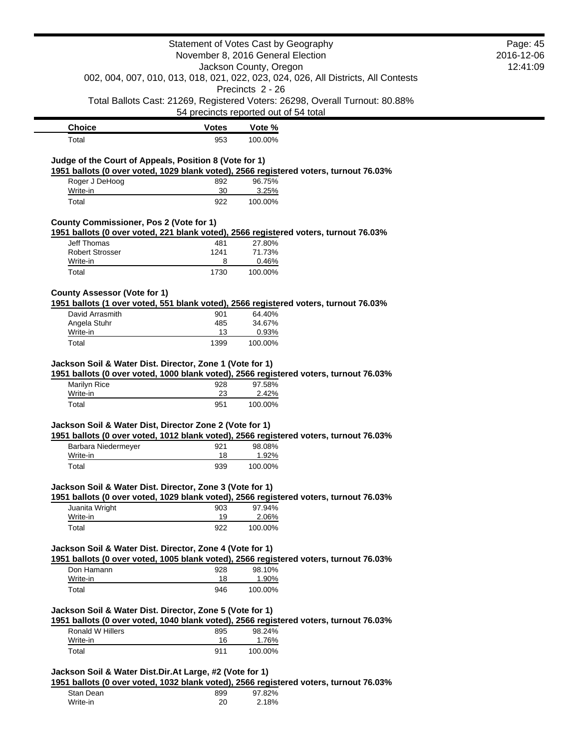|                                                                                                                                                   | Statement of Votes Cast by Geography                                               |                  |                                                                              | Page: 45<br>2016-12-06 |
|---------------------------------------------------------------------------------------------------------------------------------------------------|------------------------------------------------------------------------------------|------------------|------------------------------------------------------------------------------|------------------------|
| November 8, 2016 General Election<br>Jackson County, Oregon                                                                                       |                                                                                    | 12:41:09         |                                                                              |                        |
|                                                                                                                                                   | 002, 004, 007, 010, 013, 018, 021, 022, 023, 024, 026, All Districts, All Contests |                  |                                                                              |                        |
|                                                                                                                                                   |                                                                                    | Precincts 2 - 26 |                                                                              |                        |
|                                                                                                                                                   | 54 precincts reported out of 54 total                                              |                  | Total Ballots Cast: 21269, Registered Voters: 26298, Overall Turnout: 80.88% |                        |
| <b>Choice</b>                                                                                                                                     | <b>Votes</b>                                                                       | Vote %           |                                                                              |                        |
| Total                                                                                                                                             | 953                                                                                | 100.00%          |                                                                              |                        |
| Judge of the Court of Appeals, Position 8 (Vote for 1)                                                                                            |                                                                                    |                  |                                                                              |                        |
| 1951 ballots (0 over voted, 1029 blank voted), 2566 registered voters, turnout 76.03%                                                             |                                                                                    |                  |                                                                              |                        |
| Roger J DeHoog                                                                                                                                    | 892                                                                                | 96.75%           |                                                                              |                        |
| Write-in<br>Total                                                                                                                                 | 30<br>922                                                                          | 3.25%<br>100.00% |                                                                              |                        |
|                                                                                                                                                   |                                                                                    |                  |                                                                              |                        |
| <b>County Commissioner, Pos 2 (Vote for 1)</b>                                                                                                    |                                                                                    |                  |                                                                              |                        |
| 1951 ballots (0 over voted, 221 blank voted), 2566 registered voters, turnout 76.03%<br><b>Jeff Thomas</b>                                        | 481                                                                                | 27.80%           |                                                                              |                        |
| <b>Robert Strosser</b>                                                                                                                            | 1241                                                                               | 71.73%           |                                                                              |                        |
| Write-in                                                                                                                                          | 8                                                                                  | 0.46%            |                                                                              |                        |
| Total                                                                                                                                             | 1730                                                                               | 100.00%          |                                                                              |                        |
| <b>County Assessor (Vote for 1)</b>                                                                                                               |                                                                                    |                  |                                                                              |                        |
| 1951 ballots (1 over voted, 551 blank voted), 2566 registered voters, turnout 76.03%                                                              |                                                                                    |                  |                                                                              |                        |
| David Arrasmith<br>Angela Stuhr                                                                                                                   | 901<br>485                                                                         | 64.40%<br>34.67% |                                                                              |                        |
| Write-in                                                                                                                                          | 13                                                                                 | 0.93%            |                                                                              |                        |
| Total                                                                                                                                             | 1399                                                                               | 100.00%          |                                                                              |                        |
| Jackson Soil & Water Dist. Director, Zone 1 (Vote for 1)                                                                                          |                                                                                    |                  |                                                                              |                        |
| 1951 ballots (0 over voted, 1000 blank voted), 2566 registered voters, turnout 76.03%                                                             |                                                                                    |                  |                                                                              |                        |
| Marilyn Rice                                                                                                                                      | 928                                                                                | 97.58%           |                                                                              |                        |
| Write-in<br>Total                                                                                                                                 | 23<br>951                                                                          | 2.42%<br>100.00% |                                                                              |                        |
|                                                                                                                                                   |                                                                                    |                  |                                                                              |                        |
| Jackson Soil & Water Dist, Director Zone 2 (Vote for 1)                                                                                           |                                                                                    |                  |                                                                              |                        |
| 1951 ballots (0 over voted, 1012 blank voted), 2566 registered voters, turnout 76.03%<br>Barbara Niedermeyer                                      | 921                                                                                | 98.08%           |                                                                              |                        |
| Write-in                                                                                                                                          | 18                                                                                 | 1.92%            |                                                                              |                        |
| Total                                                                                                                                             | 939                                                                                | 100.00%          |                                                                              |                        |
|                                                                                                                                                   |                                                                                    |                  |                                                                              |                        |
| Jackson Soil & Water Dist. Director, Zone 3 (Vote for 1)<br>1951 ballots (0 over voted, 1029 blank voted), 2566 registered voters, turnout 76.03% |                                                                                    |                  |                                                                              |                        |
| Juanita Wright                                                                                                                                    | 903                                                                                | 97.94%           |                                                                              |                        |
| Write-in                                                                                                                                          | 19                                                                                 | 2.06%            |                                                                              |                        |
| Total                                                                                                                                             | 922                                                                                | 100.00%          |                                                                              |                        |
| Jackson Soil & Water Dist. Director, Zone 4 (Vote for 1)                                                                                          |                                                                                    |                  |                                                                              |                        |
| 1951 ballots (0 over voted, 1005 blank voted), 2566 registered voters, turnout 76.03%                                                             |                                                                                    |                  |                                                                              |                        |
| Don Hamann                                                                                                                                        | 928                                                                                | 98.10%           |                                                                              |                        |
| Write-in<br>Total                                                                                                                                 | 18<br>946                                                                          | 1.90%<br>100.00% |                                                                              |                        |
|                                                                                                                                                   |                                                                                    |                  |                                                                              |                        |
| Jackson Soil & Water Dist. Director, Zone 5 (Vote for 1)                                                                                          |                                                                                    |                  |                                                                              |                        |
| 1951 ballots (0 over voted, 1040 blank voted), 2566 registered voters, turnout 76.03%                                                             |                                                                                    |                  |                                                                              |                        |
| Ronald W Hillers<br>Write-in                                                                                                                      | 895<br>16                                                                          | 98.24%<br>1.76%  |                                                                              |                        |
| Total                                                                                                                                             | 911                                                                                | 100.00%          |                                                                              |                        |
|                                                                                                                                                   |                                                                                    |                  |                                                                              |                        |
| Jackson Soil & Water Dist.Dir.At Large, #2 (Vote for 1)                                                                                           |                                                                                    |                  |                                                                              |                        |
| 1951 ballots (0 over voted, 1032 blank voted), 2566 registered voters, turnout 76.03%<br>Stan Dean                                                | 899                                                                                | 97.82%           |                                                                              |                        |
| Write-in                                                                                                                                          | 20                                                                                 | 2.18%            |                                                                              |                        |
|                                                                                                                                                   |                                                                                    |                  |                                                                              |                        |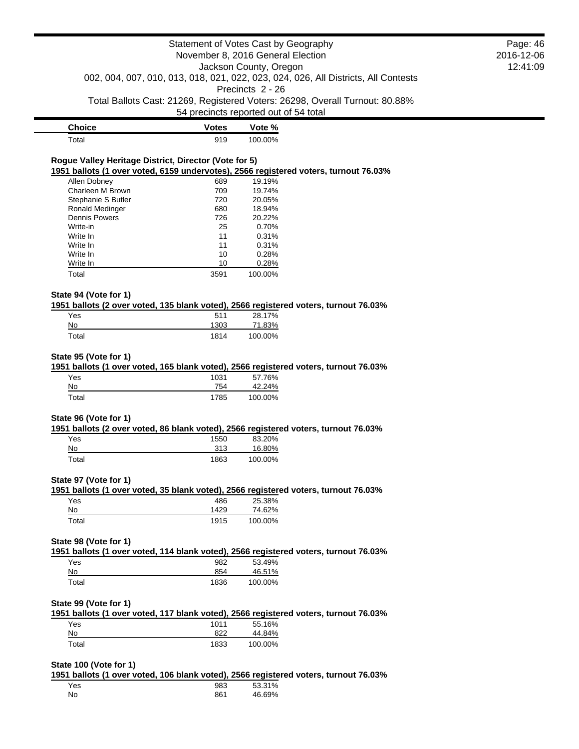| <b>Choice</b> | <b>Votes</b> | Vote %  |
|---------------|--------------|---------|
| Total         | 919          | 100.00% |

# **Rogue Valley Heritage District, Director (Vote for 5)**

**1951 ballots (1 over voted, 6159 undervotes), 2566 registered voters, turnout 76.03%**

| Allen Dobney         | 689  | 19.19%  |
|----------------------|------|---------|
| Charleen M Brown     | 709  | 19.74%  |
| Stephanie S Butler   | 720  | 20.05%  |
| Ronald Medinger      | 680  | 18.94%  |
| <b>Dennis Powers</b> | 726  | 20.22%  |
| Write-in             | 25   | 0.70%   |
| Write In             | 11   | 0.31%   |
| Write In             | 11   | 0.31%   |
| Write In             | 10   | 0.28%   |
| Write In             | 10   | 0.28%   |
| Total                | 3591 | 100.00% |

### **State 94 (Vote for 1)**

**1951 ballots (2 over voted, 135 blank voted), 2566 registered voters, turnout 76.03%**

| Yes   | 511  | 28.17%  |
|-------|------|---------|
| No    | 1303 | 71.83%  |
| Total | 1814 | 100.00% |

#### **State 95 (Vote for 1)**

**1951 ballots (1 over voted, 165 blank voted), 2566 registered voters, turnout 76.03%**

| Yes   | 1031 | 57.76%  |
|-------|------|---------|
| No    | 754  | 42.24%  |
| Total | 1785 | 100.00% |

### **State 96 (Vote for 1)**

**1951 ballots (2 over voted, 86 blank voted), 2566 registered voters, turnout 76.03%**

| Yes   | 1550 | 83.20%  |
|-------|------|---------|
| No    | 313  | 16.80%  |
| Total | 1863 | 100.00% |

#### **State 97 (Vote for 1)**

|     | 1951 ballots (1 over voted, 35 blank voted), 2566 registered voters, turnout 76.03% |        |  |
|-----|-------------------------------------------------------------------------------------|--------|--|
| Yes | 486                                                                                 | 25.38% |  |

| No.   | 429  | 74.62%  |
|-------|------|---------|
| Total | 1915 | 100.00% |

### **State 98 (Vote for 1)**

**1951 ballots (1 over voted, 114 blank voted), 2566 registered voters, turnout 76.03%**

| Yes   | 982  | 53.49%  |
|-------|------|---------|
| No    | 854  | 46.51%  |
| Total | 1836 | 100.00% |

## **State 99 (Vote for 1)**

**1951 ballots (1 over voted, 117 blank voted), 2566 registered voters, turnout 76.03%** Yes 1011 55.16% No 822 44.84%

### **State 100 (Vote for 1)**

**1951 ballots (1 over voted, 106 blank voted), 2566 registered voters, turnout 76.03%**

| Yes | 983 | 53.31% |
|-----|-----|--------|
| No  | 861 | 46.69% |

Total 1833 100.00%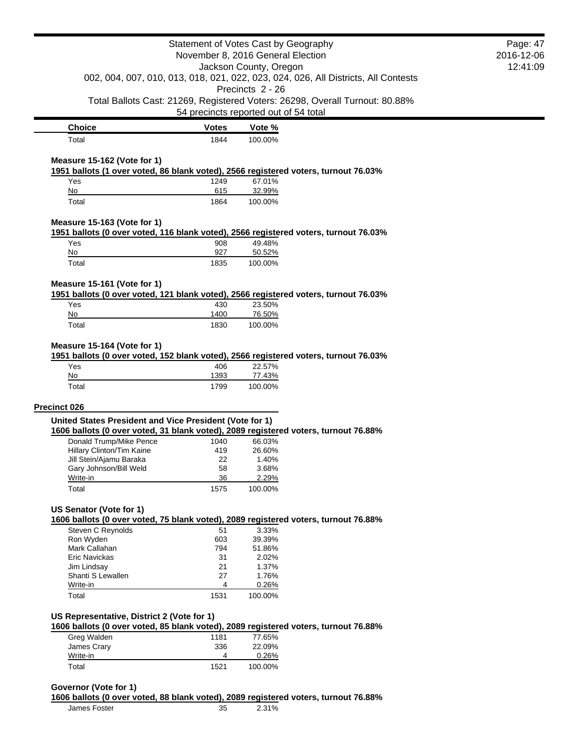|                                                         |              | Statement of Votes Cast by Geography                                                             | Page: 47 |
|---------------------------------------------------------|--------------|--------------------------------------------------------------------------------------------------|----------|
| November 8, 2016 General Election                       |              | 2016-12-06                                                                                       |          |
|                                                         |              | Jackson County, Oregon                                                                           | 12:41:09 |
|                                                         |              | 002, 004, 007, 010, 013, 018, 021, 022, 023, 024, 026, All Districts, All Contests               |          |
|                                                         |              | Precincts 2 - 26<br>Total Ballots Cast: 21269, Registered Voters: 26298, Overall Turnout: 80.88% |          |
|                                                         |              | 54 precincts reported out of 54 total                                                            |          |
| <b>Choice</b>                                           | <b>Votes</b> | Vote %                                                                                           |          |
| Total                                                   | 1844         | 100.00%                                                                                          |          |
| Measure 15-162 (Vote for 1)                             |              |                                                                                                  |          |
|                                                         |              | 1951 ballots (1 over voted, 86 blank voted), 2566 registered voters, turnout 76.03%              |          |
| Yes                                                     | 1249         | 67.01%                                                                                           |          |
| No<br>Total                                             | 615<br>1864  | 32.99%<br>100.00%                                                                                |          |
|                                                         |              |                                                                                                  |          |
| Measure 15-163 (Vote for 1)                             |              | 1951 ballots (0 over voted, 116 blank voted), 2566 registered voters, turnout 76.03%             |          |
| Yes                                                     | 908          | 49.48%                                                                                           |          |
| No                                                      | 927          | 50.52%                                                                                           |          |
| Total                                                   | 1835         | 100.00%                                                                                          |          |
| Measure 15-161 (Vote for 1)                             |              |                                                                                                  |          |
|                                                         |              | 1951 ballots (0 over voted, 121 blank voted), 2566 registered voters, turnout 76.03%             |          |
| Yes                                                     | 430          | 23.50%                                                                                           |          |
| No                                                      | 1400         | 76.50%                                                                                           |          |
| Total                                                   | 1830         | 100.00%                                                                                          |          |
|                                                         |              |                                                                                                  |          |
| Measure 15-164 (Vote for 1)                             |              |                                                                                                  |          |
|                                                         |              | 1951 ballots (0 over voted, 152 blank voted), 2566 registered voters, turnout 76.03%             |          |
| Yes                                                     | 406          | 22.57%                                                                                           |          |
| No                                                      | 1393         | 77.43%                                                                                           |          |
| Total                                                   | 1799         | 100.00%                                                                                          |          |
| Precinct 026                                            |              |                                                                                                  |          |
| United States President and Vice President (Vote for 1) |              |                                                                                                  |          |
|                                                         |              | 1606 ballots (0 over voted, 31 blank voted), 2089 registered voters, turnout 76.88%              |          |
| Donald Trump/Mike Pence                                 | 1040         | 66.03%                                                                                           |          |
| Hillary Clinton/Tim Kaine                               | 419          | 26.60%                                                                                           |          |
| Jill Stein/Ajamu Baraka                                 | 22           | 1.40%                                                                                            |          |
| Gary Johnson/Bill Weld                                  | 58           | 3.68%                                                                                            |          |
| Write-in                                                | 36           | 2.29%                                                                                            |          |
| Total                                                   | 1575         | 100.00%                                                                                          |          |
| US Senator (Vote for 1)                                 |              |                                                                                                  |          |
|                                                         |              | 1606 ballots (0 over voted, 75 blank voted), 2089 registered voters, turnout 76.88%              |          |
| Steven C Reynolds                                       | 51           | 3.33%                                                                                            |          |
| Ron Wyden                                               | 603          | 39.39%                                                                                           |          |
| Mark Callahan                                           | 794          | 51.86%                                                                                           |          |
| <b>Eric Navickas</b>                                    | 31           | 2.02%                                                                                            |          |
| Jim Lindsay                                             | 21           | 1.37%                                                                                            |          |
| Shanti S Lewallen                                       | 27           | 1.76%                                                                                            |          |
| Write-in<br>Total                                       | 4<br>1531    | 0.26%<br>100.00%                                                                                 |          |
|                                                         |              |                                                                                                  |          |
| US Representative, District 2 (Vote for 1)              |              |                                                                                                  |          |
|                                                         |              | 1606 ballots (0 over voted, 85 blank voted), 2089 registered voters, turnout 76.88%              |          |
| Greg Walden                                             | 1181<br>336  | 77.65%<br>22.09%                                                                                 |          |
| James Crary                                             | 4            |                                                                                                  |          |
| Write-in<br>Total                                       | 1521         | 0.26%<br>100.00%                                                                                 |          |

**1606 ballots (0 over voted, 88 blank voted), 2089 registered voters, turnout 76.88%**

James Foster 35 2.31%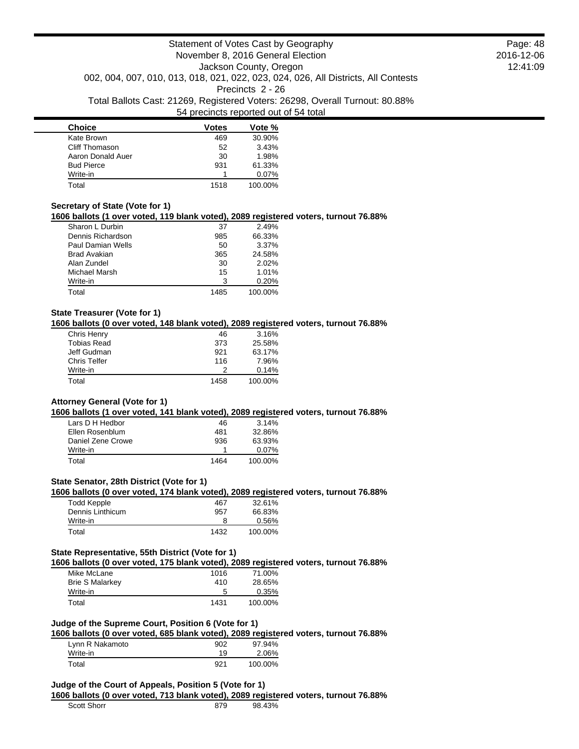| <b>Choice</b>     | <b>Votes</b> | Vote %  |
|-------------------|--------------|---------|
| Kate Brown        | 469          | 30.90%  |
| Cliff Thomason    | 52           | 3.43%   |
| Aaron Donald Auer | 30           | 1.98%   |
| <b>Bud Pierce</b> | 931          | 61.33%  |
| Write-in          |              | 0.07%   |
| Total             | 1518         | 100.00% |

### **Secretary of State (Vote for 1)**

**1606 ballots (1 over voted, 119 blank voted), 2089 registered voters, turnout 76.88%**

| Sharon L Durbin     | 37   | 2.49%   |
|---------------------|------|---------|
| Dennis Richardson   | 985  | 66.33%  |
| Paul Damian Wells   | 50   | 3.37%   |
| <b>Brad Avakian</b> | 365  | 24.58%  |
| Alan Zundel         | 30   | 2.02%   |
| Michael Marsh       | 15   | 1.01%   |
| Write-in            | 3    | 0.20%   |
| Total               | 1485 | 100.00% |

### **State Treasurer (Vote for 1)**

**1606 ballots (0 over voted, 148 blank voted), 2089 registered voters, turnout 76.88%**

| Chris Henry         | 46   | 3.16%   |
|---------------------|------|---------|
| <b>Tobias Read</b>  | 373  | 25.58%  |
| Jeff Gudman         | 921  | 63.17%  |
| <b>Chris Telfer</b> | 116  | 7.96%   |
| Write-in            | 2    | 0.14%   |
| Total               | 1458 | 100.00% |

#### **Attorney General (Vote for 1)**

**1606 ballots (1 over voted, 141 blank voted), 2089 registered voters, turnout 76.88%**

| Lars D H Hedbor   | 46   | 3.14%    |
|-------------------|------|----------|
| Ellen Rosenblum   | 481  | 32.86%   |
| Daniel Zene Crowe | 936  | 63.93%   |
| Write-in          |      | $0.07\%$ |
| Total             | 1464 | 100.00%  |

## **State Senator, 28th District (Vote for 1)**

**1606 ballots (0 over voted, 174 blank voted), 2089 registered voters, turnout 76.88%**

| Todd Kepple      | 467  | 32.61%  |
|------------------|------|---------|
| Dennis Linthicum | 957  | 66.83%  |
| Write-in         |      | 0.56%   |
| Total            | 1432 | 100.00% |

### **State Representative, 55th District (Vote for 1)**

**1606 ballots (0 over voted, 175 blank voted), 2089 registered voters, turnout 76.88%**

| Mike McLane            | 1016 | 71.00%  |
|------------------------|------|---------|
| <b>Brie S Malarkey</b> | 410  | 28.65%  |
| Write-in               | 5    | 0.35%   |
| Total                  | 1431 | 100.00% |

## **Judge of the Supreme Court, Position 6 (Vote for 1)**

**1606 ballots (0 over voted, 685 blank voted), 2089 registered voters, turnout 76.88%**

| Lynn R Nakamoto | 902 | 97.94%  |
|-----------------|-----|---------|
| Write-in        | 19  | 2.06%   |
| Total           | 921 | 100.00% |

#### **Judge of the Court of Appeals, Position 5 (Vote for 1)**

**1606 ballots (0 over voted, 713 blank voted), 2089 registered voters, turnout 76.88%**

| <b>Scott Shorr</b> | 98 43% |
|--------------------|--------|
|                    |        |

Page: 48 2016-12-06 12:41:09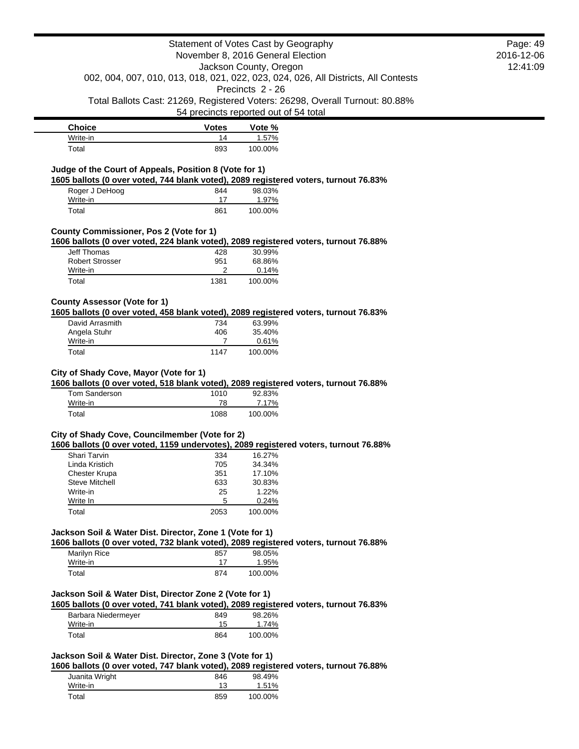| <b>Choice</b> | <b>Votes</b> | Vote %  |
|---------------|--------------|---------|
| Write-in      | 14           | 1.57%   |
| Total         | 893          | 100.00% |

#### **Judge of the Court of Appeals, Position 8 (Vote for 1)**

**1605 ballots (0 over voted, 744 blank voted), 2089 registered voters, turnout 76.83%**

| Roger J DeHoog | 844 | 98.03%  |
|----------------|-----|---------|
| Write-in       |     | 1.97%   |
| Total          | 861 | 100.00% |

### **County Commissioner, Pos 2 (Vote for 1)**

**1606 ballots (0 over voted, 224 blank voted), 2089 registered voters, turnout 76.88%**

| Jeff Thomas     | 428  | 30.99%  |
|-----------------|------|---------|
| Robert Strosser | 951  | 68.86%  |
| Write-in        |      | 0.14%   |
| Total           | 1381 | 100.00% |

## **County Assessor (Vote for 1)**

**1605 ballots (0 over voted, 458 blank voted), 2089 registered voters, turnout 76.83%**

| David Arrasmith | 734  | 63.99%  |
|-----------------|------|---------|
| Angela Stuhr    | 406  | 35.40%  |
| Write-in        |      | 0.61%   |
| Total           | 1147 | 100.00% |

### **City of Shady Cove, Mayor (Vote for 1)**

**1606 ballots (0 over voted, 518 blank voted), 2089 registered voters, turnout 76.88%**

| Tom Sanderson | 1010 | 92.83%  |
|---------------|------|---------|
| Write-in      | 78   | 7.17%   |
| Total         | 1088 | 100.00% |

# **City of Shady Cove, Councilmember (Vote for 2)**

**1606 ballots (0 over voted, 1159 undervotes), 2089 registered voters, turnout 76.88%**

| Shari Tarvin          | 334  | 16.27%  |
|-----------------------|------|---------|
| Linda Kristich        | 705  | 34.34%  |
| <b>Chester Krupa</b>  | 351  | 17.10%  |
| <b>Steve Mitchell</b> | 633  | 30.83%  |
| Write-in              | 25   | 1.22%   |
| Write In              | 5    | 0.24%   |
| Total                 | 2053 | 100.00% |

# **Jackson Soil & Water Dist. Director, Zone 1 (Vote for 1)**

**1606 ballots (0 over voted, 732 blank voted), 2089 registered voters, turnout 76.88%**

| Marilyn Rice | 857 | 98.05%  |
|--------------|-----|---------|
| Write-in     |     | 1.95%   |
| Total        | 874 | 100.00% |

## **Jackson Soil & Water Dist, Director Zone 2 (Vote for 1)**

**1605 ballots (0 over voted, 741 blank voted), 2089 registered voters, turnout 76.83%**

| Barbara Niedermeyer | 849 | 98.26%  |
|---------------------|-----|---------|
| Write-in            | 15  | 1.74%   |
| Total               | 864 | 100.00% |

# **Jackson Soil & Water Dist. Director, Zone 3 (Vote for 1)**

**1606 ballots (0 over voted, 747 blank voted), 2089 registered voters, turnout 76.88%**

| Juanita Wright | 846 | 98.49%  |
|----------------|-----|---------|
| Write-in       | 13  | 1.51%   |
| Total          | 859 | 100.00% |

Page: 49 2016-12-06 12:41:09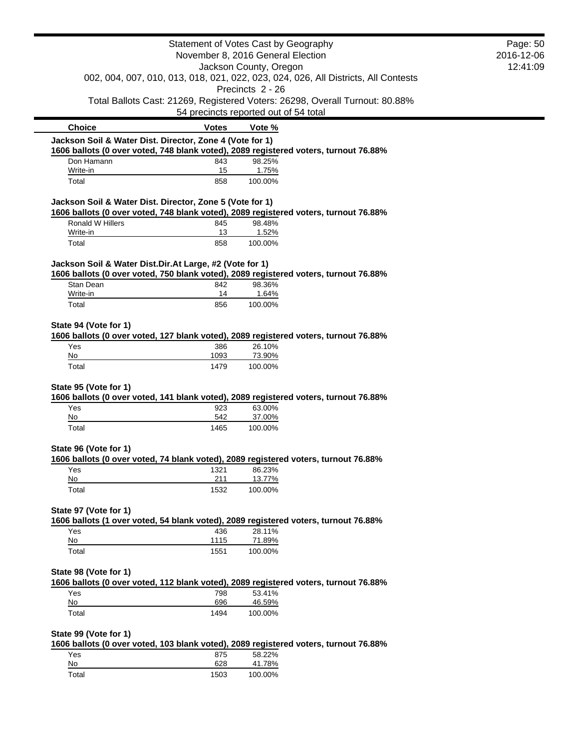|                                                             |                    | Statement of Votes Cast by Geography                                                                   | Page: 50 |
|-------------------------------------------------------------|--------------------|--------------------------------------------------------------------------------------------------------|----------|
| November 8, 2016 General Election<br>Jackson County, Oregon |                    | 2016-12-06                                                                                             |          |
|                                                             |                    |                                                                                                        | 12:41:09 |
|                                                             |                    | 002, 004, 007, 010, 013, 018, 021, 022, 023, 024, 026, All Districts, All Contests<br>Precincts 2 - 26 |          |
|                                                             |                    | Total Ballots Cast: 21269, Registered Voters: 26298, Overall Turnout: 80.88%                           |          |
|                                                             |                    | 54 precincts reported out of 54 total                                                                  |          |
| <b>Choice</b>                                               | <b>Votes</b>       | Vote %                                                                                                 |          |
| Jackson Soil & Water Dist. Director, Zone 4 (Vote for 1)    |                    | 1606 ballots (0 over voted, 748 blank voted), 2089 registered voters, turnout 76.88%                   |          |
| Don Hamann                                                  | 843                | 98.25%                                                                                                 |          |
| Write-in                                                    | 15                 | 1.75%                                                                                                  |          |
| Total                                                       | 858                | 100.00%                                                                                                |          |
| Jackson Soil & Water Dist. Director, Zone 5 (Vote for 1)    |                    |                                                                                                        |          |
| Ronald W Hillers                                            |                    | 1606 ballots (0 over voted, 748 blank voted), 2089 registered voters, turnout 76.88%                   |          |
| Write-in                                                    | 845<br>13          | 98.48%<br>1.52%                                                                                        |          |
| Total                                                       | 858                | 100.00%                                                                                                |          |
| Jackson Soil & Water Dist.Dir.At Large, #2 (Vote for 1)     |                    |                                                                                                        |          |
|                                                             |                    | 1606 ballots (0 over voted, 750 blank voted), 2089 registered voters, turnout 76.88%                   |          |
| Stan Dean<br>Write-in                                       | 842                | 98.36%                                                                                                 |          |
| Total                                                       | 14<br>856          | 1.64%<br>100.00%                                                                                       |          |
|                                                             |                    |                                                                                                        |          |
| State 94 (Vote for 1)                                       |                    |                                                                                                        |          |
|                                                             |                    | 1606 ballots (0 over voted, 127 blank voted), 2089 registered voters, turnout 76.88%                   |          |
| Yes<br>No                                                   | 386<br>1093        | 26.10%<br>73.90%                                                                                       |          |
| Total                                                       | 1479               | 100.00%                                                                                                |          |
|                                                             |                    |                                                                                                        |          |
| State 95 (Vote for 1)                                       |                    |                                                                                                        |          |
| Yes                                                         | 923                | 1606 ballots (0 over voted, 141 blank voted), 2089 registered voters, turnout 76.88%<br>63.00%         |          |
| No                                                          | 542                | 37.00%                                                                                                 |          |
| Total                                                       | 1465               | 100.00%                                                                                                |          |
| State 96 (Vote for 1)                                       |                    |                                                                                                        |          |
|                                                             |                    | 1606 ballots (0 over voted, 74 blank voted), 2089 registered voters, turnout 76.88%                    |          |
| Yes                                                         | 1321               | 86.23%                                                                                                 |          |
| No                                                          | 211                | 13.77%                                                                                                 |          |
| Total                                                       | 1532               | 100.00%                                                                                                |          |
| State 97 (Vote for 1)                                       |                    |                                                                                                        |          |
|                                                             |                    | 1606 ballots (1 over voted, 54 blank voted), 2089 registered voters, turnout 76.88%                    |          |
| Yes<br>No                                                   | 436<br><u>1115</u> | 28.11%<br>71.89%                                                                                       |          |
| Total                                                       | 1551               | 100.00%                                                                                                |          |
| State 98 (Vote for 1)                                       |                    |                                                                                                        |          |
|                                                             |                    | 1606 ballots (0 over voted, 112 blank voted), 2089 registered voters, turnout 76.88%                   |          |
| Yes<br>No                                                   | 798<br>696         | 53.41%<br>46.59%                                                                                       |          |
| Total                                                       | 1494               | 100.00%                                                                                                |          |
| State 99 (Vote for 1)                                       |                    |                                                                                                        |          |
|                                                             |                    | 1606 ballots (0 over voted, 103 blank voted), 2089 registered voters, turnout 76.88%                   |          |
| Yes                                                         | 875                | 58.22%                                                                                                 |          |
| No                                                          | 628                | 41.78%                                                                                                 |          |
| Total                                                       | 1503               | 100.00%                                                                                                |          |
|                                                             |                    |                                                                                                        |          |